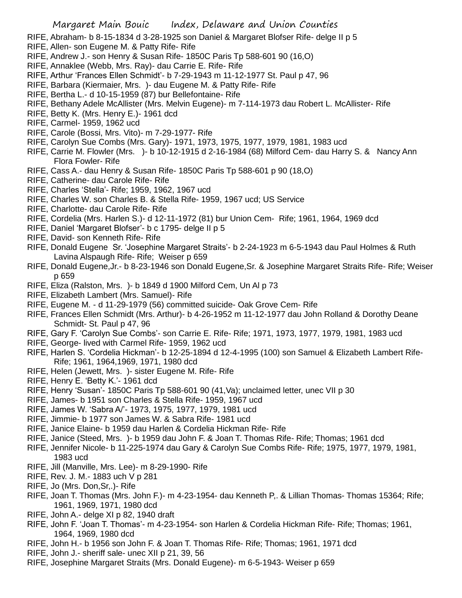- RIFE, Abraham- b 8-15-1834 d 3-28-1925 son Daniel & Margaret Blofser Rife- delge II p 5
- RIFE, Allen- son Eugene M. & Patty Rife- Rife
- RIFE, Andrew J.- son Henry & Susan Rife- 1850C Paris Tp 588-601 90 (16,O)
- RIFE, Annaklee (Webb, Mrs. Ray)- dau Carrie E. Rife- Rife
- RIFE, Arthur 'Frances Ellen Schmidt'- b 7-29-1943 m 11-12-1977 St. Paul p 47, 96
- RIFE, Barbara (Kiermaier, Mrs. )- dau Eugene M. & Patty Rife- Rife
- RIFE, Bertha L.- d 10-15-1959 (87) bur Bellefontaine- Rife
- RIFE, Bethany Adele McAllister (Mrs. Melvin Eugene)- m 7-114-1973 dau Robert L. McAllister- Rife
- RIFE, Betty K. (Mrs. Henry E.)- 1961 dcd
- RIFE, Carmel- 1959, 1962 ucd
- RIFE, Carole (Bossi, Mrs. Vito)- m 7-29-1977- Rife
- RIFE, Carolyn Sue Combs (Mrs. Gary)- 1971, 1973, 1975, 1977, 1979, 1981, 1983 ucd
- RIFE, Carrie M. Flowler (Mrs. )- b 10-12-1915 d 2-16-1984 (68) Milford Cem- dau Harry S. & Nancy Ann Flora Fowler- Rife
- RIFE, Cass A.- dau Henry & Susan Rife- 1850C Paris Tp 588-601 p 90 (18,O)
- RIFE, Catherine- dau Carole Rife- Rife
- RIFE, Charles 'Stella'- Rife; 1959, 1962, 1967 ucd
- RIFE, Charles W. son Charles B. & Stella Rife- 1959, 1967 ucd; US Service
- RIFE, Charlotte- dau Carole Rife- Rife
- RIFE, Cordelia (Mrs. Harlen S.)- d 12-11-1972 (81) bur Union Cem- Rife; 1961, 1964, 1969 dcd
- RIFE, Daniel 'Margaret Blofser'- b c 1795- delge II p 5
- RIFE, David- son Kenneth Rife- Rife
- RIFE, Donald Eugene Sr. 'Josephine Margaret Straits'- b 2-24-1923 m 6-5-1943 dau Paul Holmes & Ruth Lavina Alspaugh Rife- Rife; Weiser p 659
- RIFE, Donald Eugene,Jr.- b 8-23-1946 son Donald Eugene,Sr. & Josephine Margaret Straits Rife- Rife; Weiser p 659
- RIFE, Eliza (Ralston, Mrs. )- b 1849 d 1900 Milford Cem, Un Al p 73
- RIFE, Elizabeth Lambert (Mrs. Samuel)- Rife
- RIFE, Eugene M. d 11-29-1979 (56) committed suicide- Oak Grove Cem- Rife
- RIFE, Frances Ellen Schmidt (Mrs. Arthur)- b 4-26-1952 m 11-12-1977 dau John Rolland & Dorothy Deane Schmidt- St. Paul p 47, 96
- RIFE, Gary F. 'Carolyn Sue Combs'- son Carrie E. Rife- Rife; 1971, 1973, 1977, 1979, 1981, 1983 ucd
- RIFE, George- lived with Carmel Rife- 1959, 1962 ucd
- RIFE, Harlen S. 'Cordelia Hickman'- b 12-25-1894 d 12-4-1995 (100) son Samuel & Elizabeth Lambert Rife-Rife; 1961, 1964,1969, 1971, 1980 dcd
- RIFE, Helen (Jewett, Mrs. )- sister Eugene M. Rife- Rife
- RIFE, Henry E. 'Betty K.'- 1961 dcd
- RIFE, Henry 'Susan'- 1850C Paris Tp 588-601 90 (41,Va); unclaimed letter, unec VII p 30
- RIFE, James- b 1951 son Charles & Stella Rife- 1959, 1967 ucd
- RIFE, James W. 'Sabra A/'- 1973, 1975, 1977, 1979, 1981 ucd
- RIFE, Jimmie- b 1977 son James W. & Sabra Rife- 1981 ucd
- RIFE, Janice Elaine- b 1959 dau Harlen & Cordelia Hickman Rife- Rife
- RIFE, Janice (Steed, Mrs. )- b 1959 dau John F. & Joan T. Thomas Rife- Rife; Thomas; 1961 dcd
- RIFE, Jennifer Nicole- b 11-225-1974 dau Gary & Carolyn Sue Combs Rife- Rife; 1975, 1977, 1979, 1981, 1983 ucd
- RIFE, Jill (Manville, Mrs. Lee)- m 8-29-1990- Rife
- RIFE, Rev. J. M.- 1883 uch V p 281
- RIFE, Jo (Mrs. Don,Sr,.)- Rife
- RIFE, Joan T. Thomas (Mrs. John F.)- m 4-23-1954- dau Kenneth P,. & Lillian Thomas- Thomas 15364; Rife; 1961, 1969, 1971, 1980 dcd
- RIFE, John A.- delge XI p 82, 1940 draft
- RIFE, John F. 'Joan T. Thomas'- m 4-23-1954- son Harlen & Cordelia Hickman Rife- Rife; Thomas; 1961, 1964, 1969, 1980 dcd
- RIFE, John H.- b 1956 son John F. & Joan T. Thomas Rife- Rife; Thomas; 1961, 1971 dcd
- RIFE, John J.- sheriff sale- unec XII p 21, 39, 56
- RIFE, Josephine Margaret Straits (Mrs. Donald Eugene)- m 6-5-1943- Weiser p 659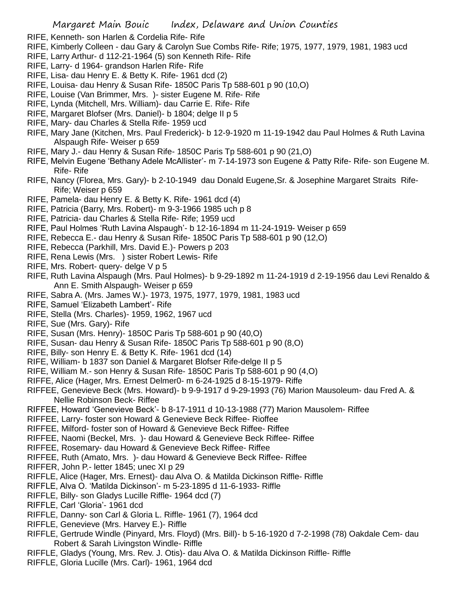- RIFE, Kenneth- son Harlen & Cordelia Rife- Rife
- RIFE, Kimberly Colleen dau Gary & Carolyn Sue Combs Rife- Rife; 1975, 1977, 1979, 1981, 1983 ucd
- RIFE, Larry Arthur- d 112-21-1964 (5) son Kenneth Rife- Rife
- RIFE, Larry- d 1964- grandson Harlen Rife- Rife
- RIFE, Lisa- dau Henry E. & Betty K. Rife- 1961 dcd (2)
- RIFE, Louisa- dau Henry & Susan Rife- 1850C Paris Tp 588-601 p 90 (10,O)
- RIFE, Louise (Van Brimmer, Mrs. )- sister Eugene M. Rife- Rife
- RIFE, Lynda (Mitchell, Mrs. William)- dau Carrie E. Rife- Rife
- RIFE, Margaret Blofser (Mrs. Daniel)- b 1804; delge II p 5
- RIFE, Mary- dau Charles & Stella Rife- 1959 ucd
- RIFE, Mary Jane (Kitchen, Mrs. Paul Frederick)- b 12-9-1920 m 11-19-1942 dau Paul Holmes & Ruth Lavina Alspaugh Rife- Weiser p 659
- RIFE, Mary J.- dau Henry & Susan Rife- 1850C Paris Tp 588-601 p 90 (21,O)
- RIFE, Melvin Eugene 'Bethany Adele McAllister'- m 7-14-1973 son Eugene & Patty Rife- Rife- son Eugene M. Rife- Rife
- RIFE, Nancy (Florea, Mrs. Gary)- b 2-10-1949 dau Donald Eugene,Sr. & Josephine Margaret Straits Rife-Rife; Weiser p 659
- RIFE, Pamela- dau Henry E. & Betty K. Rife- 1961 dcd (4)
- RIFE, Patricia (Barry, Mrs. Robert)- m 9-3-1966 1985 uch p 8
- RIFE, Patricia- dau Charles & Stella Rife- Rife; 1959 ucd
- RIFE, Paul Holmes 'Ruth Lavina Alspaugh'- b 12-16-1894 m 11-24-1919- Weiser p 659
- RIFE, Rebecca E.- dau Henry & Susan Rife- 1850C Paris Tp 588-601 p 90 (12,O)
- RIFE, Rebecca (Parkhill, Mrs. David E.)- Powers p 203
- RIFE, Rena Lewis (Mrs. ) sister Robert Lewis- Rife
- RIFE, Mrs. Robert- query- delge V p 5
- RIFE, Ruth Lavina Alspaugh (Mrs. Paul Holmes)- b 9-29-1892 m 11-24-1919 d 2-19-1956 dau Levi Renaldo & Ann E. Smith Alspaugh- Weiser p 659
- RIFE, Sabra A. (Mrs. James W.)- 1973, 1975, 1977, 1979, 1981, 1983 ucd
- RIFE, Samuel 'Elizabeth Lambert'- Rife
- RIFE, Stella (Mrs. Charles)- 1959, 1962, 1967 ucd
- RIFE, Sue (Mrs. Gary)- Rife
- RIFE, Susan (Mrs. Henry)- 1850C Paris Tp 588-601 p 90 (40,O)
- RIFE, Susan- dau Henry & Susan Rife- 1850C Paris Tp 588-601 p 90 (8,O)
- RIFE, Billy- son Henry E. & Betty K. Rife- 1961 dcd (14)
- RIFE, William- b 1837 son Daniel & Margaret Blofser Rife-delge II p 5
- RIFE, William M.- son Henry & Susan Rife- 1850C Paris Tp 588-601 p 90 (4,O)
- RIFFE, Alice (Hager, Mrs. Ernest Delmer0- m 6-24-1925 d 8-15-1979- Riffe
- RIFFEE, Genevieve Beck (Mrs. Howard)- b 9-9-1917 d 9-29-1993 (76) Marion Mausoleum- dau Fred A. & Nellie Robinson Beck- Riffee
- RIFFEE, Howard 'Genevieve Beck'- b 8-17-1911 d 10-13-1988 (77) Marion Mausolem- Riffee
- RIFFEE, Larry- foster son Howard & Genevieve Beck Riffee- Rioffee
- RIFFEE, Milford- foster son of Howard & Genevieve Beck Riffee- Riffee
- RIFFEE, Naomi (Beckel, Mrs. )- dau Howard & Genevieve Beck Riffee- Riffee
- RIFFEE, Rosemary- dau Howard & Genevieve Beck Riffee- Riffee
- RIFFEE, Ruth (Amato, Mrs. )- dau Howard & Genevieve Beck Riffee- Riffee
- RIFFER, John P.- letter 1845; unec XI p 29
- RIFFLE, Alice (Hager, Mrs. Ernest)- dau Alva O. & Matilda Dickinson Riffle- Riffle
- RIFFLE, Alva O. 'Matilda Dickinson'- m 5-23-1895 d 11-6-1933- Riffle
- RIFFLE, Billy- son Gladys Lucille Riffle- 1964 dcd (7)
- RIFFLE, Carl 'Gloria'- 1961 dcd
- RIFFLE, Danny- son Carl & Gloria L. Riffle- 1961 (7), 1964 dcd
- RIFFLE, Genevieve (Mrs. Harvey E.)- Riffle
- RIFFLE, Gertrude Windle (Pinyard, Mrs. Floyd) (Mrs. Bill)- b 5-16-1920 d 7-2-1998 (78) Oakdale Cem- dau Robert & Sarah Livingston Windle- Riffle
- RIFFLE, Gladys (Young, Mrs. Rev. J. Otis)- dau Alva O. & Matilda Dickinson Riffle- Riffle
- RIFFLE, Gloria Lucille (Mrs. Carl)- 1961, 1964 dcd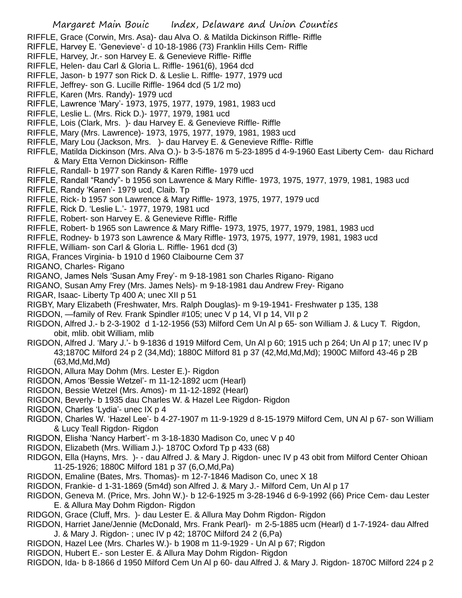- RIFFLE, Grace (Corwin, Mrs. Asa)- dau Alva O. & Matilda Dickinson Riffle- Riffle
- RIFFLE, Harvey E. 'Genevieve'- d 10-18-1986 (73) Franklin Hills Cem- Riffle
- RIFFLE, Harvey, Jr.- son Harvey E. & Genevieve Riffle- Riffle
- RIFFLE, Helen- dau Carl & Gloria L. Riffle- 1961(6), 1964 dcd
- RIFFLE, Jason- b 1977 son Rick D. & Leslie L. Riffle- 1977, 1979 ucd
- RIFFLE, Jeffrey- son G. Lucille Riffle- 1964 dcd (5 1/2 mo)
- RIFFLE, Karen (Mrs. Randy)- 1979 ucd
- RIFFLE, Lawrence 'Mary'- 1973, 1975, 1977, 1979, 1981, 1983 ucd
- RIFFLE, Leslie L. (Mrs. Rick D.)- 1977, 1979, 1981 ucd
- RIFFLE, Lois (Clark, Mrs. )- dau Harvey E. & Genevieve Riffle- Riffle
- RIFFLE, Mary (Mrs. Lawrence)- 1973, 1975, 1977, 1979, 1981, 1983 ucd
- RIFFLE, Mary Lou (Jackson, Mrs. )- dau Harvey E. & Genevieve Riffle- Riffle
- RIFFLE, Matilda Dickinson (Mrs. Alva O.)- b 3-5-1876 m 5-23-1895 d 4-9-1960 East Liberty Cem- dau Richard & Mary Etta Vernon Dickinson- Riffle
- RIFFLE, Randall- b 1977 son Randy & Karen Riffle- 1979 ucd
- RIFFLE, Randall "Randy"- b 1956 son Lawrence & Mary Riffle- 1973, 1975, 1977, 1979, 1981, 1983 ucd
- RIFFLE, Randy 'Karen'- 1979 ucd, Claib. Tp
- RIFFLE, Rick- b 1957 son Lawrence & Mary Riffle- 1973, 1975, 1977, 1979 ucd
- RIFFLE, Rick D. 'Leslie L.'- 1977, 1979, 1981 ucd
- RIFFLE, Robert- son Harvey E. & Genevieve Riffle- Riffle
- RIFFLE, Robert- b 1965 son Lawrence & Mary Riffle- 1973, 1975, 1977, 1979, 1981, 1983 ucd
- RIFFLE, Rodney- b 1973 son Lawrence & Mary Riffle- 1973, 1975, 1977, 1979, 1981, 1983 ucd
- RIFFLE, William- son Carl & Gloria L. Riffle- 1961 dcd (3)
- RIGA, Frances Virginia- b 1910 d 1960 Claibourne Cem 37
- RIGANO, Charles- Rigano
- RIGANO, James Nels 'Susan Amy Frey'- m 9-18-1981 son Charles Rigano- Rigano
- RIGANO, Susan Amy Frey (Mrs. James Nels)- m 9-18-1981 dau Andrew Frey- Rigano
- RIGAR, Isaac- Liberty Tp 400 A; unec XII p 51
- RIGBY, Mary Elizabeth (Freshwater, Mrs. Ralph Douglas)- m 9-19-1941- Freshwater p 135, 138
- RIGDON, —family of Rev. Frank Spindler #105; unec V p 14, VI p 14, VII p 2
- RIGDON, Alfred J.- b 2-3-1902 d 1-12-1956 (53) Milford Cem Un Al p 65- son William J. & Lucy T. Rigdon, obit, mlib. obit William, mlib
- RIGDON, Alfred J. 'Mary J.'- b 9-1836 d 1919 Milford Cem, Un Al p 60; 1915 uch p 264; Un Al p 17; unec IV p 43;1870C Milford 24 p 2 (34,Md); 1880C Milford 81 p 37 (42,Md,Md,Md); 1900C Milford 43-46 p 2B (63,Md,Md,Md)
- RIGDON, Allura May Dohm (Mrs. Lester E.)- Rigdon
- RIGDON, Amos 'Bessie Wetzel'- m 11-12-1892 ucm (Hearl)
- RIGDON, Bessie Wetzel (Mrs. Amos)- m 11-12-1892 (Hearl)
- RIGDON, Beverly- b 1935 dau Charles W. & Hazel Lee Rigdon- Rigdon
- RIGDON, Charles 'Lydia'- unec IX p 4
- RIGDON, Charles W. 'Hazel Lee'- b 4-27-1907 m 11-9-1929 d 8-15-1979 Milford Cem, UN Al p 67- son William & Lucy Teall Rigdon- Rigdon
- RIGDON, Elisha 'Nancy Harbert'- m 3-18-1830 Madison Co, unec V p 40
- RIGDON, Elizabeth (Mrs. William J.)- 1870C Oxford Tp p 433 (68)
- RIDGON, Ella (Hayns, Mrs. )- dau Alfred J. & Mary J. Rigdon- unec IV p 43 obit from Milford Center Ohioan 11-25-1926; 1880C Milford 181 p 37 (6,O,Md,Pa)
- RIGDON, Emaline (Bates, Mrs. Thomas)- m 12-7-1846 Madison Co, unec X 18
- RIGDON, Frankie- d 1-31-1869 (5m4d) son Alfred J. & Mary J.- Milford Cem, Un Al p 17
- RIGDON, Geneva M. (Price, Mrs. John W.)- b 12-6-1925 m 3-28-1946 d 6-9-1992 (66) Price Cem- dau Lester E. & Allura May Dohm Rigdon- Rigdon
- RIDGON, Grace (Cluff, Mrs. )- dau Lester E. & Allura May Dohm Rigdon- Rigdon
- RIGDON, Harriet Jane/Jennie (McDonald, Mrs. Frank Pearl)- m 2-5-1885 ucm (Hearl) d 1-7-1924- dau Alfred J. & Mary J. Rigdon- ; unec IV p 42; 1870C Milford 24 2 (6,Pa)
- RIGDON, Hazel Lee (Mrs. Charles W.)- b 1908 m 11-9-1929 Un Al p 67; Rigdon
- RIGDON, Hubert E.- son Lester E. & Allura May Dohm Rigdon- Rigdon
- RIGDON, Ida- b 8-1866 d 1950 Milford Cem Un Al p 60- dau Alfred J. & Mary J. Rigdon- 1870C Milford 224 p 2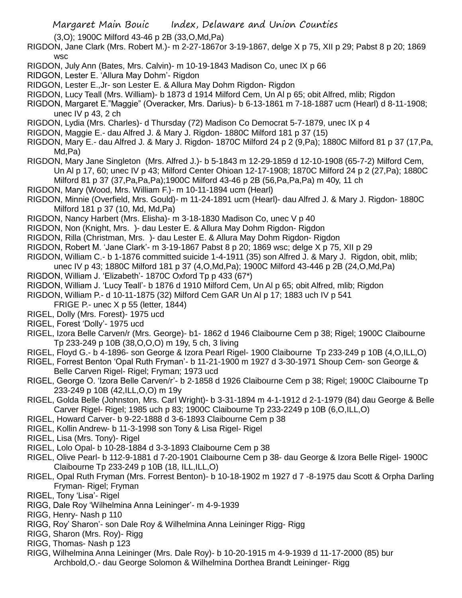Margaret Main Bouic Index, Delaware and Union Counties (3,O); 1900C Milford 43-46 p 2B (33,O,Md,Pa) RIGDON, Jane Clark (Mrs. Robert M.)- m 2-27-1867or 3-19-1867, delge X p 75, XII p 29; Pabst 8 p 20; 1869 wsc RIGDON, July Ann (Bates, Mrs. Calvin)- m 10-19-1843 Madison Co, unec IX p 66 RIDGON, Lester E. 'Allura May Dohm'- Rigdon RIDGON, Lester E.,Jr- son Lester E. & Allura May Dohm Rigdon- Rigdon RIGDON, Lucy Teall (Mrs. William)- b 1873 d 1914 Milford Cem, Un Al p 65; obit Alfred, mlib; Rigdon RIGDON, Margaret E."Maggie" (Overacker, Mrs. Darius)- b 6-13-1861 m 7-18-1887 ucm (Hearl) d 8-11-1908; unec IV p 43, 2 ch RIGDON, Lydia (Mrs. Charles)- d Thursday (72) Madison Co Democrat 5-7-1879, unec IX p 4 RIGDON, Maggie E.- dau Alfred J. & Mary J. Rigdon- 1880C Milford 181 p 37 (15) RIGDON, Mary E.- dau Alfred J. & Mary J. Rigdon- 1870C Milford 24 p 2 (9,Pa); 1880C Milford 81 p 37 (17,Pa, Md,Pa) RIGDON, Mary Jane Singleton (Mrs. Alfred J.)- b 5-1843 m 12-29-1859 d 12-10-1908 (65-7-2) Milford Cem, Un Al p 17, 60; unec IV p 43; Milford Center Ohioan 12-17-1908; 1870C Milford 24 p 2 (27,Pa); 1880C Milford 81 p 37 (37,Pa,Pa,Pa);1900C Milford 43-46 p 2B (56,Pa,Pa,Pa) m 40y, 11 ch RIGDON, Mary (Wood, Mrs. William F.)- m 10-11-1894 ucm (Hearl) RIGDON, Minnie (Overfield, Mrs. Gould)- m 11-24-1891 ucm (Hearl)- dau Alfred J. & Mary J. Rigdon- 1880C Milford 181 p 37 (10, Md, Md,Pa) RIGDON, Nancy Harbert (Mrs. Elisha)- m 3-18-1830 Madison Co, unec V p 40 RIGDON, Non (Knight, Mrs. )- dau Lester E. & Allura May Dohm Rigdon- Rigdon RIGDON, Rilla (Christman, Mrs. )- dau Lester E. & Allura May Dohm Rigdon- Rigdon RIGDON, Robert M. 'Jane Clark'- m 3-19-1867 Pabst 8 p 20; 1869 wsc; delge X p 75, XII p 29 RIGDON, William C.- b 1-1876 committed suicide 1-4-1911 (35) son Alfred J. & Mary J. Rigdon, obit, mlib; unec IV p 43; 1880C Milford 181 p 37 (4,O,Md,Pa); 1900C Milford 43-446 p 2B (24,O,Md,Pa) RIGDON, William J. 'Elizabeth'- 1870C Oxford Tp p 433 (67\*) RIGDON, William J. 'Lucy Teall'- b 1876 d 1910 Milford Cem, Un Al p 65; obit Alfred, mlib; Rigdon RIGDON, William P.- d 10-11-1875 (32) Milford Cem GAR Un Al p 17; 1883 uch IV p 541 FRIGE P.- unec  $X$  p 55 (letter, 1844) RIGEL, Dolly (Mrs. Forest)- 1975 ucd RIGEL, Forest 'Dolly'- 1975 ucd RIGEL, Izora Belle Carven/r (Mrs. George)- b1- 1862 d 1946 Claibourne Cem p 38; Rigel; 1900C Claibourne Tp 233-249 p 10B (38,O,O,O) m 19y, 5 ch, 3 living RIGEL, Floyd G.- b 4-1896- son George & Izora Pearl Rigel- 1900 Claibourne Tp 233-249 p 10B (4,O,ILL,O) RIGEL, Forrest Benton 'Opal Ruth Fryman'- b 11-21-1900 m 1927 d 3-30-1971 Shoup Cem- son George & Belle Carven Rigel- Rigel; Fryman; 1973 ucd RIGEL, George O. 'Izora Belle Carven/r'- b 2-1858 d 1926 Claibourne Cem p 38; Rigel; 1900C Claibourne Tp 233-249 p 10B (42,ILL,O,O) m 19y RIGEL, Golda Belle (Johnston, Mrs. Carl Wright)- b 3-31-1894 m 4-1-1912 d 2-1-1979 (84) dau George & Belle Carver Rigel- Rigel; 1985 uch p 83; 1900C Claibourne Tp 233-2249 p 10B (6,O,ILL,O) RIGEL, Howard Carver- b 9-22-1888 d 3-6-1893 Claibourne Cem p 38 RIGEL, Kollin Andrew- b 11-3-1998 son Tony & Lisa Rigel- Rigel RIGEL, Lisa (Mrs. Tony)- Rigel RIGEL, Lolo Opal- b 10-28-1884 d 3-3-1893 Claibourne Cem p 38 RIGEL, Olive Pearl- b 112-9-1881 d 7-20-1901 Claibourne Cem p 38- dau George & Izora Belle Rigel- 1900C Claibourne Tp 233-249 p 10B (18, ILL,ILL,O)

- RIGEL, Opal Ruth Fryman (Mrs. Forrest Benton)- b 10-18-1902 m 1927 d 7 -8-1975 dau Scott & Orpha Darling Fryman- Rigel; Fryman
- RIGEL, Tony 'Lisa'- Rigel
- RIGG, Dale Roy 'Wilhelmina Anna Leininger'- m 4-9-1939
- RIGG, Henry- Nash p 110
- RIGG, Roy' Sharon'- son Dale Roy & Wilhelmina Anna Leininger Rigg- Rigg
- RIGG, Sharon (Mrs. Roy)- Rigg
- RIGG, Thomas- Nash p 123
- RIGG, Wilhelmina Anna Leininger (Mrs. Dale Roy)- b 10-20-1915 m 4-9-1939 d 11-17-2000 (85) bur Archbold,O.- dau George Solomon & Wilhelmina Dorthea Brandt Leininger- Rigg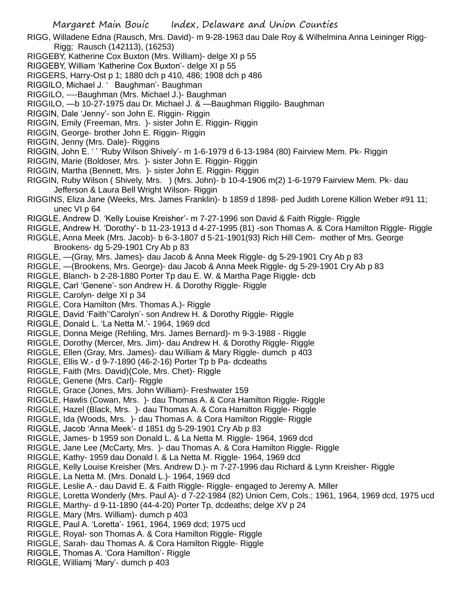RIGG, Willadene Edna (Rausch, Mrs. David)- m 9-28-1963 dau Dale Roy & Wilhelmina Anna Leininger Rigg-Rigg; Rausch (142113), (16253)

- RIGGEBY, Katherine Cox Buxton (Mrs. William)- delge XI p 55
- RIGGEBY, William 'Katherine Cox Buxton'- delge XI p 55
- RIGGERS, Harry-Ost p 1; 1880 dch p 410, 486; 1908 dch p 486
- RIGGILO, Michael J. ' Baughman'- Baughman
- RIGGILO, ----Baughman (Mrs. Michael J.)- Baughman
- RIGGILO, —b 10-27-1975 dau Dr. Michael J. & —Baughman Riggilo- Baughman
- RIGGIN, Dale 'Jenny'- son John E. Riggin- Riggin
- RIGGIN, Emily (Freeman, Mrs. )- sister John E. Riggin- Riggin
- RIGGIN, George- brother John E. Riggin- Riggin
- RIGGIN, Jenny (Mrs. Dale)- Riggins
- RIGGIN, John E. ' ' 'Ruby Wilson Shively'- m 1-6-1979 d 6-13-1984 (80) Fairview Mem. Pk- Riggin
- RIGGIN, Marie (Boldoser, Mrs. )- sister John E. Riggin- Riggin
- RIGGIN, Martha (Bennett, Mrs. )- sister John E. Riggin- Riggin
- RIGGIN, Ruby Wilson ( Shively, Mrs. ) (Mrs. John)- b 10-4-1906 m(2) 1-6-1979 Fairview Mem. Pk- dau Jefferson & Laura Bell Wright Wilson- Riggin
- RIGGINS, Eliza Jane (Weeks, Mrs. James Franklin)- b 1859 d 1898- ped Judith Lorene Killion Weber #91 11; unec VI p 64
- RIGGLE, Andrew D. 'Kelly Louise Kreisher'- m 7-27-1996 son David & Faith Riggle- Riggle
- RIGGLE, Andrew H. 'Dorothy'- b 11-23-1913 d 4-27-1995 (81) -son Thomas A. & Cora Hamilton Riggle- Riggle
- RIGGLE, Anna Meek (Mrs. Jacob)- b 6-3-1807 d 5-21-1901(93) Rich Hill Cem- mother of Mrs. George Brookens- dg 5-29-1901 Cry Ab p 83
- RIGGLE, —(Gray, Mrs. James)- dau Jacob & Anna Meek Riggle- dg 5-29-1901 Cry Ab p 83
- RIGGLE, —(Brookens, Mrs. George)- dau Jacob & Anna Meek Riggle- dg 5-29-1901 Cry Ab p 83
- RIGGLE, Blanch- b 2-28-1880 Porter Tp dau E. W. & Martha Page Riggle- dcb
- RIGGLE, Carl 'Genene'- son Andrew H. & Dorothy Riggle- Riggle
- RIGGLE, Carolyn- delge XI p 34
- RIGGLE, Cora Hamilton (Mrs. Thomas A.)- Riggle
- RIGGLE, David 'Faith''Carolyn'- son Andrew H. & Dorothy Riggle- Riggle
- RIGGLE, Donald L. 'La Netta M.'- 1964, 1969 dcd
- RIGGLE, Donna Meige (Rehling, Mrs. James Bernard)- m 9-3-1988 Riggle
- RIGGLE, Dorothy (Mercer, Mrs. Jim)- dau Andrew H. & Dorothy Riggle- Riggle
- RIGGLE, Ellen (Gray, Mrs. James)- dau William & Mary Riggle- dumch p 403
- RIGGLE, Ellis W.- d 9-7-1890 (46-2-16) Porter Tp b Pa- dcdeaths
- RIGGLE, Faith (Mrs. David)(Cole, Mrs. Chet)- Riggle
- RIGGLE, Genene (Mrs. Carl)- Riggle
- RIGGLE, Grace (Jones, Mrs. John William)- Freshwater 159
- RIGGLE, Hawlis (Cowan, Mrs. )- dau Thomas A. & Cora Hamilton Riggle- Riggle
- RIGGLE, Hazel (Black, Mrs. )- dau Thomas A. & Cora Hamilton Riggle- Riggle
- RIGGLE, Ida (Woods, Mrs. )- dau Thomas A. & Cora Hamilton Riggle- Riggle
- RIGGLE, Jacob 'Anna Meek'- d 1851 dg 5-29-1901 Cry Ab p 83
- RIGGLE, James- b 1959 son Donald L. & La Netta M. Riggle- 1964, 1969 dcd
- RIGGLE, Jane Lee (McCarty, Mrs. )- dau Thomas A. & Cora Hamilton Riggle- Riggle
- RIGGLE, Kathy- 1959 dau Donald l. & La Netta M. Riggle- 1964, 1969 dcd
- RIGGLE, Kelly Louise Kreisher (Mrs. Andrew D.)- m 7-27-1996 dau Richard & Lynn Kreisher- Riggle
- RIGGLE, La Netta M. (Mrs. Donald L.)- 1964, 1969 dcd
- RIGGLE, Leslie A.- dau David E. & Faith Riggle- Riggle- engaged to Jeremy A. Miller
- RIGGLE, Loretta Wonderly (Mrs. Paul A)- d 7-22-1984 (82) Union Cem, Cols.; 1961, 1964, 1969 dcd, 1975 ucd
- RIGGLE, Marthy- d 9-11-1890 (44-4-20) Porter Tp, dcdeaths; delge XV p 24
- RIGGLE, Mary (Mrs. William)- dumch p 403
- RIGGLE, Paul A. 'Loretta'- 1961, 1964, 1969 dcd; 1975 ucd
- RIGGLE, Royal- son Thomas A. & Cora Hamilton Riggle- Riggle
- RIGGLE, Sarah- dau Thomas A. & Cora Hamilton Riggle- Riggle
- RIGGLE, Thomas A. 'Cora Hamilton'- Riggle
- RIGGLE, Williamj 'Mary'- dumch p 403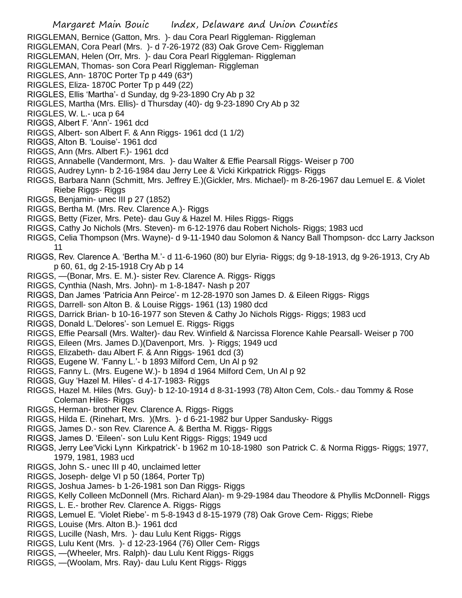- RIGGLEMAN, Bernice (Gatton, Mrs. )- dau Cora Pearl Riggleman- Riggleman
- RIGGLEMAN, Cora Pearl (Mrs. )- d 7-26-1972 (83) Oak Grove Cem- Riggleman
- RIGGLEMAN, Helen (Orr, Mrs. )- dau Cora Pearl Riggleman- Riggleman
- RIGGLEMAN, Thomas- son Cora Pearl Riggleman- Riggleman
- RIGGLES, Ann- 1870C Porter Tp p 449 (63\*)
- RIGGLES, Eliza- 1870C Porter Tp p 449 (22)
- RIGGLES, Ellis 'Martha'- d Sunday, dg 9-23-1890 Cry Ab p 32
- RIGGLES, Martha (Mrs. Ellis)- d Thursday (40)- dg 9-23-1890 Cry Ab p 32
- RIGGLES, W. L.- uca p 64
- RIGGS, Albert F. 'Ann'- 1961 dcd
- RIGGS, Albert- son Albert F. & Ann Riggs- 1961 dcd (1 1/2)
- RIGGS, Alton B. 'Louise'- 1961 dcd
- RIGGS, Ann (Mrs. Albert F.)- 1961 dcd
- RIGGS, Annabelle (Vandermont, Mrs. )- dau Walter & Effie Pearsall Riggs- Weiser p 700
- RIGGS, Audrey Lynn- b 2-16-1984 dau Jerry Lee & Vicki Kirkpatrick Riggs- Riggs
- RIGGS, Barbara Nann (Schmitt, Mrs. Jeffrey E.)(Gickler, Mrs. Michael)- m 8-26-1967 dau Lemuel E. & Violet Riebe Riggs- Riggs
- RIGGS, Benjamin- unec III p 27 (1852)
- RIGGS, Bertha M. (Mrs. Rev. Clarence A.)- Riggs
- RIGGS, Betty (Fizer, Mrs. Pete)- dau Guy & Hazel M. Hiles Riggs- Riggs
- RIGGS, Cathy Jo Nichols (Mrs. Steven)- m 6-12-1976 dau Robert Nichols- Riggs; 1983 ucd
- RIGGS, Celia Thompson (Mrs. Wayne)- d 9-11-1940 dau Solomon & Nancy Ball Thompson- dcc Larry Jackson 11
- RIGGS, Rev. Clarence A. 'Bertha M.'- d 11-6-1960 (80) bur Elyria- Riggs; dg 9-18-1913, dg 9-26-1913, Cry Ab p 60, 61, dg 2-15-1918 Cry Ab p 14
- RIGGS, —(Bonar, Mrs. E. M.)- sister Rev. Clarence A. Riggs- Riggs
- RIGGS, Cynthia (Nash, Mrs. John)- m 1-8-1847- Nash p 207
- RIGGS, Dan James 'Patricia Ann Peirce'- m 12-28-1970 son James D. & Eileen Riggs- Riggs
- RIGGS, Darrell- son Alton B. & Louise Riggs- 1961 (13) 1980 dcd
- RIGGS, Darrick Brian- b 10-16-1977 son Steven & Cathy Jo Nichols Riggs- Riggs; 1983 ucd
- RIGGS, Donald L.'Delores'- son Lemuel E. Riggs- Riggs
- RIGGS, Effie Pearsall (Mrs. Walter)- dau Rev. Winfield & Narcissa Florence Kahle Pearsall- Weiser p 700
- RIGGS, Eileen (Mrs. James D.)(Davenport, Mrs. )- Riggs; 1949 ucd
- RIGGS, Elizabeth- dau Albert F. & Ann Riggs- 1961 dcd (3)
- RIGGS, Eugene W. 'Fanny L.'- b 1893 Milford Cem, Un Al p 92
- RIGGS, Fanny L. (Mrs. Eugene W.)- b 1894 d 1964 Milford Cem, Un Al p 92
- RIGGS, Guy 'Hazel M. Hiles'- d 4-17-1983- Riggs
- RIGGS, Hazel M. Hiles (Mrs. Guy)- b 12-10-1914 d 8-31-1993 (78) Alton Cem, Cols.- dau Tommy & Rose Coleman Hiles- Riggs
- RIGGS, Herman- brother Rev. Clarence A. Riggs- Riggs
- RIGGS, Hilda E. (Rinehart, Mrs. )(Mrs. )- d 6-21-1982 bur Upper Sandusky- Riggs
- RIGGS, James D.- son Rev. Clarence A. & Bertha M. Riggs- Riggs
- RIGGS, James D. 'Eileen'- son Lulu Kent Riggs- Riggs; 1949 ucd
- RIGGS, Jerry Lee'Vicki Lynn Kirkpatrick'- b 1962 m 10-18-1980 son Patrick C. & Norma Riggs- Riggs; 1977, 1979, 1981, 1983 ucd
- RIGGS, John S.- unec III p 40, unclaimed letter
- RIGGS, Joseph- delge VI p 50 (1864, Porter Tp)
- RIGGS, Joshua James- b 1-26-1981 son Dan Riggs- Riggs
- RIGGS, Kelly Colleen McDonnell (Mrs. Richard Alan)- m 9-29-1984 dau Theodore & Phyllis McDonnell- Riggs
- RIGGS, L. E.- brother Rev. Clarence A. Riggs- Riggs
- RIGGS, Lemuel E. 'Violet Riebe'- m 5-8-1943 d 8-15-1979 (78) Oak Grove Cem- Riggs; Riebe
- RIGGS, Louise (Mrs. Alton B.)- 1961 dcd
- RIGGS, Lucille (Nash, Mrs. )- dau Lulu Kent Riggs- Riggs
- RIGGS, Lulu Kent (Mrs. )- d 12-23-1964 (76) Oller Cem- Riggs
- RIGGS, —(Wheeler, Mrs. Ralph)- dau Lulu Kent Riggs- Riggs
- RIGGS, —(Woolam, Mrs. Ray)- dau Lulu Kent Riggs- Riggs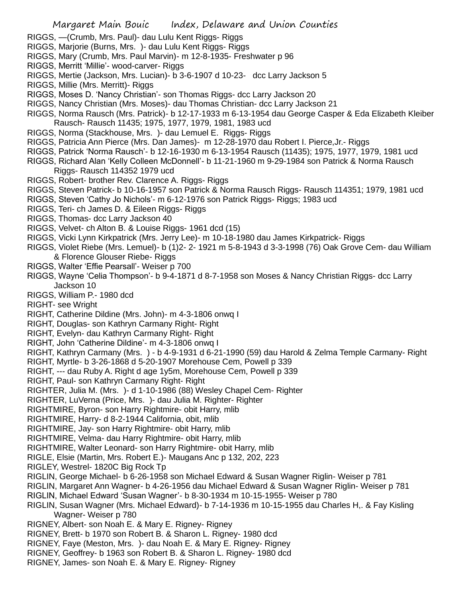- RIGGS, —(Crumb, Mrs. Paul)- dau Lulu Kent Riggs- Riggs
- RIGGS, Marjorie (Burns, Mrs. )- dau Lulu Kent Riggs- Riggs
- RIGGS, Mary (Crumb, Mrs. Paul Marvin)- m 12-8-1935- Freshwater p 96
- RIGGS, Merritt 'Millie'- wood-carver- Riggs
- RIGGS, Mertie (Jackson, Mrs. Lucian)- b 3-6-1907 d 10-23- dcc Larry Jackson 5
- RIGGS, Millie (Mrs. Merritt)- Riggs
- RIGGS, Moses D. 'Nancy Christian'- son Thomas Riggs- dcc Larry Jackson 20
- RIGGS, Nancy Christian (Mrs. Moses)- dau Thomas Christian- dcc Larry Jackson 21
- RIGGS, Norma Rausch (Mrs. Patrick)- b 12-17-1933 m 6-13-1954 dau George Casper & Eda Elizabeth Kleiber Rausch- Rausch 11435; 1975, 1977, 1979, 1981, 1983 ucd
- RIGGS, Norma (Stackhouse, Mrs. )- dau Lemuel E. Riggs- Riggs
- RIGGS, Patricia Ann Pierce (Mrs. Dan James)- m 12-28-1970 dau Robert I. Pierce,Jr.- Riggs
- RIGGS, Patrick 'Norma Rausch'- b 12-16-1930 m 6-13-1954 Rausch (11435); 1975, 1977, 1979, 1981 ucd
- RIGGS, Richard Alan 'Kelly Colleen McDonnell'- b 11-21-1960 m 9-29-1984 son Patrick & Norma Rausch Riggs- Rausch 114352 1979 ucd
- RIGGS, Robert- brother Rev. Clarence A. Riggs- Riggs
- RIGGS, Steven Patrick- b 10-16-1957 son Patrick & Norma Rausch Riggs- Rausch 114351; 1979, 1981 ucd
- RIGGS, Steven 'Cathy Jo Nichols'- m 6-12-1976 son Patrick Riggs- Riggs; 1983 ucd
- RIGGS, Teri- ch James D. & Eileen Riggs- Riggs
- RIGGS, Thomas- dcc Larry Jackson 40
- RIGGS, Velvet- ch Alton B. & Louise Riggs- 1961 dcd (15)
- RIGGS, Vicki Lynn Kirkpatrick (Mrs. Jerry Lee)- m 10-18-1980 dau James Kirkpatrick- Riggs
- RIGGS, Violet Riebe (Mrs. Lemuel)- b (1)2- 2- 1921 m 5-8-1943 d 3-3-1998 (76) Oak Grove Cem- dau William & Florence Glouser Riebe- Riggs
- RIGGS, Walter 'Effie Pearsall'- Weiser p 700
- RIGGS, Wayne 'Celia Thompson'- b 9-4-1871 d 8-7-1958 son Moses & Nancy Christian Riggs- dcc Larry Jackson 10
- RIGGS, William P.- 1980 dcd
- RIGHT- see Wright
- RIGHT, Catherine Dildine (Mrs. John)- m 4-3-1806 onwq I
- RIGHT, Douglas- son Kathryn Carmany Right- Right
- RIGHT, Evelyn- dau Kathryn Carmany Right- Right
- RIGHT, John 'Catherine Dildine'- m 4-3-1806 onwq I
- RIGHT, Kathryn Carmany (Mrs. ) b 4-9-1931 d 6-21-1990 (59) dau Harold & Zelma Temple Carmany- Right
- RIGHT, Myrtle- b 3-26-1868 d 5-20-1907 Morehouse Cem, Powell p 339
- RIGHT, --- dau Ruby A. Right d age 1y5m, Morehouse Cem, Powell p 339
- RIGHT, Paul- son Kathryn Carmany Right- Right
- RIGHTER, Julia M. (Mrs. )- d 1-10-1986 (88) Wesley Chapel Cem- Righter
- RIGHTER, LuVerna (Price, Mrs. )- dau Julia M. Righter- Righter
- RIGHTMIRE, Byron- son Harry Rightmire- obit Harry, mlib
- RIGHTMIRE, Harry- d 8-2-1944 California, obit, mlib
- RIGHTMIRE, Jay- son Harry Rightmire- obit Harry, mlib
- RIGHTMIRE, Velma- dau Harry Rightmire- obit Harry, mlib
- RIGHTMIRE, Walter Leonard- son Harry Rightmire- obit Harry, mlib
- RIGLE, Elsie (Martin, Mrs. Robert E.)- Maugans Anc p 132, 202, 223
- RIGLEY, Westrel- 1820C Big Rock Tp
- RIGLIN, George Michael- b 6-26-1958 son Michael Edward & Susan Wagner Riglin- Weiser p 781
- RIGLIN, Margaret Ann Wagner- b 4-26-1956 dau Michael Edward & Susan Wagner Riglin- Weiser p 781
- RIGLIN, Michael Edward 'Susan Wagner'- b 8-30-1934 m 10-15-1955- Weiser p 780
- RIGLIN, Susan Wagner (Mrs. Michael Edward)- b 7-14-1936 m 10-15-1955 dau Charles H,. & Fay Kisling Wagner- Weiser p 780
- RIGNEY, Albert- son Noah E. & Mary E. Rigney- Rigney
- RIGNEY, Brett- b 1970 son Robert B. & Sharon L. Rigney- 1980 dcd
- RIGNEY, Faye (Meston, Mrs. )- dau Noah E. & Mary E. Rigney- Rigney
- RIGNEY, Geoffrey- b 1963 son Robert B. & Sharon L. Rigney- 1980 dcd
- RIGNEY, James- son Noah E. & Mary E. Rigney- Rigney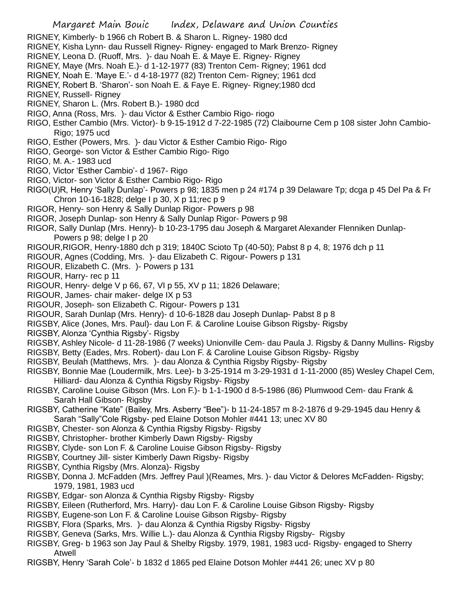- RIGNEY, Kimberly- b 1966 ch Robert B. & Sharon L. Rigney- 1980 dcd
- RIGNEY, Kisha Lynn- dau Russell Rigney- Rigney- engaged to Mark Brenzo- Rigney
- RIGNEY, Leona D. (Ruoff, Mrs. )- dau Noah E. & Maye E. Rigney- Rigney
- RIGNEY, Maye (Mrs. Noah E.)- d 1-12-1977 (83) Trenton Cem- Rigney; 1961 dcd
- RIGNEY, Noah E. 'Maye E.'- d 4-18-1977 (82) Trenton Cem- Rigney; 1961 dcd

RIGNEY, Robert B. 'Sharon'- son Noah E. & Faye E. Rigney- Rigney;1980 dcd

- RIGNEY, Russell- Rigney
- RIGNEY, Sharon L. (Mrs. Robert B.)- 1980 dcd
- RIGO, Anna (Ross, Mrs. )- dau Victor & Esther Cambio Rigo- riogo
- RIGO, Esther Cambio (Mrs. Victor)- b 9-15-1912 d 7-22-1985 (72) Claibourne Cem p 108 sister John Cambio-Rigo; 1975 ucd
- RIGO, Esther (Powers, Mrs. )- dau Victor & Esther Cambio Rigo- Rigo
- RIGO, George- son Victor & Esther Cambio Rigo- Rigo
- RIGO, M. A.- 1983 ucd
- RIGO, Victor 'Esther Cambio'- d 1967- Rigo
- RIGO, Victor- son Victor & Esther Cambio Rigo- Rigo
- RIGO(U)R, Henry 'Sally Dunlap'- Powers p 98; 1835 men p 24 #174 p 39 Delaware Tp; dcga p 45 Del Pa & Fr Chron 10-16-1828; delge I p 30, X p 11;rec p 9
- RIGOR, Henry- son Henry & Sally Dunlap Rigor- Powers p 98
- RIGOR, Joseph Dunlap- son Henry & Sally Dunlap Rigor- Powers p 98
- RIGOR, Sally Dunlap (Mrs. Henry)- b 10-23-1795 dau Joseph & Margaret Alexander Flenniken Dunlap-Powers p 98; delge I p 20
- RIGOUR,RIGOR, Henry-1880 dch p 319; 1840C Scioto Tp (40-50); Pabst 8 p 4, 8; 1976 dch p 11
- RIGOUR, Agnes (Codding, Mrs. )- dau Elizabeth C. Rigour- Powers p 131
- RIGOUR, Elizabeth C. (Mrs. )- Powers p 131
- RIGOUR, Harry- rec p 11
- RIGOUR, Henry- delge V p 66, 67, VI p 55, XV p 11; 1826 Delaware;
- RIGOUR, James- chair maker- delge IX p 53
- RIGOUR, Joseph- son Elizabeth C. Rigour- Powers p 131
- RIGOUR, Sarah Dunlap (Mrs. Henry)- d 10-6-1828 dau Joseph Dunlap- Pabst 8 p 8
- RIGSBY, Alice (Jones, Mrs. Paul)- dau Lon F. & Caroline Louise Gibson Rigsby- Rigsby
- RIGSBY, Alonza 'Cynthia Rigsby'- Rigsby
- RIGSBY, Ashley Nicole- d 11-28-1986 (7 weeks) Unionville Cem- dau Paula J. Rigsby & Danny Mullins- Rigsby
- RIGSBY, Betty (Eades, Mrs. Robert)- dau Lon F. & Caroline Louise Gibson Rigsby- Rigsby
- RIGSBY, Beulah (Matthews, Mrs. )- dau Alonza & Cynthia Rigsby Rigsby- Rigsby
- RIGSBY, Bonnie Mae (Loudermilk, Mrs. Lee)- b 3-25-1914 m 3-29-1931 d 1-11-2000 (85) Wesley Chapel Cem, Hilliard- dau Alonza & Cynthia Rigsby Rigsby- Rigsby
- RIGSBY, Caroline Louise Gibson (Mrs. Lon F.)- b 1-1-1900 d 8-5-1986 (86) Plumwood Cem- dau Frank & Sarah Hall Gibson- Rigsby
- RIGSBY, Catherine "Kate" (Bailey, Mrs. Asberry "Bee")- b 11-24-1857 m 8-2-1876 d 9-29-1945 dau Henry & Sarah "Sally"Cole Rigsby- ped Elaine Dotson Mohler #441 13; unec XV 80
- RIGSBY, Chester- son Alonza & Cynthia Rigsby Rigsby- Rigsby
- RIGSBY, Christopher- brother Kimberly Dawn Rigsby- Rigsby
- RIGSBY, Clyde- son Lon F. & Caroline Louise Gibson Rigsby- Rigsby
- RIGSBY, Courtney Jill- sister Kimberly Dawn Rigsby- Rigsby
- RIGSBY, Cynthia Rigsby (Mrs. Alonza)- Rigsby
- RIGSBY, Donna J. McFadden (Mrs. Jeffrey Paul )(Reames, Mrs. )- dau Victor & Delores McFadden- Rigsby; 1979, 1981, 1983 ucd
- RIGSBY, Edgar- son Alonza & Cynthia Rigsby Rigsby- Rigsby
- RIGSBY, Eileen (Rutherford, Mrs. Harry)- dau Lon F. & Caroline Louise Gibson Rigsby- Rigsby
- RIGSBY, Eugene-son Lon F. & Caroline Louise Gibson Rigsby- Rigsby
- RIGSBY, Flora (Sparks, Mrs. )- dau Alonza & Cynthia Rigsby Rigsby- Rigsby
- RIGSBY, Geneva (Sarks, Mrs. Willie L.)- dau Alonza & Cynthia Rigsby Rigsby- Rigsby
- RIGSBY, Greg- b 1963 son Jay Paul & Shelby Rigsby. 1979, 1981, 1983 ucd- Rigsby- engaged to Sherry Atwell
- RIGSBY, Henry 'Sarah Cole'- b 1832 d 1865 ped Elaine Dotson Mohler #441 26; unec XV p 80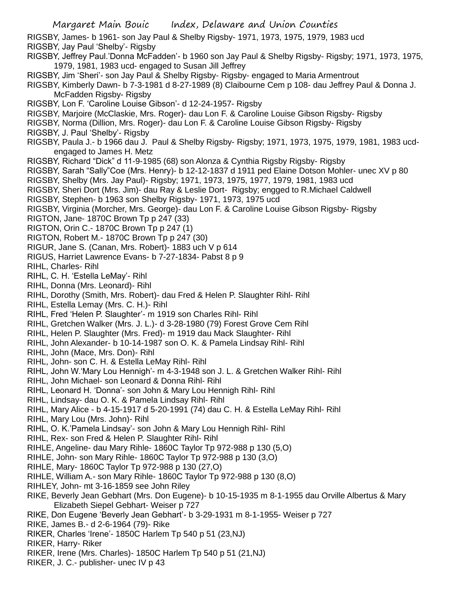RIGSBY, James- b 1961- son Jay Paul & Shelby Rigsby- 1971, 1973, 1975, 1979, 1983 ucd RIGSBY, Jay Paul 'Shelby'- Rigsby

RIGSBY, Jeffrey Paul.'Donna McFadden'- b 1960 son Jay Paul & Shelby Rigsby- Rigsby; 1971, 1973, 1975, 1979, 1981, 1983 ucd- engaged to Susan Jill Jeffrey

RIGSBY, Jim 'Sheri'- son Jay Paul & Shelby Rigsby- Rigsby- engaged to Maria Armentrout

RIGSBY, Kimberly Dawn- b 7-3-1981 d 8-27-1989 (8) Claibourne Cem p 108- dau Jeffrey Paul & Donna J. McFadden Rigsby- Rigsby

RIGSBY, Lon F. 'Caroline Louise Gibson'- d 12-24-1957- Rigsby

RIGSBY, Marjoire (McClaskie, Mrs. Roger)- dau Lon F. & Caroline Louise Gibson Rigsby- Rigsby

RIGSBY, Norma (Dillion, Mrs. Roger)- dau Lon F. & Caroline Louise Gibson Rigsby- Rigsby

RIGSBY, J. Paul 'Shelby'- Rigsby

RIGSBY, Paula J.- b 1966 dau J. Paul & Shelby Rigsby- Rigsby; 1971, 1973, 1975, 1979, 1981, 1983 ucdengaged to James H. Metz

RIGSBY, Richard "Dick" d 11-9-1985 (68) son Alonza & Cynthia Rigsby Rigsby- Rigsby

RIGSBY, Sarah "Sally"Coe (Mrs. Henry)- b 12-12-1837 d 1911 ped Elaine Dotson Mohler- unec XV p 80

RIGSBY, Shelby (Mrs. Jay Paul)- Rigsby; 1971, 1973, 1975, 1977, 1979, 1981, 1983 ucd

RIGSBY, Sheri Dort (Mrs. Jim)- dau Ray & Leslie Dort- Rigsby; engged to R.Michael Caldwell

RIGSBY, Stephen- b 1963 son Shelby Rigsby- 1971, 1973, 1975 ucd

RIGSBY, Virginia (Morcher, Mrs. George)- dau Lon F. & Caroline Louise Gibson Rigsby- Rigsby

RIGTON, Jane- 1870C Brown Tp p 247 (33)

RIGTON, Orin C.- 1870C Brown Tp p 247 (1)

RIGTON, Robert M.- 1870C Brown Tp p 247 (30)

RIGUR, Jane S. (Canan, Mrs. Robert)- 1883 uch V p 614

RIGUS, Harriet Lawrence Evans- b 7-27-1834- Pabst 8 p 9

RIHL, Charles- Rihl

RIHL, C. H. 'Estella LeMay'- Rihl

RIHL, Donna (Mrs. Leonard)- Rihl

RIHL, Dorothy (Smith, Mrs. Robert)- dau Fred & Helen P. Slaughter Rihl- Rihl

RIHL, Estella Lemay (Mrs. C. H.)- Rihl

RIHL, Fred 'Helen P. Slaughter'- m 1919 son Charles Rihl- Rihl

RIHL, Gretchen Walker (Mrs. J. L.)- d 3-28-1980 (79) Forest Grove Cem Rihl

RIHL, Helen P. Slaughter (Mrs. Fred)- m 1919 dau Mack Slaughter- Rihl

RIHL, John Alexander- b 10-14-1987 son O. K. & Pamela Lindsay Rihl- Rihl

RIHL, John (Mace, Mrs. Don)- Rihl

RIHL, John- son C. H. & Estella LeMay Rihl- Rihl

RIHL, John W.'Mary Lou Hennigh'- m 4-3-1948 son J. L. & Gretchen Walker Rihl- Rihl

RIHL, John Michael- son Leonard & Donna Rihl- Rihl

RIHL, Leonard H. 'Donna'- son John & Mary Lou Hennigh Rihl- Rihl

RIHL, Lindsay- dau O. K. & Pamela Lindsay Rihl- Rihl

RIHL, Mary Alice - b 4-15-1917 d 5-20-1991 (74) dau C. H. & Estella LeMay Rihl- Rihl

RIHL, Mary Lou (Mrs. John)- Rihl

RIHL, O. K.'Pamela Lindsay'- son John & Mary Lou Hennigh Rihl- Rihl

RIHL, Rex- son Fred & Helen P. Slaughter Rihl- Rihl

RIHLE, Angeline- dau Mary Rihle- 1860C Taylor Tp 972-988 p 130 (5,O)

RIHLE, John- son Mary Rihle- 1860C Taylor Tp 972-988 p 130 (3,O)

RIHLE, Mary- 1860C Taylor Tp 972-988 p 130 (27,O)

RIHLE, William A.- son Mary Rihle- 1860C Taylor Tp 972-988 p 130 (8,O)

RIHLEY, John- mt 3-16-1859 see John Riley

RIKE, Beverly Jean Gebhart (Mrs. Don Eugene)- b 10-15-1935 m 8-1-1955 dau Orville Albertus & Mary Elizabeth Siepel Gebhart- Weiser p 727

RIKE, Don Eugene 'Beverly Jean Gebhart'- b 3-29-1931 m 8-1-1955- Weiser p 727

RIKE, James B.- d 2-6-1964 (79)- Rike

RIKER, Charles 'Irene'- 1850C Harlem Tp 540 p 51 (23,NJ)

RIKER, Harry- Riker

RIKER, Irene (Mrs. Charles)- 1850C Harlem Tp 540 p 51 (21,NJ)

RIKER, J. C.- publisher- unec IV p 43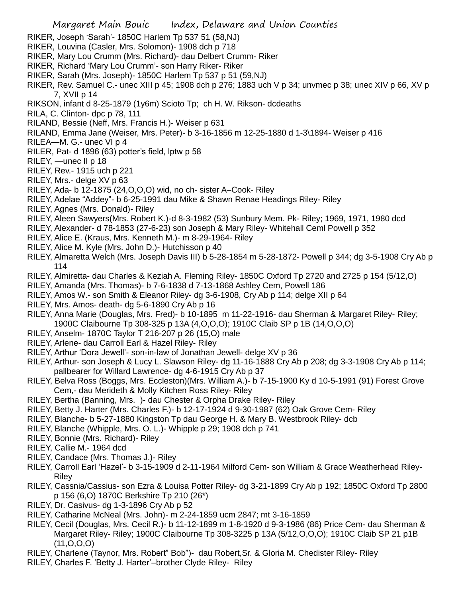- RIKER, Joseph 'Sarah'- 1850C Harlem Tp 537 51 (58,NJ)
- RIKER, Louvina (Casler, Mrs. Solomon)- 1908 dch p 718
- RIKER, Mary Lou Crumm (Mrs. Richard)- dau Delbert Crumm- Riker
- RIKER, Richard 'Mary Lou Crumm'- son Harry Riker- Riker
- RIKER, Sarah (Mrs. Joseph)- 1850C Harlem Tp 537 p 51 (59,NJ)
- RIKER, Rev. Samuel C.- unec XIII p 45; 1908 dch p 276; 1883 uch V p 34; unvmec p 38; unec XIV p 66, XV p 7, XVII p 14
- RIKSON, infant d 8-25-1879 (1y6m) Scioto Tp; ch H. W. Rikson- dcdeaths
- RILA, C. Clinton- dpc p 78, 111
- RILAND, Bessie (Neff, Mrs. Francis H.)- Weiser p 631
- RILAND, Emma Jane (Weiser, Mrs. Peter)- b 3-16-1856 m 12-25-1880 d 1-3\1894- Weiser p 416
- RILEA—M. G.- unec VI p 4
- RILER, Pat- d 1896 (63) potter's field, lptw p 58
- RILEY, —unec II p 18
- RILEY, Rev.- 1915 uch p 221
- RILEY, Mrs.- delge XV p 63
- RILEY, Ada- b 12-1875 (24,O,O,O) wid, no ch- sister A–Cook- Riley
- RILEY, Adelae "Addey"- b 6-25-1991 dau Mike & Shawn Renae Headings Riley- Riley
- RILEY, Agnes (Mrs. Donald)- Riley
- RILEY, Aleen Sawyers(Mrs. Robert K.)-d 8-3-1982 (53) Sunbury Mem. Pk- Riley; 1969, 1971, 1980 dcd
- RILEY, Alexander- d 78-1853 (27-6-23) son Joseph & Mary Riley- Whitehall Ceml Powell p 352
- RILEY, Alice E. (Kraus, Mrs. Kenneth M.)- m 8-29-1964- Riley
- RILEY, Alice M. Kyle (Mrs. John D.)- Hutchisson p 40
- RILEY, Almaretta Welch (Mrs. Joseph Davis III) b 5-28-1854 m 5-28-1872- Powell p 344; dg 3-5-1908 Cry Ab p 114
- RILEY, Almiretta- dau Charles & Keziah A. Fleming Riley- 1850C Oxford Tp 2720 and 2725 p 154 (5/12,O)
- RILEY, Amanda (Mrs. Thomas)- b 7-6-1838 d 7-13-1868 Ashley Cem, Powell 186
- RILEY, Amos W.- son Smith & Eleanor Riley- dg 3-6-1908, Cry Ab p 114; delge XII p 64
- RILEY, Mrs. Amos- death- dg 5-6-1890 Cry Ab p 16
- RILEY, Anna Marie (Douglas, Mrs. Fred)- b 10-1895 m 11-22-1916- dau Sherman & Margaret Riley- Riley; 1900C Claibourne Tp 308-325 p 13A (4,O,O,O); 1910C Claib SP p 1B (14,O,O,O)
- RILEY, Anselm- 1870C Taylor T 216-207 p 26 (15,O) male
- RILEY, Arlene- dau Carroll Earl & Hazel Riley- Riley
- RILEY, Arthur 'Dora Jewell'- son-in-law of Jonathan Jewell- delge XV p 36
- RILEY, Arthur- son Joseph & Lucy L. Slawson Riley- dg 11-16-1888 Cry Ab p 208; dg 3-3-1908 Cry Ab p 114; pallbearer for Willard Lawrence- dg 4-6-1915 Cry Ab p 37
- RILEY, Belva Ross (Boggs, Mrs. Eccleston)(Mrs. William A.)- b 7-15-1900 Ky d 10-5-1991 (91) Forest Grove Cem,- dau Merideth & Molly Kitchen Ross Riley- Riley
- RILEY, Bertha (Banning, Mrs. )- dau Chester & Orpha Drake Riley- Riley
- RILEY, Betty J. Harter (Mrs. Charles F.)- b 12-17-1924 d 9-30-1987 (62) Oak Grove Cem- Riley
- RILEY, Blanche- b 5-27-1880 Kingston Tp dau George H. & Mary B. Westbrook Riley- dcb
- RILEY, Blanche (Whipple, Mrs. O. L.)- Whipple p 29; 1908 dch p 741
- RILEY, Bonnie (Mrs. Richard)- Riley
- RILEY, Callie M.- 1964 dcd
- RILEY, Candace (Mrs. Thomas J.)- Riley
- RILEY, Carroll Earl 'Hazel'- b 3-15-1909 d 2-11-1964 Milford Cem- son William & Grace Weatherhead Riley-Riley
- RILEY, Cassnia/Cassius- son Ezra & Louisa Potter Riley- dg 3-21-1899 Cry Ab p 192; 1850C Oxford Tp 2800 p 156 (6,O) 1870C Berkshire Tp 210 (26\*)
- RILEY, Dr. Casivus- dg 1-3-1896 Cry Ab p 52
- RILEY, Catharine McNeal (Mrs. John)- m 2-24-1859 ucm 2847; mt 3-16-1859
- RILEY, Cecil (Douglas, Mrs. Cecil R.)- b 11-12-1899 m 1-8-1920 d 9-3-1986 (86) Price Cem- dau Sherman & Margaret Riley- Riley; 1900C Claibourne Tp 308-3225 p 13A (5/12,O,O,O); 1910C Claib SP 21 p1B (11,O,O,O)
- RILEY, Charlene (Taynor, Mrs. Robert" Bob")- dau Robert,Sr. & Gloria M. Chedister Riley- Riley
- RILEY, Charles F. 'Betty J. Harter'–brother Clyde Riley- Riley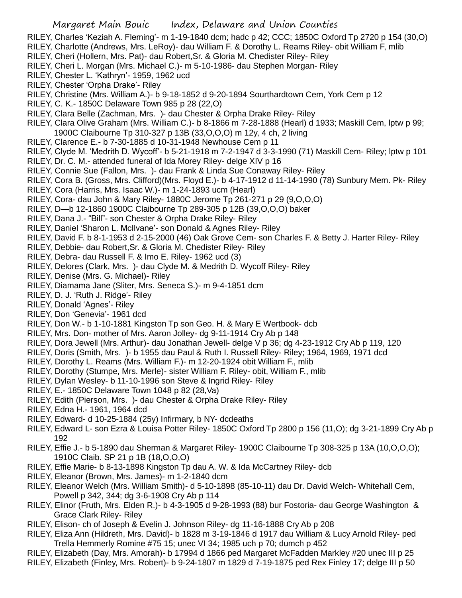- RILEY, Charles 'Keziah A. Fleming'- m 1-19-1840 dcm; hadc p 42; CCC; 1850C Oxford Tp 2720 p 154 (30,O)
- RILEY, Charlotte (Andrews, Mrs. LeRoy)- dau William F. & Dorothy L. Reams Riley- obit William F, mlib
- RILEY, Cheri (Hollern, Mrs. Pat)- dau Robert,Sr. & Gloria M. Chedister Riley- Riley
- RILEY, Cheri L. Morgan (Mrs. Michael C.)- m 5-10-1986- dau Stephen Morgan- Riley
- RILEY, Chester L. 'Kathryn'- 1959, 1962 ucd
- RILEY, Chester 'Orpha Drake'- Riley
- RILEY, Christine (Mrs. William A.)- b 9-18-1852 d 9-20-1894 Sourthardtown Cem, York Cem p 12
- RILEY, C. K.- 1850C Delaware Town 985 p 28 (22,O)
- RILEY, Clara Belle (Zachman, Mrs. )- dau Chester & Orpha Drake Riley- Riley
- RILEY, Clara Olive Graham (Mrs. William C.)- b 8-1866 m 7-28-1888 (Hearl) d 1933; Maskill Cem, lptw p 99; 1900C Claibourne Tp 310-327 p 13B (33,O,O,O) m 12y, 4 ch, 2 living
- RILEY, Clarence E.- b 7-30-1885 d 10-31-1948 Newhouse Cem p 11
- RILEY, Clyde M. 'Medrith D. Wycoff'- b 5-21-1918 m 7-2-1947 d 3-3-1990 (71) Maskill Cem- Riley; lptw p 101
- RILEY, Dr. C. M.- attended funeral of Ida Morey Riley- delge XIV p 16
- RILEY, Connie Sue (Fallon, Mrs. )- dau Frank & Linda Sue Conaway Riley- Riley
- RILEY, Cora B. (Gross, Mrs. Clifford)(Mrs. Floyd E.)- b 4-17-1912 d 11-14-1990 (78) Sunbury Mem. Pk- Riley
- RILEY, Cora (Harris, Mrs. Isaac W.)- m 1-24-1893 ucm (Hearl)
- RILEY, Cora- dau John & Mary Riley- 1880C Jerome Tp 261-271 p 29 (9,O,O,O)
- RILEY, D—b 12-1860 1900C Claibourne Tp 289-305 p 12B (39,O,O,O) baker
- RILEY, Dana J.- "Bill"- son Chester & Orpha Drake Riley- Riley
- RILEY, Daniel 'Sharon L. McIlvane'- son Donald & Agnes Riley- Riley
- RILEY, David F. b 8-1-1953 d 2-15-2000 (46) Oak Grove Cem- son Charles F. & Betty J. Harter Riley- Riley
- RILEY, Debbie- dau Robert,Sr. & Gloria M. Chedister Riley- Riley
- RILEY, Debra- dau Russell F. & Imo E. Riley- 1962 ucd (3)
- RILEY, Delores (Clark, Mrs. )- dau Clyde M. & Medrith D. Wycoff Riley- Riley
- RILEY, Denise (Mrs. G. Michael)- Riley
- RILEY, Diamama Jane (Sliter, Mrs. Seneca S.)- m 9-4-1851 dcm
- RILEY, D. J. 'Ruth J. Ridge'- Riley
- RILEY, Donald 'Agnes'- Riley
- RILEY, Don 'Genevia'- 1961 dcd
- RILEY, Don W.- b 1-10-1881 Kingston Tp son Geo. H. & Mary E Wertbook- dcb
- RILEY, Mrs. Don- mother of Mrs. Aaron Jolley- dg 9-11-1914 Cry Ab p 148
- RILEY, Dora Jewell (Mrs. Arthur)- dau Jonathan Jewell- delge V p 36; dg 4-23-1912 Cry Ab p 119, 120
- RILEY, Doris (Smith, Mrs. )- b 1955 dau Paul & Ruth I. Russell Riley- Riley; 1964, 1969, 1971 dcd
- RILEY, Dorothy L. Reams (Mrs. William F.)- m 12-20-1924 obit William F., mlib
- RILEY, Dorothy (Stumpe, Mrs. Merle)- sister William F. Riley- obit, William F., mlib
- RILEY, Dylan Wesley- b 11-10-1996 son Steve & Ingrid Riley- Riley
- RILEY, E.- 1850C Delaware Town 1048 p 82 (28,Va)
- RILEY, Edith (Pierson, Mrs. )- dau Chester & Orpha Drake Riley- Riley
- RILEY, Edna H.- 1961, 1964 dcd
- RILEY, Edward- d 10-25-1884 (25y) Infirmary, b NY- dcdeaths
- RILEY, Edward L- son Ezra & Louisa Potter Riley- 1850C Oxford Tp 2800 p 156 (11,O); dg 3-21-1899 Cry Ab p 192
- RILEY, Effie J.- b 5-1890 dau Sherman & Margaret Riley- 1900C Claibourne Tp 308-325 p 13A (10,O,O,O); 1910C Claib. SP 21 p 1B (18,O,O,O)
- RILEY, Effie Marie- b 8-13-1898 Kingston Tp dau A. W. & Ida McCartney Riley- dcb
- RILEY, Eleanor (Brown, Mrs. James)- m 1-2-1840 dcm
- RILEY, Eleanor Welch (Mrs. William Smith)- d 5-10-1898 (85-10-11) dau Dr. David Welch- Whitehall Cem, Powell p 342, 344; dg 3-6-1908 Cry Ab p 114
- RILEY, Elinor (Fruth, Mrs. Elden R.)- b 4-3-1905 d 9-28-1993 (88) bur Fostoria- dau George Washington & Grace Clark Riley- Riley
- RILEY, Elison- ch of Joseph & Evelin J. Johnson Riley- dg 11-16-1888 Cry Ab p 208
- RILEY, Eliza Ann (Hildreth, Mrs. David)- b 1828 m 3-19-1846 d 1917 dau William & Lucy Arnold Riley- ped Trella Hemmerly Romine #75 15; unec VI 34; 1985 uch p 70; dumch p 452
- RILEY, Elizabeth (Day, Mrs. Amorah)- b 17994 d 1866 ped Margaret McFadden Markley #20 unec III p 25
- RILEY, Elizabeth (Finley, Mrs. Robert)- b 9-24-1807 m 1829 d 7-19-1875 ped Rex Finley 17; delge III p 50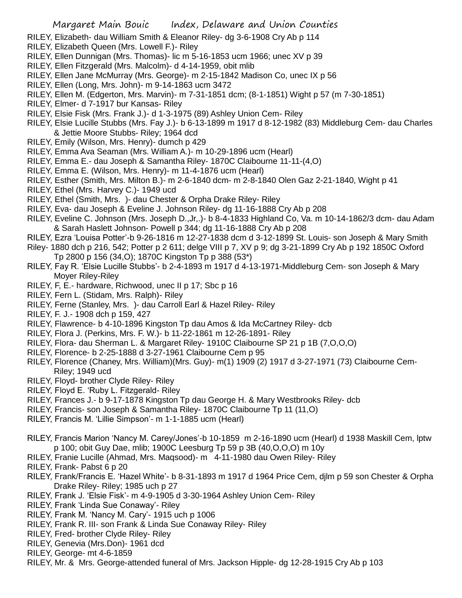- RILEY, Elizabeth- dau William Smith & Eleanor Riley- dg 3-6-1908 Cry Ab p 114
- RILEY, Elizabeth Queen (Mrs. Lowell F.)- Riley
- RILEY, Ellen Dunnigan (Mrs. Thomas)- lic m 5-16-1853 ucm 1966; unec XV p 39
- RILEY, Ellen Fitzgerald (Mrs. Malcolm)- d 4-14-1959, obit mlib
- RILEY, Ellen Jane McMurray (Mrs. George)- m 2-15-1842 Madison Co, unec IX p 56
- RILEY, Ellen (Long, Mrs. John)- m 9-14-1863 ucm 3472
- RILEY, Ellen M. (Edgerton, Mrs. Marvin)- m 7-31-1851 dcm; (8-1-1851) Wight p 57 (m 7-30-1851)
- RILEY, Elmer- d 7-1917 bur Kansas- Riley
- RILEY, Elsie Fisk (Mrs. Frank J.)- d 1-3-1975 (89) Ashley Union Cem- Riley
- RILEY, Elsie Lucille Stubbs (Mrs. Fay J.)- b 6-13-1899 m 1917 d 8-12-1982 (83) Middleburg Cem- dau Charles & Jettie Moore Stubbs- Riley; 1964 dcd
- RILEY, Emily (Wilson, Mrs. Henry)- dumch p 429
- RILEY, Emma Ava Seaman (Mrs. William A.)- m 10-29-1896 ucm (Hearl)
- RILEY, Emma E.- dau Joseph & Samantha Riley- 1870C Claibourne 11-11-(4,O)
- RILEY, Emma E. (Wilson, Mrs. Henry)- m 11-4-1876 ucm (Hearl)
- RILEY, Esther (Smith, Mrs. Milton B.)- m 2-6-1840 dcm- m 2-8-1840 Olen Gaz 2-21-1840, Wight p 41
- RILEY, Ethel (Mrs. Harvey C.)- 1949 ucd
- RILEY, Ethel (Smith, Mrs. )- dau Chester & Orpha Drake Riley- Riley
- RILEY, Eva- dau Joseph & Eveline J. Johnson Riley- dg 11-16-1888 Cry Ab p 208
- RILEY, Eveline C. Johnson (Mrs. Joseph D.,Jr,.)- b 8-4-1833 Highland Co, Va. m 10-14-1862/3 dcm- dau Adam & Sarah Haslett Johnson- Powell p 344; dg 11-16-1888 Cry Ab p 208
- RILEY, Ezra 'Louisa Potter'-b 9-26-1816 m 12-27-1838 dcm d 3-12-1899 St. Louis- son Joseph & Mary Smith
- Riley- 1880 dch p 216, 542; Potter p 2 611; delge VIII p 7, XV p 9; dg 3-21-1899 Cry Ab p 192 1850C Oxford Tp 2800 p 156 (34,O); 1870C Kingston Tp p 388 (53\*)
- RILEY, Fay R. 'Elsie Lucille Stubbs'- b 2-4-1893 m 1917 d 4-13-1971-Middleburg Cem- son Joseph & Mary Moyer Riley-Riley
- RILEY, F, E.- hardware, Richwood, unec II p 17; Sbc p 16
- RILEY, Fern L. (Stidam, Mrs. Ralph)- Riley
- RILEY, Ferne (Stanley, Mrs. )- dau Carroll Earl & Hazel Riley- Riley
- RILEY, F. J.- 1908 dch p 159, 427
- RILEY, Flawrence- b 4-10-1896 Kingston Tp dau Amos & Ida McCartney Riley- dcb
- RILEY, Flora J. (Perkins, Mrs. F. W.)- b 11-22-1861 m 12-26-1891- Riley
- RILEY, Flora- dau Sherman L. & Margaret Riley- 1910C Claibourne SP 21 p 1B (7,O,O,O)
- RILEY, Florence- b 2-25-1888 d 3-27-1961 Claibourne Cem p 95
- RILEY, Florence (Chaney, Mrs. William)(Mrs. Guy)- m(1) 1909 (2) 1917 d 3-27-1971 (73) Claibourne Cem-Riley; 1949 ucd
- RILEY, Floyd- brother Clyde Riley- Riley
- RILEY, Floyd E. 'Ruby L. Fitzgerald- Riley
- RILEY, Frances J.- b 9-17-1878 Kingston Tp dau George H. & Mary Westbrooks Riley- dcb
- RILEY, Francis- son Joseph & Samantha Riley- 1870C Claibourne Tp 11 (11,O)
- RILEY, Francis M. 'Lillie Simpson'- m 1-1-1885 ucm (Hearl)
- RILEY, Francis Marion 'Nancy M. Carey/Jones'-b 10-1859 m 2-16-1890 ucm (Hearl) d 1938 Maskill Cem, lptw p 100; obit Guy Dae, mlib; 1900C Leesburg Tp 59 p 3B (40,O,O,O) m 10y
- RILEY, Franie Lucille (Ahmad, Mrs. Maqsood)- m 4-11-1980 dau Owen Riley- Riley
- RILEY, Frank- Pabst 6 p 20
- RILEY, Frank/Francis E. 'Hazel White'- b 8-31-1893 m 1917 d 1964 Price Cem, djlm p 59 son Chester & Orpha Drake Riley- Riley; 1985 uch p 27
- RILEY, Frank J. 'Elsie Fisk'- m 4-9-1905 d 3-30-1964 Ashley Union Cem- Riley
- RILEY, Frank 'Linda Sue Conaway'- Riley
- RILEY, Frank M. 'Nancy M. Cary'- 1915 uch p 1006
- RILEY, Frank R. III- son Frank & Linda Sue Conaway Riley- Riley
- RILEY, Fred- brother Clyde Riley- Riley
- RILEY, Genevia (Mrs.Don)- 1961 dcd
- RILEY, George- mt 4-6-1859
- RILEY, Mr. & Mrs. George-attended funeral of Mrs. Jackson Hipple- dg 12-28-1915 Cry Ab p 103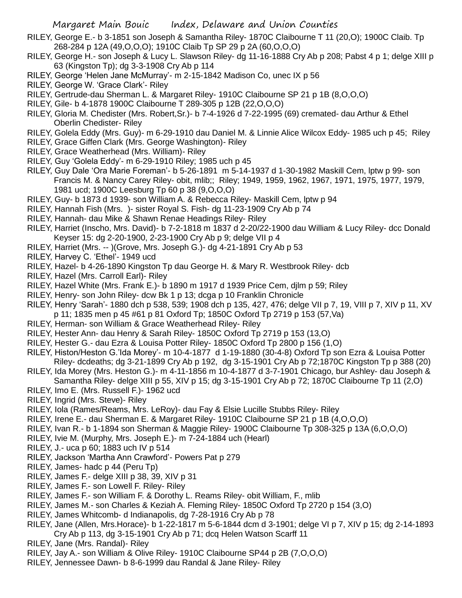- RILEY, George E.- b 3-1851 son Joseph & Samantha Riley- 1870C Claibourne T 11 (20,O); 1900C Claib. Tp 268-284 p 12A (49,O,O,O); 1910C Claib Tp SP 29 p 2A (60,O,O,O)
- RILEY, George H.- son Joseph & Lucy L. Slawson Riley- dg 11-16-1888 Cry Ab p 208; Pabst 4 p 1; delge XIII p 63 (Kingston Tp); dg 3-3-1908 Cry Ab p 114
- RILEY, George 'Helen Jane McMurray'- m 2-15-1842 Madison Co, unec IX p 56
- RILEY, George W. 'Grace Clark'- Riley
- RILEY, Gertrude-dau Sherman L. & Margaret Riley- 1910C Claibourne SP 21 p 1B (8,O,O,O)
- RILEY, Gile- b 4-1878 1900C Claibourne T 289-305 p 12B (22,O,O,O)
- RILEY, Gloria M. Chedister (Mrs. Robert,Sr.)- b 7-4-1926 d 7-22-1995 (69) cremated- dau Arthur & Ethel Oberlin Chedister- Riley
- RILEY, Golela Eddy (Mrs. Guy)- m 6-29-1910 dau Daniel M. & Linnie Alice Wilcox Eddy- 1985 uch p 45; Riley
- RILEY, Grace Giffen Clark (Mrs. George Washington)- Riley
- RILEY, Grace Weatherhead (Mrs. William)- Riley
- RILEY, Guy 'Golela Eddy'- m 6-29-1910 Riley; 1985 uch p 45
- RILEY, Guy Dale 'Ora Marie Foreman'- b 5-26-1891 m 5-14-1937 d 1-30-1982 Maskill Cem, lptw p 99- son Francis M. & Nancy Carey Riley- obit, mlib;; Riley; 1949, 1959, 1962, 1967, 1971, 1975, 1977, 1979, 1981 ucd; 1900C Leesburg Tp 60 p 38 (9,O,O,O)
- RILEY, Guy- b 1873 d 1939- son William A. & Rebecca Riley- Maskill Cem, lptw p 94
- RILEY, Hannah Fish (Mrs. )- sister Royal S. Fish- dg 11-23-1909 Cry Ab p 74
- RILEY, Hannah- dau Mike & Shawn Renae Headings Riley- Riley
- RILEY, Harriet (Inscho, Mrs. David)- b 7-2-1818 m 1837 d 2-20/22-1900 dau William & Lucy Riley- dcc Donald Keyser 15: dg 2-20-1900, 2-23-1900 Cry Ab p 9; delge VII p 4
- RILEY, Harriet (Mrs. -- )(Grove, Mrs. Joseph G.)- dg 4-21-1891 Cry Ab p 53
- RILEY, Harvey C. 'Ethel'- 1949 ucd
- RILEY, Hazel- b 4-26-1890 Kingston Tp dau George H. & Mary R. Westbrook Riley- dcb
- RILEY, Hazel (Mrs. Carroll Earl)- Riley
- RILEY, Hazel White (Mrs. Frank E.)- b 1890 m 1917 d 1939 Price Cem, djlm p 59; Riley
- RILEY, Henry- son John Riley- dcw Bk 1 p 13; dcga p 10 Franklin Chronicle
- RILEY, Henry 'Sarah'- 1880 dch p 538, 539; 1908 dch p 135, 427, 476; delge VII p 7, 19, VIII p 7, XIV p 11, XV p 11; 1835 men p 45 #61 p 81 Oxford Tp; 1850C Oxford Tp 2719 p 153 (57,Va)
- RILEY, Herman- son William & Grace Weatherhead Riley- Riley
- RILEY, Hester Ann- dau Henry & Sarah Riley- 1850C Oxford Tp 2719 p 153 (13,O)
- RILEY, Hester G.- dau Ezra & Louisa Potter Riley- 1850C Oxford Tp 2800 p 156 (1,O)
- RILEY, Histon/Heston G.'Ida Morey'- m 10-4-1877 d 1-19-1880 (30-4-8) Oxford Tp son Ezra & Louisa Potter Riley- dcdeaths; dg 3-21-1899 Cry Ab p 192, dg 3-15-1901 Cry Ab p 72;1870C Kingston Tp p 388 (20)
- RILEY, Ida Morey (Mrs. Heston G.)- m 4-11-1856 m 10-4-1877 d 3-7-1901 Chicago, bur Ashley- dau Joseph & Samantha Riley- delge XIII p 55, XIV p 15; dg 3-15-1901 Cry Ab p 72; 1870C Claibourne Tp 11 (2,O)
- RILEY, Imo E. (Mrs. Russell F.)- 1962 ucd
- RILEY, Ingrid (Mrs. Steve)- Riley
- RILEY, Iola (Rames/Reams, Mrs. LeRoy)- dau Fay & Elsie Lucille Stubbs Riley- Riley
- RILEY, Irene E.- dau Sherman E. & Margaret Riley- 1910C Claibourne SP 21 p 1B (4,O,O,O)
- RILEY, Ivan R.- b 1-1894 son Sherman & Maggie Riley- 1900C Claibourne Tp 308-325 p 13A (6,O,O,O)
- RILEY, Ivie M. (Murphy, Mrs. Joseph E.)- m 7-24-1884 uch (Hearl)
- RILEY, J.- uca p 60; 1883 uch IV p 514
- RILEY, Jackson 'Martha Ann Crawford'- Powers Pat p 279
- RILEY, James- hadc p 44 (Peru Tp)
- RILEY, James F.- delge XIII p 38, 39, XIV p 31
- RILEY, James F.- son Lowell F. Riley- Riley
- RILEY, James F.- son William F. & Dorothy L. Reams Riley- obit William, F., mlib
- RILEY, James M.- son Charles & Keziah A. Fleming Riley- 1850C Oxford Tp 2720 p 154 (3,O)
- RILEY, James Whitcomb- d Indianapolis, dg 7-28-1916 Cry Ab p 78
- RILEY, Jane (Allen, Mrs.Horace)- b 1-22-1817 m 5-6-1844 dcm d 3-1901; delge VI p 7, XIV p 15; dg 2-14-1893 Cry Ab p 113, dg 3-15-1901 Cry Ab p 71; dcq Helen Watson Scarff 11
- RILEY, Jane (Mrs. Randal)- Riley
- RILEY, Jay A.- son William & Olive Riley- 1910C Claibourne SP44 p 2B (7,O,O,O)
- RILEY, Jennessee Dawn- b 8-6-1999 dau Randal & Jane Riley- Riley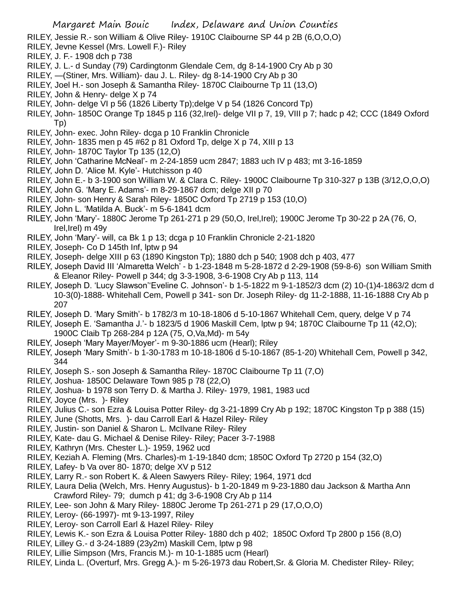RILEY, Jessie R.- son William & Olive Riley- 1910C Claibourne SP 44 p 2B (6,O,O,O)

- RILEY, Jevne Kessel (Mrs. Lowell F.)- Riley
- RILEY, J. F.- 1908 dch p 738
- RILEY, J. L.- d Sunday (79) Cardingtonm Glendale Cem, dg 8-14-1900 Cry Ab p 30
- RILEY, —(Stiner, Mrs. William)- dau J. L. Riley- dg 8-14-1900 Cry Ab p 30
- RILEY, Joel H.- son Joseph & Samantha Riley- 1870C Claibourne Tp 11 (13,O)
- RILEY, John & Henry- delge X p 74
- RILEY, John- delge VI p 56 (1826 Liberty Tp);delge V p 54 (1826 Concord Tp)
- RILEY, John- 1850C Orange Tp 1845 p 116 (32,Irel)- delge VII p 7, 19, VIII p 7; hadc p 42; CCC (1849 Oxford Tp)
- RILEY, John- exec. John Riley- dcga p 10 Franklin Chronicle
- RILEY, John- 1835 men p 45 #62 p 81 Oxford Tp, delge X p 74, XIII p 13
- RILEY, John- 1870C Taylor Tp 135 (12,O)
- RILEY, John 'Catharine McNeal'- m 2-24-1859 ucm 2847; 1883 uch IV p 483; mt 3-16-1859
- RILEY, John D. 'Alice M. Kyle'- Hutchisson p 40
- RILEY, John E.- b 3-1900 son William W. & Clara C. Riley- 1900C Claibourne Tp 310-327 p 13B (3/12,O,O,O)
- RILEY, John G. 'Mary E. Adams'- m 8-29-1867 dcm; delge XII p 70
- RILEY, John- son Henry & Sarah Riley- 1850C Oxford Tp 2719 p 153 (10,O)
- RILEY, John L. 'Matilda A. Buck'- m 5-6-1841 dcm
- RILEY, John 'Mary'- 1880C Jerome Tp 261-271 p 29 (50,O, Irel,Irel); 1900C Jerome Tp 30-22 p 2A (76, O, Irel,Irel) m 49y
- RILEY, John 'Mary'- will, ca Bk 1 p 13; dcga p 10 Franklin Chronicle 2-21-1820
- RILEY, Joseph- Co D 145th Inf, lptw p 94
- RILEY, Joseph- delge XIII p 63 (1890 Kingston Tp); 1880 dch p 540; 1908 dch p 403, 477
- RILEY, Joseph David III 'Almaretta Welch' b 1-23-1848 m 5-28-1872 d 2-29-1908 (59-8-6) son William Smith & Eleanor Riley- Powell p 344; dg 3-3-1908, 3-6-1908 Cry Ab p 113, 114
- RILEY, Joseph D. 'Lucy Slawson''Eveline C. Johnson'- b 1-5-1822 m 9-1-1852/3 dcm (2) 10-(1)4-1863/2 dcm d 10-3(0)-1888- Whitehall Cem, Powell p 341- son Dr. Joseph Riley- dg 11-2-1888, 11-16-1888 Cry Ab p 207
- RILEY, Joseph D. 'Mary Smith'- b 1782/3 m 10-18-1806 d 5-10-1867 Whitehall Cem, query, delge V p 74
- RILEY, Joseph E. 'Samantha J.'- b 1823/5 d 1906 Maskill Cem, lptw p 94; 1870C Claibourne Tp 11 (42,O); 1900C Claib Tp 268-284 p 12A (75, O,Va,Md)- m 54y
- RILEY, Joseph 'Mary Mayer/Moyer'- m 9-30-1886 ucm (Hearl); Riley
- RILEY, Joseph 'Mary Smith'- b 1-30-1783 m 10-18-1806 d 5-10-1867 (85-1-20) Whitehall Cem, Powell p 342, 344
- RILEY, Joseph S.- son Joseph & Samantha Riley- 1870C Claibourne Tp 11 (7,O)
- RILEY, Joshua- 1850C Delaware Town 985 p 78 (22,O)
- RILEY, Joshua- b 1978 son Terry D. & Martha J. Riley- 1979, 1981, 1983 ucd
- RILEY, Joyce (Mrs. )- Riley
- RILEY, Julius C.- son Ezra & Louisa Potter Riley- dg 3-21-1899 Cry Ab p 192; 1870C Kingston Tp p 388 (15)
- RILEY, June (Shotts, Mrs. )- dau Carroll Earl & Hazel Riley- Riley
- RILEY, Justin- son Daniel & Sharon L. McIlvane Riley- Riley
- RILEY, Kate- dau G. Michael & Denise Riley- Riley; Pacer 3-7-1988
- RILEY, Kathryn (Mrs. Chester L.)- 1959, 1962 ucd
- RILEY, Keziah A. Fleming (Mrs. Charles)-m 1-19-1840 dcm; 1850C Oxford Tp 2720 p 154 (32,O)
- RILEY, Lafey- b Va over 80- 1870; delge XV p 512
- RILEY, Larry R.- son Robert K. & Aleen Sawyers Riley- Riley; 1964, 1971 dcd
- RILEY, Laura Delia (Welch, Mrs. Henry Augustus)- b 1-20-1849 m 9-23-1880 dau Jackson & Martha Ann Crawford Riley- 79; dumch p 41; dg 3-6-1908 Cry Ab p 114
- RILEY, Lee- son John & Mary Riley- 1880C Jerome Tp 261-271 p 29 (17,O,O,O)
- RILEY, Leroy- (66-1997)- mt 9-13-1997, Riley
- RILEY, Leroy- son Carroll Earl & Hazel Riley- Riley
- RILEY, Lewis K.- son Ezra & Louisa Potter Riley- 1880 dch p 402; 1850C Oxford Tp 2800 p 156 (8,O)
- RILEY, Lilley G.- d 3-24-1889 (23y2m) Maskill Cem, lptw p 98
- RILEY, Lillie Simpson (Mrs, Francis M.)- m 10-1-1885 ucm (Hearl)
- RILEY, Linda L. (Overturf, Mrs. Gregg A.)- m 5-26-1973 dau Robert,Sr. & Gloria M. Chedister Riley- Riley;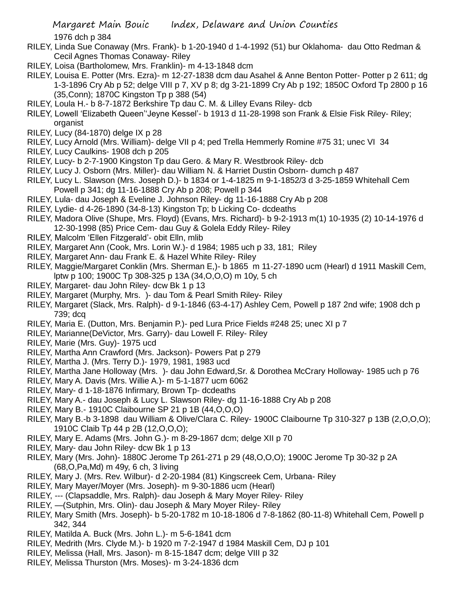1976 dch p 384

- RILEY, Linda Sue Conaway (Mrs. Frank)- b 1-20-1940 d 1-4-1992 (51) bur Oklahoma- dau Otto Redman & Cecil Agnes Thomas Conaway- Riley
- RILEY, Loisa (Bartholomew, Mrs. Franklin)- m 4-13-1848 dcm
- RILEY, Louisa E. Potter (Mrs. Ezra)- m 12-27-1838 dcm dau Asahel & Anne Benton Potter- Potter p 2 611; dg 1-3-1896 Cry Ab p 52; delge VIII p 7, XV p 8; dg 3-21-1899 Cry Ab p 192; 1850C Oxford Tp 2800 p 16 (35,Conn); 1870C Kingston Tp p 388 (54)
- RILEY, Loula H.- b 8-7-1872 Berkshire Tp dau C. M. & Lilley Evans Riley- dcb
- RILEY, Lowell 'Elizabeth Queen''Jeyne Kessel'- b 1913 d 11-28-1998 son Frank & Elsie Fisk Riley- Riley; organist
- RILEY, Lucy (84-1870) delge IX p 28
- RILEY, Lucy Arnold (Mrs. William)- delge VII p 4; ped Trella Hemmerly Romine #75 31; unec VI 34
- RILEY, Lucy Caulkins- 1908 dch p 205
- RILEY, Lucy- b 2-7-1900 Kingston Tp dau Gero. & Mary R. Westbrook Riley- dcb
- RILEY, Lucy J. Osborn (Mrs. Miller)- dau William N. & Harriet Dustin Osborn- dumch p 487
- RILEY, Lucy L. Slawson (Mrs. Joseph D.)- b 1834 or 1-4-1825 m 9-1-1852/3 d 3-25-1859 Whitehall Cem Powell p 341; dg 11-16-1888 Cry Ab p 208; Powell p 344
- RILEY, Lula- dau Joseph & Eveline J. Johnson Riley- dg 11-16-1888 Cry Ab p 208
- RILEY, Lydie- d 4-26-1890 (34-8-13) Kingston Tp; b Licking Co- dcdeaths
- RILEY, Madora Olive (Shupe, Mrs. Floyd) (Evans, Mrs. Richard)- b 9-2-1913 m(1) 10-1935 (2) 10-14-1976 d 12-30-1998 (85) Price Cem- dau Guy & Golela Eddy Riley- Riley
- RILEY, Malcolm 'Ellen Fitzgerald'- obit Elln, mlib
- RILEY, Margaret Ann (Cook, Mrs. Lorin W.)- d 1984; 1985 uch p 33, 181; Riley
- RILEY, Margaret Ann- dau Frank E. & Hazel White Riley- Riley
- RILEY, Maggie/Margaret Conklin (Mrs. Sherman E,)- b 1865 m 11-27-1890 ucm (Hearl) d 1911 Maskill Cem, lptw p 100; 1900C Tp 308-325 p 13A (34,O,O,O) m 10y, 5 ch
- RILEY, Margaret- dau John Riley- dcw Bk 1 p 13
- RILEY, Margaret (Murphy, Mrs. )- dau Tom & Pearl Smith Riley- Riley
- RILEY, Margaret (Slack, Mrs. Ralph)- d 9-1-1846 (63-4-17) Ashley Cem, Powell p 187 2nd wife; 1908 dch p 739; dcq
- RILEY, Maria E. (Dutton, Mrs. Benjamin P.)- ped Lura Price Fields #248 25; unec XI p 7
- RILEY, Marianne(DeVictor, Mrs. Garry)- dau Lowell F. Riley- Riley
- RILEY, Marie (Mrs. Guy)- 1975 ucd
- RILEY, Martha Ann Crawford (Mrs. Jackson)- Powers Pat p 279
- RILEY, Martha J. (Mrs. Terry D.)- 1979, 1981, 1983 ucd
- RILEY, Martha Jane Holloway (Mrs. )- dau John Edward,Sr. & Dorothea McCrary Holloway- 1985 uch p 76
- RILEY, Mary A. Davis (Mrs. Willie A.)- m 5-1-1877 ucm 6062
- RILEY, Mary- d 1-18-1876 Infirmary, Brown Tp- dcdeaths
- RILEY, Mary A.- dau Joseph & Lucy L. Slawson Riley- dg 11-16-1888 Cry Ab p 208
- RILEY, Mary B.- 1910C Claibourne SP 21 p 1B (44,O,O,O)
- RILEY, Mary B.-b 3-1898 dau William & Olive/Clara C. Riley- 1900C Claibourne Tp 310-327 p 13B (2,O,O,O); 1910C Claib Tp 44 p 2B (12,O,O,O);
- RILEY, Mary E. Adams (Mrs. John G.)- m 8-29-1867 dcm; delge XII p 70
- RILEY, Mary- dau John Riley- dcw Bk 1 p 13
- RILEY, Mary (Mrs. John)- 1880C Jerome Tp 261-271 p 29 (48,O,O,O); 1900C Jerome Tp 30-32 p 2A (68,O,Pa,Md) m 49y, 6 ch, 3 living
- RILEY, Mary J. (Mrs. Rev. Wilbur)- d 2-20-1984 (81) Kingscreek Cem, Urbana- Riley
- RILEY, Mary Mayer/Moyer (Mrs. Joseph)- m 9-30-1886 ucm (Hearl)
- RILEY, --- (Clapsaddle, Mrs. Ralph)- dau Joseph & Mary Moyer Riley- Riley
- RILEY, —(Sutphin, Mrs. Olin)- dau Joseph & Mary Moyer Riley- Riley
- RILEY, Mary Smith (Mrs. Joseph)- b 5-20-1782 m 10-18-1806 d 7-8-1862 (80-11-8) Whitehall Cem, Powell p 342, 344
- RILEY, Matilda A. Buck (Mrs. John L.)- m 5-6-1841 dcm
- RILEY, Medrith (Mrs. Clyde M.)- b 1920 m 7-2-1947 d 1984 Maskill Cem, DJ p 101
- RILEY, Melissa (Hall, Mrs. Jason)- m 8-15-1847 dcm; delge VIII p 32
- RILEY, Melissa Thurston (Mrs. Moses)- m 3-24-1836 dcm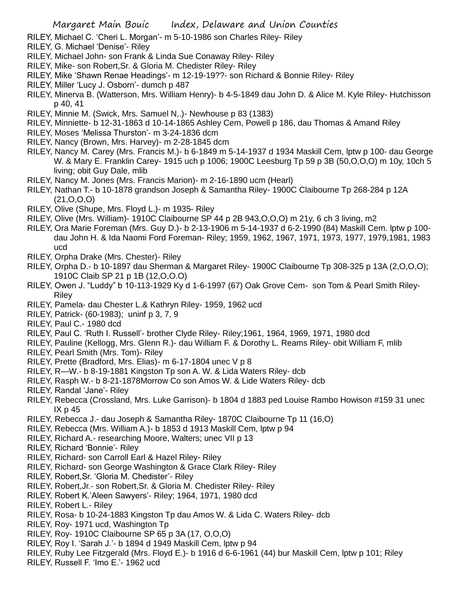- RILEY, Michael C. 'Cheri L. Morgan'- m 5-10-1986 son Charles Riley- Riley
- RILEY, G. Michael 'Denise'- Riley
- RILEY, Michael John- son Frank & Linda Sue Conaway Riley- Riley
- RILEY, Mike- son Robert,Sr. & Gloria M. Chedister Riley- Riley
- RILEY, Mike 'Shawn Renae Headings'- m 12-19-19??- son Richard & Bonnie Riley- Riley
- RILEY, Miller 'Lucy J. Osborn'- dumch p 487
- RILEY, Minerva B. (Watterson, Mrs. William Henry)- b 4-5-1849 dau John D. & Alice M. Kyle Riley- Hutchisson p 40, 41
- RILEY, Minnie M. (Swick, Mrs. Samuel N,.)- Newhouse p 83 (1383)
- RILEY, Minniette- b 12-31-1863 d 10-14-1865 Ashley Cem, Powell p 186, dau Thomas & Amand Riley
- RILEY, Moses 'Melissa Thurston'- m 3-24-1836 dcm
- RILEY, Nancy (Brown, Mrs. Harvey)- m 2-28-1845 dcm
- RILEY, Nancy M. Carey (Mrs. Francis M.)- b 6-1849 m 5-14-1937 d 1934 Maskill Cem, lptw p 100- dau George W. & Mary E. Franklin Carey- 1915 uch p 1006; 1900C Leesburg Tp 59 p 3B (50,O,O,O) m 10y, 10ch 5 living; obit Guy Dale, mlib
- RILEY, Nancy M. Jones (Mrs. Francis Marion)- m 2-16-1890 ucm (Hearl)
- RILEY, Nathan T.- b 10-1878 grandson Joseph & Samantha Riley- 1900C Claibourne Tp 268-284 p 12A (21,O,O,O)
- RILEY, Olive (Shupe, Mrs. Floyd L.)- m 1935- Riley
- RILEY, Olive (Mrs. William)- 1910C Claibourne SP 44 p 2B 943,O,O,O) m 21y, 6 ch 3 living, m2
- RILEY, Ora Marie Foreman (Mrs. Guy D.)- b 2-13-1906 m 5-14-1937 d 6-2-1990 (84) Maskill Cem. lptw p 100 dau John H. & Ida Naomi Ford Foreman- Riley; 1959, 1962, 1967, 1971, 1973, 1977, 1979,1981, 1983 ucd
- RILEY, Orpha Drake (Mrs. Chester)- Riley
- RILEY, Orpha D.- b 10-1897 dau Sherman & Margaret Riley- 1900C Claibourne Tp 308-325 p 13A (2,O,O,O); 1910C Claib SP 21 p 1B (12,O,O.O)
- RILEY, Owen J. "Luddy" b 10-113-1929 Ky d 1-6-1997 (67) Oak Grove Cem- son Tom & Pearl Smith Riley-Riley
- RILEY, Pamela- dau Chester L.& Kathryn Riley- 1959, 1962 ucd
- RILEY, Patrick- (60-1983); uninf p 3, 7, 9
- RILEY, Paul C.- 1980 dcd
- RILEY, Paul C. 'Ruth I. Russell'- brother Clyde Riley- Riley;1961, 1964, 1969, 1971, 1980 dcd
- RILEY, Pauline (Kellogg, Mrs. Glenn R.)- dau William F. & Dorothy L. Reams Riley- obit William F, mlib
- RILEY, Pearl Smith (Mrs. Tom)- Riley
- RILEY, Prette (Bradford, Mrs. Elias)- m 6-17-1804 unec V p 8
- RILEY, R—W.- b 8-19-1881 Kingston Tp son A. W. & Lida Waters Riley- dcb
- RILEY, Rasph W.- b 8-21-1878Morrow Co son Amos W. & Lide Waters Riley- dcb
- RILEY, Randal 'Jane'- Riley
- RILEY, Rebecca (Crossland, Mrs. Luke Garrison)- b 1804 d 1883 ped Louise Rambo Howison #159 31 unec IX p 45
- RILEY, Rebecca J.- dau Joseph & Samantha Riley- 1870C Claibourne Tp 11 (16,O)
- RILEY, Rebecca (Mrs. William A.)- b 1853 d 1913 Maskill Cem, lptw p 94
- RILEY, Richard A.- researching Moore, Walters; unec VII p 13
- RILEY, Richard 'Bonnie'- Riley
- RILEY, Richard- son Carroll Earl & Hazel Riley- Riley
- RILEY, Richard- son George Washington & Grace Clark Riley- Riley
- RILEY, Robert,Sr. 'Gloria M. Chedister'- Riley
- RILEY, Robert,Jr.- son Robert,Sr. & Gloria M. Chedister Riley- Riley
- RILEY, Robert K.'Aleen Sawyers'- Riley; 1964, 1971, 1980 dcd
- RILEY, Robert L.- Riley
- RILEY, Rosa- b 10-24-1883 Kingston Tp dau Amos W. & Lida C. Waters Riley- dcb
- RILEY, Roy- 1971 ucd, Washington Tp
- RILEY, Roy- 1910C Claibourne SP 65 p 3A (17, O,O,O)
- RILEY, Roy I. 'Sarah J.'- b 1894 d 1949 Maskill Cem, lptw p 94
- RILEY, Ruby Lee Fitzgerald (Mrs. Floyd E.)- b 1916 d 6-6-1961 (44) bur Maskill Cem, lptw p 101; Riley
- RILEY, Russell F. 'Imo E.'- 1962 ucd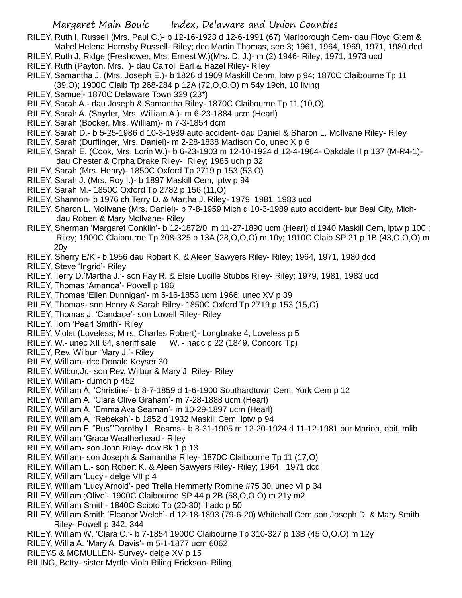- RILEY, Ruth I. Russell (Mrs. Paul C.)- b 12-16-1923 d 12-6-1991 (67) Marlborough Cem- dau Floyd G;em & Mabel Helena Hornsby Russell- Riley; dcc Martin Thomas, see 3; 1961, 1964, 1969, 1971, 1980 dcd
- RILEY, Ruth J. Ridge (Freshower, Mrs. Ernest W.)(Mrs. D. J.)- m (2) 1946- Riley; 1971, 1973 ucd
- RILEY, Ruth (Payton, Mrs. )- dau Carroll Earl & Hazel Riley- Riley
- RILEY, Samantha J. (Mrs. Joseph E.)- b 1826 d 1909 Maskill Cenm, lptw p 94; 1870C Claibourne Tp 11 (39,O); 1900C Claib Tp 268-284 p 12A (72,O,O,O) m 54y 19ch, 10 living
- RILEY, Samuel- 1870C Delaware Town 329 (23\*)
- RILEY, Sarah A.- dau Joseph & Samantha Riley- 1870C Claibourne Tp 11 (10,O)
- RILEY, Sarah A. (Snyder, Mrs. William A.)- m 6-23-1884 ucm (Hearl)
- RILEY, Sarah (Booker, Mrs. William)- m 7-3-1854 dcm
- RILEY, Sarah D.- b 5-25-1986 d 10-3-1989 auto accident- dau Daniel & Sharon L. McIlvane Riley- Riley
- RILEY, Sarah (Durflinger, Mrs. Daniel)- m 2-28-1838 Madison Co, unec X p 6
- RILEY, Sarah E. (Cook, Mrs. Lorin W.)- b 6-23-1903 m 12-10-1924 d 12-4-1964- Oakdale II p 137 (M-R4-1) dau Chester & Orpha Drake Riley- Riley; 1985 uch p 32
- RILEY, Sarah (Mrs. Henry)- 1850C Oxford Tp 2719 p 153 (53,O)
- RILEY, Sarah J. (Mrs. Roy I.)- b 1897 Maskill Cem, lptw p 94
- RILEY, Sarah M.- 1850C Oxford Tp 2782 p 156 (11,O)
- RILEY, Shannon- b 1976 ch Terry D. & Martha J. Riley- 1979, 1981, 1983 ucd
- RILEY, Sharon L. McIlvane (Mrs. Daniel)- b 7-8-1959 Mich d 10-3-1989 auto accident- bur Beal City, Michdau Robert & Mary McIlvane- Riley
- RILEY, Sherman 'Margaret Conklin'- b 12-1872/0 m 11-27-1890 ucm (Hearl) d 1940 Maskill Cem, lptw p 100 ; Riley; 1900C Claibourne Tp 308-325 p 13A (28,O,O,O) m 10y; 1910C Claib SP 21 p 1B (43,O,O,O) m 20y
- RILEY, Sherry E/K.- b 1956 dau Robert K. & Aleen Sawyers Riley- Riley; 1964, 1971, 1980 dcd

RILEY, Steve 'Ingrid'- Riley

- RILEY, Terry D.'Martha J.'- son Fay R. & Elsie Lucille Stubbs Riley- Riley; 1979, 1981, 1983 ucd
- RILEY, Thomas 'Amanda'- Powell p 186
- RILEY, Thomas 'Ellen Dunnigan'- m 5-16-1853 ucm 1966; unec XV p 39
- RILEY, Thomas- son Henry & Sarah Riley- 1850C Oxford Tp 2719 p 153 (15,O)
- RILEY, Thomas J. 'Candace'- son Lowell Riley- Riley
- RILEY, Tom 'Pearl Smith'- Riley
- RILEY, Violet (Loveless, M rs. Charles Robert)- Longbrake 4; Loveless p 5
- RILEY, W.- unec XII 64, sheriff sale W. hadc p 22 (1849, Concord Tp)
- RILEY, Rev. Wilbur 'Mary J.'- Riley
- RILEY, William- dcc Donald Keyser 30
- RILEY, Wilbur,Jr.- son Rev. Wilbur & Mary J. Riley- Riley
- RILEY, William- dumch p 452
- RILEY, William A. 'Christine'- b 8-7-1859 d 1-6-1900 Southardtown Cem, York Cem p 12
- RILEY, William A. 'Clara Olive Graham'- m 7-28-1888 ucm (Hearl)
- RILEY, William A. 'Emma Ava Seaman'- m 10-29-1897 ucm (Hearl)
- RILEY, William A. 'Rebekah'- b 1852 d 1932 Maskill Cem, lptw p 94
- RILEY, William F. "Bus"'Dorothy L. Reams'- b 8-31-1905 m 12-20-1924 d 11-12-1981 bur Marion, obit, mlib
- RILEY, William 'Grace Weatherhead'- Riley
- RILEY, William- son John Riley- dcw Bk 1 p 13
- RILEY, William- son Joseph & Samantha Riley- 1870C Claibourne Tp 11 (17,O)
- RILEY, William L.- son Robert K. & Aleen Sawyers Riley- Riley; 1964, 1971 dcd
- RILEY, William 'Lucy'- delge VII p 4
- RILEY, William 'Lucy Arnold'- ped Trella Hemmerly Romine #75 30l unec VI p 34
- RILEY, William ;Olive'- 1900C Claibourne SP 44 p 2B (58,O,O,O) m 21y m2
- RILEY, William Smith- 1840C Scioto Tp (20-30); hadc p 50
- RILEY, William Smith 'Eleanor Welch'- d 12-18-1893 (79-6-20) Whitehall Cem son Joseph D. & Mary Smith Riley- Powell p 342, 344
- RILEY, William W. 'Clara C.'- b 7-1854 1900C Claibourne Tp 310-327 p 13B (45,O,O.O) m 12y
- RILEY, Willia A. 'Mary A. Davis'- m 5-1-1877 ucm 6062
- RILEYS & MCMULLEN- Survey- delge XV p 15
- RILING, Betty- sister Myrtle Viola Riling Erickson- Riling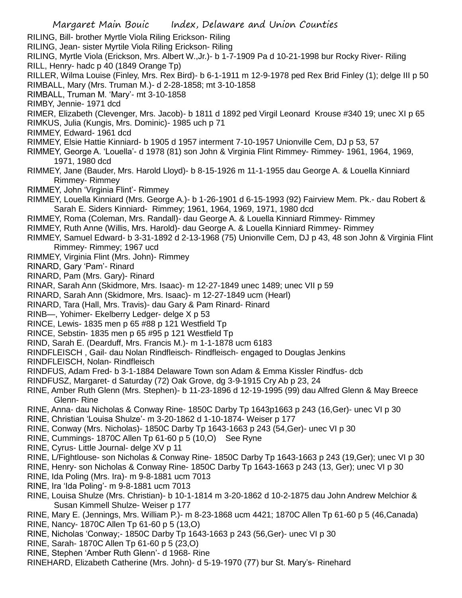RILING, Bill- brother Myrtle Viola Riling Erickson- Riling RILING, Jean- sister Myrtile Viola Riling Erickson- Riling RILING, Myrtle Viola (Erickson, Mrs. Albert W.,Jr.)- b 1-7-1909 Pa d 10-21-1998 bur Rocky River- Riling RILL, Henry- hadc p 40 (1849 Orange Tp) RILLER, Wilma Louise (Finley, Mrs. Rex Bird)- b 6-1-1911 m 12-9-1978 ped Rex Brid Finley (1); delge III p 50 RIMBALL, Mary (Mrs. Truman M.)- d 2-28-1858; mt 3-10-1858 RIMBALL, Truman M. 'Mary'- mt 3-10-1858 RIMBY, Jennie- 1971 dcd RIMER, Elizabeth (Clevenger, Mrs. Jacob)- b 1811 d 1892 ped Virgil Leonard Krouse #340 19; unec XI p 65 RIMKUS, Julia (Kungis, Mrs. Dominic)- 1985 uch p 71 RIMMEY, Edward- 1961 dcd RIMMEY, Elsie Hattie Kinniard- b 1905 d 1957 interment 7-10-1957 Unionville Cem, DJ p 53, 57 RIMMEY, George A. 'Louella'- d 1978 (81) son John & Virginia Flint Rimmey- Rimmey- 1961, 1964, 1969, 1971, 1980 dcd RIMMEY, Jane (Bauder, Mrs. Harold Lloyd)- b 8-15-1926 m 11-1-1955 dau George A. & Louella Kinniard Rimmey- Rimmey RIMMEY, John 'Virginia Flint'- Rimmey RIMMEY, Louella Kinniard (Mrs. George A.)- b 1-26-1901 d 6-15-1993 (92) Fairview Mem. Pk.- dau Robert & Sarah E. Siders Kinniard- Rimmey; 1961, 1964, 1969, 1971, 1980 dcd RIMMEY, Roma (Coleman, Mrs. Randall)- dau George A. & Louella Kinniard Rimmey- Rimmey RIMMEY, Ruth Anne (Willis, Mrs. Harold)- dau George A. & Louella Kinniard Rimmey- Rimmey RIMMEY, Samuel Edward- b 3-31-1892 d 2-13-1968 (75) Unionville Cem, DJ p 43, 48 son John & Virginia Flint Rimmey- Rimmey; 1967 ucd RIMMEY, Virginia Flint (Mrs. John)- Rimmey RINARD, Gary 'Pam'- Rinard RINARD, Pam (Mrs. Gary)- Rinard RINAR, Sarah Ann (Skidmore, Mrs. Isaac)- m 12-27-1849 unec 1489; unec VII p 59 RINARD, Sarah Ann (Skidmore, Mrs. Isaac)- m 12-27-1849 ucm (Hearl) RINARD, Tara (Hall, Mrs. Travis)- dau Gary & Pam Rinard- Rinard RINB—, Yohimer- Ekelberry Ledger- delge X p 53 RINCE, Lewis- 1835 men p 65 #88 p 121 Westfield Tp RINCE, Sebstin- 1835 men p 65 #95 p 121 Westfield Tp RIND, Sarah E. (Dearduff, Mrs. Francis M.)- m 1-1-1878 ucm 6183 RINDFLEISCH , Gail- dau Nolan Rindfleisch- Rindfleisch- engaged to Douglas Jenkins RINDFLEISCH, Nolan- Rindfleisch RINDFUS, Adam Fred- b 3-1-1884 Delaware Town son Adam & Emma Kissler Rindfus- dcb RINDFUSZ, Margaret- d Saturday (72) Oak Grove, dg 3-9-1915 Cry Ab p 23, 24 RINE, Amber Ruth Glenn (Mrs. Stephen)- b 11-23-1896 d 12-19-1995 (99) dau Alfred Glenn & May Breece Glenn- Rine RINE, Anna- dau Nicholas & Conway Rine- 1850C Darby Tp 1643p1663 p 243 (16,Ger)- unec VI p 30 RINE, Christian 'Louisa Shulze'- m 3-20-1862 d 1-10-1874- Weiser p 177 RINE, Conway (Mrs. Nicholas)- 1850C Darby Tp 1643-1663 p 243 (54,Ger)- unec VI p 30 RINE, Cummings- 1870C Allen Tp 61-60 p 5 (10,O) See Ryne RINE, Cyrus- Little Journal- delge XV p 11 RINE, L/Fightlouse- son Nicholas & Conway Rine- 1850C Darby Tp 1643-1663 p 243 (19,Ger); unec VI p 30 RINE, Henry- son Nicholas & Conway Rine- 1850C Darby Tp 1643-1663 p 243 (13, Ger); unec VI p 30

- RINE, Ida Poling (Mrs. Ira)- m 9-8-1881 ucm 7013
- RINE, Ira 'Ida Poling'- m 9-8-1881 ucm 7013
- RINE, Louisa Shulze (Mrs. Christian)- b 10-1-1814 m 3-20-1862 d 10-2-1875 dau John Andrew Melchior & Susan Kimmell Shulze- Weiser p 177
- RINE, Mary E. (Jennings, Mrs. William P.)- m 8-23-1868 ucm 4421; 1870C Allen Tp 61-60 p 5 (46,Canada)
- RINE, Nancy- 1870C Allen Tp 61-60 p 5 (13,O)
- RINE, Nicholas 'Conway;- 1850C Darby Tp 1643-1663 p 243 (56,Ger)- unec VI p 30
- RINE, Sarah- 1870C Allen Tp 61-60 p 5 (23,O)
- RINE, Stephen 'Amber Ruth Glenn'- d 1968- Rine
- RINEHARD, Elizabeth Catherine (Mrs. John)- d 5-19-1970 (77) bur St. Mary's- Rinehard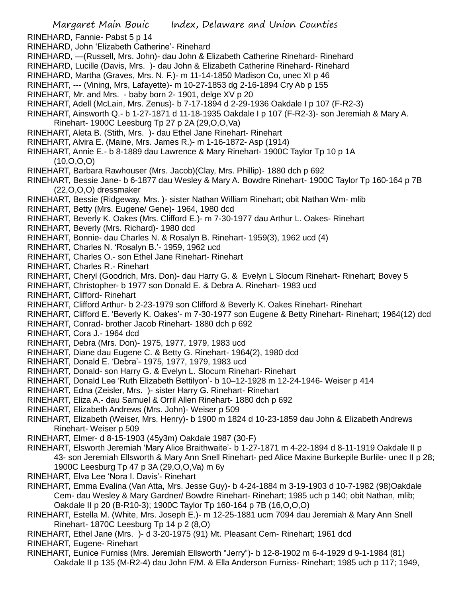RINEHARD, Fannie- Pabst 5 p 14 RINEHARD, John 'Elizabeth Catherine'- Rinehard RINEHARD, —(Russell, Mrs. John)- dau John & Elizabeth Catherine Rinehard- Rinehard RINEHARD, Lucille (Davis, Mrs. )- dau John & Elizabeth Catherine Rinehard- Rinehard RINEHARD, Martha (Graves, Mrs. N. F.)- m 11-14-1850 Madison Co, unec XI p 46 RINEHART, --- (Vining, Mrs, Lafayette)- m 10-27-1853 dg 2-16-1894 Cry Ab p 155 RINEHART, Mr. and Mrs. - baby born 2- 1901, delge XV p 20 RINEHART, Adell (McLain, Mrs. Zenus)- b 7-17-1894 d 2-29-1936 Oakdale I p 107 (F-R2-3) RINEHART, Ainsworth Q.- b 1-27-1871 d 11-18-1935 Oakdale I p 107 (F-R2-3)- son Jeremiah & Mary A. Rinehart- 1900C Leesburg Tp 27 p 2A (29,O,O,Va) RINEHART, Aleta B. (Stith, Mrs. )- dau Ethel Jane Rinehart- Rinehart RINEHART, Alvira E. (Maine, Mrs. James R.)- m 1-16-1872- Asp (1914) RINEHART, Annie E.- b 8-1889 dau Lawrence & Mary Rinehart- 1900C Taylor Tp 10 p 1A (10,O,O,O) RINEHART, Barbara Rawhouser (Mrs. Jacob)(Clay, Mrs. Phillip)- 1880 dch p 692 RINEHART, Bessie Jane- b 6-1877 dau Wesley & Mary A. Bowdre Rinehart- 1900C Taylor Tp 160-164 p 7B (22,O,O,O) dressmaker RINEHART, Bessie (Ridgeway, Mrs. )- sister Nathan William Rinehart; obit Nathan Wm- mlib RINEHART, Betty (Mrs. Eugene/ Gene)- 1964, 1980 dcd RINEHART, Beverly K. Oakes (Mrs. Clifford E.)- m 7-30-1977 dau Arthur L. Oakes- Rinehart RINEHART, Beverly (Mrs. Richard)- 1980 dcd RINEHART, Bonnie- dau Charles N. & Rosalyn B. Rinehart- 1959(3), 1962 ucd (4) RINEHART, Charles N. 'Rosalyn B.'- 1959, 1962 ucd RINEHART, Charles O.- son Ethel Jane Rinehart- Rinehart RINEHART, Charles R.- Rinehart RINEHART, Cheryl (Goodrich, Mrs. Don)- dau Harry G. & Evelyn L Slocum Rinehart- Rinehart; Bovey 5 RINEHART, Christopher- b 1977 son Donald E. & Debra A. Rinehart- 1983 ucd RINEHART, Clifford- Rinehart RINEHART, Clifford Arthur- b 2-23-1979 son Clifford & Beverly K. Oakes Rinehart- Rinehart RINEHART, Clifford E. 'Beverly K. Oakes'- m 7-30-1977 son Eugene & Betty Rinehart- Rinehart; 1964(12) dcd RINEHART, Conrad- brother Jacob Rinehart- 1880 dch p 692 RINEHART, Cora J.- 1964 dcd RINEHART, Debra (Mrs. Don)- 1975, 1977, 1979, 1983 ucd RINEHART, Diane dau Eugene C. & Betty G. Rinehart- 1964(2), 1980 dcd RINEHART, Donald E. 'Debra'- 1975, 1977, 1979, 1983 ucd RINEHART, Donald- son Harry G. & Evelyn L. Slocum Rinehart- Rinehart RINEHART, Donald Lee 'Ruth Elizabeth Bettilyon'- b 10–12-1928 m 12-24-1946- Weiser p 414 RINEHART, Edna (Zeisler, Mrs. )- sister Harry G. Rinehart- Rinehart RINEHART, Eliza A.- dau Samuel & Orril Allen Rinehart- 1880 dch p 692 RINEHART, Elizabeth Andrews (Mrs. John)- Weiser p 509 RINEHART, Elizabeth (Weiser, Mrs. Henry)- b 1900 m 1824 d 10-23-1859 dau John & Elizabeth Andrews Rinehart- Weiser p 509 RINEHART, Elmer- d 8-15-1903 (45y3m) Oakdale 1987 (30-F) RINEHART, Elsworth Jeremiah 'Mary Alice Braithwaite'- b 1-27-1871 m 4-22-1894 d 8-11-1919 Oakdale II p 43- son Jeremiah Ellsworth & Mary Ann Snell Rinehart- ped Alice Maxine Burkepile Burlile- unec II p 28; 1900C Leesburg Tp 47 p 3A (29,O,O,Va) m 6y RINEHART, Elva Lee 'Nora I. Davis'- Rinehart RINEHART, Emma Evalina (Van Atta, Mrs. Jesse Guy)- b 4-24-1884 m 3-19-1903 d 10-7-1982 (98)Oakdale Cem- dau Wesley & Mary Gardner/ Bowdre Rinehart- Rinehart; 1985 uch p 140; obit Nathan, mlib;

Oakdale II p 20 (B-R10-3); 1900C Taylor Tp 160-164 p 7B (16,O,O,O)

- RINEHART, Estella M. (White, Mrs. Joseph E.)- m 12-25-1881 ucm 7094 dau Jeremiah & Mary Ann Snell Rinehart- 1870C Leesburg Tp 14 p 2 (8,O)
- RINEHART, Ethel Jane (Mrs. )- d 3-20-1975 (91) Mt. Pleasant Cem- Rinehart; 1961 dcd
- RINEHART, Eugene- Rinehart
- RINEHART, Eunice Furniss (Mrs. Jeremiah Ellsworth "Jerry")- b 12-8-1902 m 6-4-1929 d 9-1-1984 (81) Oakdale II p 135 (M-R2-4) dau John F/M. & Ella Anderson Furniss- Rinehart; 1985 uch p 117; 1949,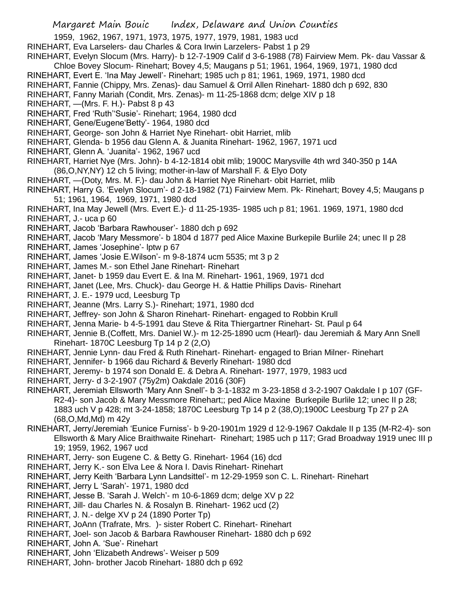1959, 1962, 1967, 1971, 1973, 1975, 1977, 1979, 1981, 1983 ucd

- RINEHART, Eva Larselers- dau Charles & Cora Irwin Larzelers- Pabst 1 p 29
- RINEHART, Evelyn Slocum (Mrs. Harry)- b 12-7-1909 Calif d 3-6-1988 (78) Fairview Mem. Pk- dau Vassar &
- Chloe Bovey Slocum- Rinehart; Bovey 4,5; Maugans p 51; 1961, 1964, 1969, 1971, 1980 dcd
- RINEHART, Evert E. 'Ina May Jewell'- Rinehart; 1985 uch p 81; 1961, 1969, 1971, 1980 dcd
- RINEHART, Fannie (Chippy, Mrs. Zenas)- dau Samuel & Orril Allen Rinehart- 1880 dch p 692, 830
- RINEHART, Fanny Mariah (Condit, Mrs. Zenas)- m 11-25-1868 dcm; delge XIV p 18
- RINEHART, —(Mrs. F. H.)- Pabst 8 p 43
- RINEHART, Fred 'Ruth''Susie'- Rinehart; 1964, 1980 dcd
- RINEHART, Gene/Eugene'Betty'- 1964, 1980 dcd
- RINEHART, George- son John & Harriet Nye Rinehart- obit Harriet, mlib
- RINEHART, Glenda- b 1956 dau Glenn A. & Juanita Rinehart- 1962, 1967, 1971 ucd
- RINEHART, Glenn A. 'Juanita'- 1962, 1967 ucd
- RINEHART, Harriet Nye (Mrs. John)- b 4-12-1814 obit mlib; 1900C Marysville 4th wrd 340-350 p 14A (86,O,NY,NY) 12 ch 5 living; mother-in-law of Marshall F. & Elyo Doty
- RINEHART, —(Doty, Mrs. M. F.)- dau John & Harriet Nye Rinehart- obit Harriet, mlib
- RINEHART, Harry G. 'Evelyn Slocum'- d 2-18-1982 (71) Fairview Mem. Pk- Rinehart; Bovey 4,5; Maugans p 51; 1961, 1964, 1969, 1971, 1980 dcd
- RINEHART, Ina May Jewell (Mrs. Evert E.)- d 11-25-1935- 1985 uch p 81; 1961. 1969, 1971, 1980 dcd RINEHART, J.- uca p 60
- RINEHART, Jacob 'Barbara Rawhouser'- 1880 dch p 692
- RINEHART, Jacob 'Mary Messmore'- b 1804 d 1877 ped Alice Maxine Burkepile Burlile 24; unec II p 28
- RINEHART, James 'Josephine'- lptw p 67
- RINEHART, James 'Josie E.Wilson'- m 9-8-1874 ucm 5535; mt 3 p 2
- RINEHART, James M.- son Ethel Jane Rinehart- Rinehart
- RINEHART, Janet- b 1959 dau Evert E. & Ina M. Rinehart- 1961, 1969, 1971 dcd
- RINEHART, Janet (Lee, Mrs. Chuck)- dau George H. & Hattie Phillips Davis- Rinehart
- RINEHART, J. E.- 1979 ucd, Leesburg Tp
- RINEHART, Jeanne (Mrs. Larry S.)- Rinehart; 1971, 1980 dcd
- RINEHART, Jeffrey- son John & Sharon Rinehart- Rinehart- engaged to Robbin Krull
- RINEHART, Jenna Marie- b 4-5-1991 dau Steve & Rita Thiergartner Rinehart- St. Paul p 64
- RINEHART, Jennie B.(Coffett, Mrs. Daniel W.)- m 12-25-1890 ucm (Hearl)- dau Jeremiah & Mary Ann Snell Rinehart- 1870C Leesburg Tp 14 p 2 (2,O)
- RINEHART, Jennie Lynn- dau Fred & Ruth Rinehart- Rinehart- engaged to Brian Milner- Rinehart
- RINEHART, Jennifer- b 1966 dau Richard & Beverly Rinehart- 1980 dcd
- RINEHART, Jeremy- b 1974 son Donald E. & Debra A. Rinehart- 1977, 1979, 1983 ucd
- RINEHART, Jerry- d 3-2-1907 (75y2m) Oakdale 2016 (30F)
- RINEHART, Jeremiah Ellsworth 'Mary Ann Snell'- b 3-1-1832 m 3-23-1858 d 3-2-1907 Oakdale I p 107 (GF-R2-4)- son Jacob & Mary Messmore Rinehart;; ped Alice Maxine Burkepile Burlile 12; unec II p 28; 1883 uch V p 428; mt 3-24-1858; 1870C Leesburg Tp 14 p 2 (38,O);1900C Leesburg Tp 27 p 2A (68,O,Md,Md) m 42y
- RINEHART, Jerry/Jeremiah 'Eunice Furniss'- b 9-20-1901m 1929 d 12-9-1967 Oakdale II p 135 (M-R2-4)- son Ellsworth & Mary Alice Braithwaite Rinehart- Rinehart; 1985 uch p 117; Grad Broadway 1919 unec III p 19; 1959, 1962, 1967 ucd
- RINEHART, Jerry- son Eugene C. & Betty G. Rinehart- 1964 (16) dcd
- RINEHART, Jerry K.- son Elva Lee & Nora I. Davis Rinehart- Rinehart
- RINEHART, Jerry Keith 'Barbara Lynn Landsittel'- m 12-29-1959 son C. L. Rinehart- Rinehart
- RINEHART, Jerry L 'Sarah'- 1971, 1980 dcd
- RINEHART, Jesse B. 'Sarah J. Welch'- m 10-6-1869 dcm; delge XV p 22
- RINEHART, Jill- dau Charles N. & Rosalyn B. Rinehart- 1962 ucd (2)
- RINEHART, J. N.- delge XV p 24 (1890 Porter Tp)
- RINEHART, JoAnn (Trafrate, Mrs. )- sister Robert C. Rinehart- Rinehart
- RINEHART, Joel- son Jacob & Barbara Rawhouser Rinehart- 1880 dch p 692
- RINEHART, John A. 'Sue'- Rinehart
- RINEHART, John 'Elizabeth Andrews'- Weiser p 509
- RINEHART, John- brother Jacob Rinehart- 1880 dch p 692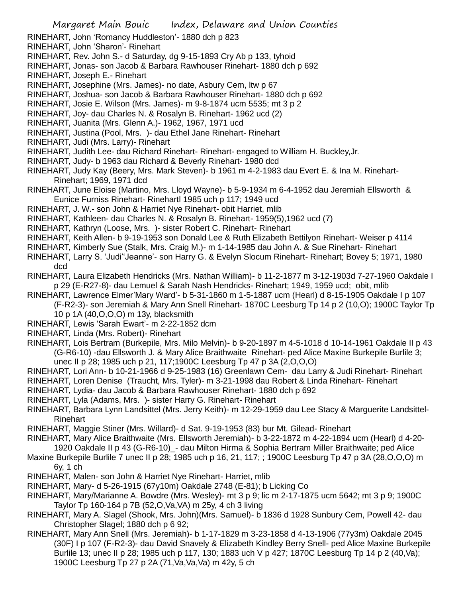RINEHART, John 'Romancy Huddleston'- 1880 dch p 823

RINEHART, John 'Sharon'- Rinehart

- RINEHART, Rev. John S.- d Saturday, dg 9-15-1893 Cry Ab p 133, tyhoid
- RINEHART, Jonas- son Jacob & Barbara Rawhouser Rinehart- 1880 dch p 692
- RINEHART, Joseph E.- Rinehart
- RINEHART, Josephine (Mrs. James)- no date, Asbury Cem, ltw p 67
- RINEHART, Joshua- son Jacob & Barbara Rawhouser Rinehart- 1880 dch p 692
- RINEHART, Josie E. Wilson (Mrs. James)- m 9-8-1874 ucm 5535; mt 3 p 2
- RINEHART, Joy- dau Charles N. & Rosalyn B. Rinehart- 1962 ucd (2)
- RINEHART, Juanita (Mrs. Glenn A.)- 1962, 1967, 1971 ucd
- RINEHART, Justina (Pool, Mrs. )- dau Ethel Jane Rinehart- Rinehart
- RINEHART, Judi (Mrs. Larry)- Rinehart
- RINEHART, Judith Lee- dau Richard Rinehart- Rinehart- engaged to William H. Buckley,Jr.
- RINEHART, Judy- b 1963 dau Richard & Beverly Rinehart- 1980 dcd
- RINEHART, Judy Kay (Beery, Mrs. Mark Steven)- b 1961 m 4-2-1983 dau Evert E. & Ina M. Rinehart-Rinehart; 1969, 1971 dcd
- RINEHART, June Eloise (Martino, Mrs. Lloyd Wayne)- b 5-9-1934 m 6-4-1952 dau Jeremiah Ellsworth & Eunice Furniss Rinehart- Rinehartl 1985 uch p 117; 1949 ucd
- RINEHART, J. W.- son John & Harriet Nye Rinehart- obit Harriet, mlib
- RINEHART, Kathleen- dau Charles N. & Rosalyn B. Rinehart- 1959(5),1962 ucd (7)
- RINEHART, Kathryn (Loose, Mrs. )- sister Robert C. Rinehart- Rinehart
- RINEHART, Keith Allen- b 9-19-1953 son Donald Lee & Ruth Elizabeth Bettilyon Rinehart- Weiser p 4114
- RINEHART, Kimberly Sue (Stalk, Mrs. Craig M.)- m 1-14-1985 dau John A. & Sue Rinehart- Rinehart
- RINEHART, Larry S. 'Judi''Jeanne'- son Harry G. & Evelyn Slocum Rinehart- Rinehart; Bovey 5; 1971, 1980 dcd
- RINEHART, Laura Elizabeth Hendricks (Mrs. Nathan William)- b 11-2-1877 m 3-12-1903d 7-27-1960 Oakdale I p 29 (E-R27-8)- dau Lemuel & Sarah Nash Hendricks- Rinehart; 1949, 1959 ucd; obit, mlib
- RINEHART, Lawrence Elmer'Mary Ward'- b 5-31-1860 m 1-5-1887 ucm (Hearl) d 8-15-1905 Oakdale I p 107 (F-R2-3)- son Jeremiah & Mary Ann Snell Rinehart- 1870C Leesburg Tp 14 p 2 (10,O); 1900C Taylor Tp
	- 10 p 1A (40,O,O,O) m 13y, blacksmith
- RINEHART, Lewis 'Sarah Ewart'- m 2-22-1852 dcm
- RINEHART, Linda (Mrs. Robert)- Rinehart
- RINEHART, Lois Bertram (Burkepile, Mrs. Milo Melvin)- b 9-20-1897 m 4-5-1018 d 10-14-1961 Oakdale II p 43 (G-R6-10) -dau Ellsworth J. & Mary Alice Braithwaite Rinehart- ped Alice Maxine Burkepile Burlile 3; unec II p 28; 1985 uch p 21, 117;1900C Leesburg Tp 47 p 3A (2,O,O,O)
- RINEHART, Lori Ann- b 10-21-1966 d 9-25-1983 (16) Greenlawn Cem- dau Larry & Judi Rinehart- Rinehart
- RINEHART, Loren Denise (Traucht, Mrs. Tyler)- m 3-21-1998 dau Robert & Linda Rinehart- Rinehart
- RINEHART, Lydia- dau Jacob & Barbara Rawhouser Rinehart- 1880 dch p 692
- RINEHART, Lyla (Adams, Mrs. )- sister Harry G. Rinehart- Rinehart
- RINEHART, Barbara Lynn Landsittel (Mrs. Jerry Keith)- m 12-29-1959 dau Lee Stacy & Marguerite Landsittel-Rinehart
- RINEHART, Maggie Stiner (Mrs. Willard)- d Sat. 9-19-1953 (83) bur Mt. Gilead- Rinehart
- RINEHART, Mary Alice Braithwaite (Mrs. Ellsworth Jeremiah)- b 3-22-1872 m 4-22-1894 ucm (Hearl) d 4-20- 1920 Oakdale II p 43 (G-R6-10)\_- dau Milton Hirma & Sophia Bertram Miller Braithwaite; ped Alice
- Maxine Burkepile Burlile 7 unec II p 28; 1985 uch p 16, 21, 117; ; 1900C Leesburg Tp 47 p 3A (28,O,O,O) m 6y, 1 ch
- RINEHART, Malen- son John & Harriet Nye Rinehart- Harriet, mlib
- RINEHART, Mary- d 5-26-1915 (67y10m) Oakdale 2748 (E-81); b Licking Co
- RINEHART, Mary/Marianne A. Bowdre (Mrs. Wesley)- mt 3 p 9; lic m 2-17-1875 ucm 5642; mt 3 p 9; 1900C Taylor Tp 160-164 p 7B (52,O,Va,VA) m 25y, 4 ch 3 living
- RINEHART, Mary A. Slagel (Shook, Mrs. John)(Mrs. Samuel)- b 1836 d 1928 Sunbury Cem, Powell 42- dau Christopher Slagel; 1880 dch p 6 92;
- RINEHART, Mary Ann Snell (Mrs. Jeremiah)- b 1-17-1829 m 3-23-1858 d 4-13-1906 (77y3m) Oakdale 2045 (30F) I p 107 (F-R2-3)- dau David Snavely & Elizabeth Kindley Berry Snell- ped Alice Maxine Burkepile Burlile 13; unec II p 28; 1985 uch p 117, 130; 1883 uch V p 427; 1870C Leesburg Tp 14 p 2 (40,Va); 1900C Leesburg Tp 27 p 2A (71,Va,Va,Va) m 42y, 5 ch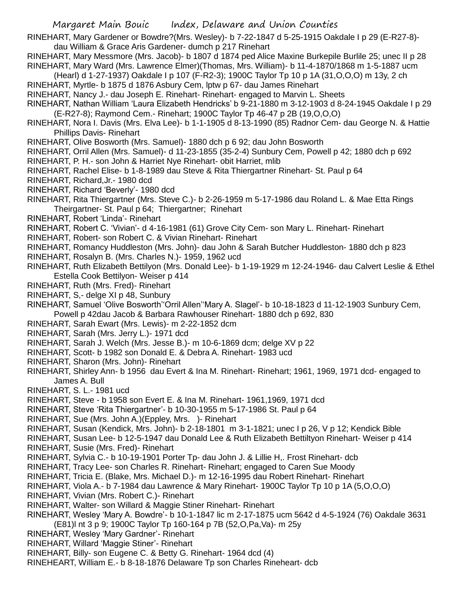RINEHART, Mary Gardener or Bowdre?(Mrs. Wesley)- b 7-22-1847 d 5-25-1915 Oakdale I p 29 (E-R27-8) dau William & Grace Aris Gardener- dumch p 217 Rinehart

- RINEHART, Mary Messmore (Mrs. Jacob)- b 1807 d 1874 ped Alice Maxine Burkepile Burlile 25; unec II p 28 RINEHART, Mary Ward (Mrs. Lawrence Elmer)(Thomas, Mrs. William)- b 11-4-1870/1868 m 1-5-1887 ucm
- (Hearl) d 1-27-1937) Oakdale I p 107 (F-R2-3); 1900C Taylor Tp 10 p 1A (31,O,O,O) m 13y, 2 ch RINEHART, Myrtle- b 1875 d 1876 Asbury Cem, lptw p 67- dau James Rinehart
- RINEHART, Nancy J.- dau Joseph E. Rinehart- Rinehart- engaged to Marvin L. Sheets
- RINEHART, Nathan William 'Laura Elizabeth Hendricks' b 9-21-1880 m 3-12-1903 d 8-24-1945 Oakdale I p 29 (E-R27-8); Raymond Cem.- Rinehart; 1900C Taylor Tp 46-47 p 2B (19,O,O,O)
- RINEHART, Nora I. Davis (Mrs. Elva Lee)- b 1-1-1905 d 8-13-1990 (85) Radnor Cem- dau George N. & Hattie Phillips Davis- Rinehart
- RINEHART, Olive Bosworth (Mrs. Samuel)- 1880 dch p 6 92; dau John Bosworth
- RINEHART, Orril Allen (Mrs. Samuel)- d 11-23-1855 (35-2-4) Sunbury Cem, Powell p 42; 1880 dch p 692
- RINEHART, P. H.- son John & Harriet Nye Rinehart- obit Harriet, mlib
- RINEHART, Rachel Elise- b 1-8-1989 dau Steve & Rita Thiergartner Rinehart- St. Paul p 64
- RINEHART, Richard,Jr.- 1980 dcd
- RINEHART, Richard 'Beverly'- 1980 dcd
- RINEHART, Rita Thiergartner (Mrs. Steve C.)- b 2-26-1959 m 5-17-1986 dau Roland L. & Mae Etta Rings Theirgartner- St. Paul p 64; Thiergartner; Rinehart
- RINEHART, Robert 'Linda'- Rinehart
- RINEHART, Robert C. 'Vivian'- d 4-16-1981 (61) Grove City Cem- son Mary L. Rinehart- Rinehart
- RINEHART, Robert- son Robert C. & Vivian Rinehart- Rinehart
- RINEHART, Romancy Huddleston (Mrs. John)- dau John & Sarah Butcher Huddleston- 1880 dch p 823
- RINEHART, Rosalyn B. (Mrs. Charles N.)- 1959, 1962 ucd
- RINEHART, Ruth Elizabeth Bettilyon (Mrs. Donald Lee)- b 1-19-1929 m 12-24-1946- dau Calvert Leslie & Ethel Estella Cook Bettilyon- Weiser p 414
- RINEHART, Ruth (Mrs. Fred)- Rinehart
- RINEHART, S,- delge XI p 48, Sunbury
- RINEHART, Samuel 'Olive Bosworth''Orril Allen''Mary A. Slagel'- b 10-18-1823 d 11-12-1903 Sunbury Cem, Powell p 42dau Jacob & Barbara Rawhouser Rinehart- 1880 dch p 692, 830
- RINEHART, Sarah Ewart (Mrs. Lewis)- m 2-22-1852 dcm
- RINEHART, Sarah (Mrs. Jerry L.)- 1971 dcd
- RINEHART, Sarah J. Welch (Mrs. Jesse B.)- m 10-6-1869 dcm; delge XV p 22
- RINEHART, Scott- b 1982 son Donald E. & Debra A. Rinehart- 1983 ucd
- RINEHART, Sharon (Mrs. John)- Rinehart
- RINEHART, Shirley Ann- b 1956 dau Evert & Ina M. Rinehart- Rinehart; 1961, 1969, 1971 dcd- engaged to James A. Bull
- RINEHART, S. L.- 1981 ucd
- RINEHART, Steve b 1958 son Evert E. & Ina M. Rinehart- 1961,1969, 1971 dcd
- RINEHART, Steve 'Rita Thiergartner'- b 10-30-1955 m 5-17-1986 St. Paul p 64
- RINEHART, Sue (Mrs. John A.)(Eppley, Mrs. )- Rinehart
- RINEHART, Susan (Kendick, Mrs. John)- b 2-18-1801 m 3-1-1821; unec I p 26, V p 12; Kendick Bible
- RINEHART, Susan Lee- b 12-5-1947 dau Donald Lee & Ruth Elizabeth Bettiltyon Rinehart- Weiser p 414
- RINEHART, Susie (Mrs. Fred)- Rinehart
- RINEHART, Sylvia C.- b 10-19-1901 Porter Tp- dau John J. & Lillie H,. Frost Rinehart- dcb
- RINEHART, Tracy Lee- son Charles R. Rinehart- Rinehart; engaged to Caren Sue Moody
- RINEHART, Tricia E. (Blake, Mrs. Michael D.)- m 12-16-1995 dau Robert Rinehart- Rinehart
- RINEHART, Viola A.- b 7-1984 dau Lawrence & Mary Rinehart- 1900C Taylor Tp 10 p 1A (5,O,O,O)
- RINEHART, Vivian (Mrs. Robert C.)- Rinehart
- RINEHART, Walter- son Willard & Maggie Stiner Rinehart- Rinehart
- RINEHART, Wesley 'Mary A. Bowdre'- b 10-1-1847 lic m 2-17-1875 ucm 5642 d 4-5-1924 (76) Oakdale 3631 (E81)l nt 3 p 9; 1900C Taylor Tp 160-164 p 7B (52,O,Pa,Va)- m 25y
- RINEHART, Wesley 'Mary Gardner'- Rinehart
- RINEHART, Willard 'Maggie Stiner'- Rinehart
- RINEHART, Billy- son Eugene C. & Betty G. Rinehart- 1964 dcd (4)
- RINEHEART, William E.- b 8-18-1876 Delaware Tp son Charles Rineheart- dcb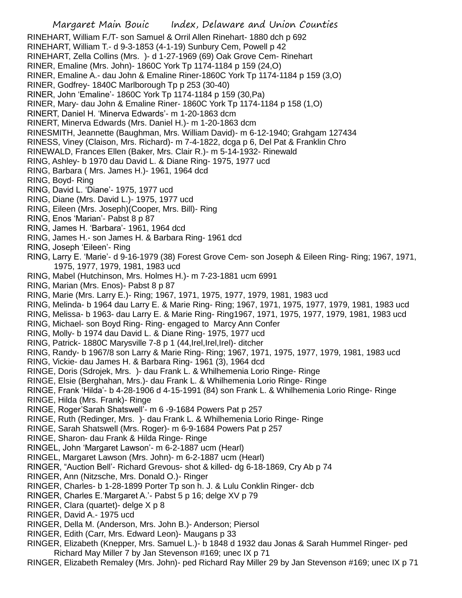Margaret Main Bouic Index, Delaware and Union Counties RINEHART, William F./T- son Samuel & Orril Allen Rinehart- 1880 dch p 692 RINEHART, William T.- d 9-3-1853 (4-1-19) Sunbury Cem, Powell p 42 RINEHART, Zella Collins (Mrs. )- d 1-27-1969 (69) Oak Grove Cem- Rinehart RINER, Emaline (Mrs. John)- 1860C York Tp 1174-1184 p 159 (24,O) RINER, Emaline A.- dau John & Emaline Riner-1860C York Tp 1174-1184 p 159 (3,O) RINER, Godfrey- 1840C Marlborough Tp p 253 (30-40) RINER, John 'Emaline'- 1860C York Tp 1174-1184 p 159 (30,Pa) RINER, Mary- dau John & Emaline Riner- 1860C York Tp 1174-1184 p 158 (1,O) RINERT, Daniel H. 'Minerva Edwards'- m 1-20-1863 dcm RINERT, Minerva Edwards (Mrs. Daniel H.)- m 1-20-1863 dcm RINESMITH, Jeannette (Baughman, Mrs. William David)- m 6-12-1940; Grahgam 127434 RINESS, Viney (Claison, Mrs. Richard)- m 7-4-1822, dcga p 6, Del Pat & Franklin Chro RINEWALD, Frances Ellen (Baker, Mrs. Clair R.)- m 5-14-1932- Rinewald RING, Ashley- b 1970 dau David L. & Diane Ring- 1975, 1977 ucd RING, Barbara ( Mrs. James H.)- 1961, 1964 dcd RING, Boyd- Ring RING, David L. 'Diane'- 1975, 1977 ucd RING, Diane (Mrs. David L.)- 1975, 1977 ucd RING, Eileen (Mrs. Joseph)(Cooper, Mrs. Bill)- Ring RING, Enos 'Marian'- Pabst 8 p 87 RING, James H. 'Barbara'- 1961, 1964 dcd RING, James H.- son James H. & Barbara Ring- 1961 dcd RING, Joseph 'Eileen'- Ring RING, Larry E. 'Marie'- d 9-16-1979 (38) Forest Grove Cem- son Joseph & Eileen Ring- Ring; 1967, 1971, 1975, 1977, 1979, 1981, 1983 ucd RING, Mabel (Hutchinson, Mrs. Holmes H.)- m 7-23-1881 ucm 6991 RING, Marian (Mrs. Enos)- Pabst 8 p 87 RING, Marie (Mrs. Larry E.)- Ring; 1967, 1971, 1975, 1977, 1979, 1981, 1983 ucd RING, Melinda- b 1964 dau Larry E. & Marie Ring- Ring; 1967, 1971, 1975, 1977, 1979, 1981, 1983 ucd RING, Melissa- b 1963- dau Larry E. & Marie Ring- Ring1967, 1971, 1975, 1977, 1979, 1981, 1983 ucd RING, Michael- son Boyd Ring- Ring- engaged to Marcy Ann Confer RING, Molly- b 1974 dau David L. & Diane Ring- 1975, 1977 ucd RING, Patrick- 1880C Marysville 7-8 p 1 (44, Irel, Irel, Irel) - ditcher RING, Randy- b 1967/8 son Larry & Marie Ring- Ring; 1967, 1971, 1975, 1977, 1979, 1981, 1983 ucd RING, Vickie- dau James H. & Barbara Ring- 1961 (3), 1964 dcd RINGE, Doris (Sdrojek, Mrs. )- dau Frank L. & Whilhemenia Lorio Ringe- Ringe RINGE, Elsie (Berghahan, Mrs.)- dau Frank L. & Whilhemenia Lorio Ringe- Ringe RINGE, Frank 'Hilda'- b 4-28-1906 d 4-15-1991 (84) son Frank L. & Whilhemenia Lorio Ringe- Ringe RINGE, Hilda (Mrs. Frank)- Ringe RINGE, Roger'Sarah Shatswell'- m 6 -9-1684 Powers Pat p 257 RINGE, Ruth (Redinger, Mrs. )- dau Frank L. & Whilhemenia Lorio Ringe- Ringe RINGE, Sarah Shatswell (Mrs. Roger)- m 6-9-1684 Powers Pat p 257 RINGE, Sharon- dau Frank & Hilda Ringe- Ringe RINGEL, John 'Margaret Lawson'- m 6-2-1887 ucm (Hearl) RINGEL, Margaret Lawson (Mrs. John)- m 6-2-1887 ucm (Hearl) RINGER, "Auction Bell'- Richard Grevous- shot & killed- dg 6-18-1869, Cry Ab p 74 RINGER, Ann (Nitzsche, Mrs. Donald O.)- Ringer RINGER, Charles- b 1-28-1899 Porter Tp son h. J. & Lulu Conklin Ringer- dcb RINGER, Charles E.'Margaret A.'- Pabst 5 p 16; delge XV p 79 RINGER, Clara (quartet)- delge X p 8 RINGER, David A.- 1975 ucd RINGER, Della M. (Anderson, Mrs. John B.)- Anderson; Piersol RINGER, Edith (Carr, Mrs. Edward Leon)- Maugans p 33 RINGER, Elizabeth (Knepper, Mrs. Samuel L.)- b 1848 d 1932 dau Jonas & Sarah Hummel Ringer- ped Richard May Miller 7 by Jan Stevenson #169; unec IX p 71

RINGER, Elizabeth Remaley (Mrs. John)- ped Richard Ray Miller 29 by Jan Stevenson #169; unec IX p 71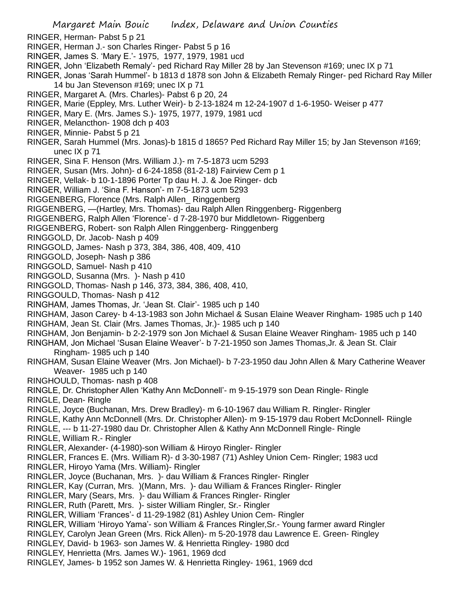- RINGER, Herman- Pabst 5 p 21
- RINGER, Herman J.- son Charles Ringer- Pabst 5 p 16
- RINGER, James S. 'Mary E.'- 1975, 1977, 1979, 1981 ucd
- RINGER, John 'Elizabeth Remaly'- ped Richard Ray Miller 28 by Jan Stevenson #169; unec IX p 71

RINGER, Jonas 'Sarah Hummel'- b 1813 d 1878 son John & Elizabeth Remaly Ringer- ped Richard Ray Miller 14 bu Jan Stevenson #169; unec IX p 71

- RINGER, Margaret A. (Mrs. Charles)- Pabst 6 p 20, 24
- RINGER, Marie (Eppley, Mrs. Luther Weir)- b 2-13-1824 m 12-24-1907 d 1-6-1950- Weiser p 477
- RINGER, Mary E. (Mrs. James S.)- 1975, 1977, 1979, 1981 ucd
- RINGER, Melancthon- 1908 dch p 403
- RINGER, Minnie- Pabst 5 p 21
- RINGER, Sarah Hummel (Mrs. Jonas)-b 1815 d 1865? Ped Richard Ray Miller 15; by Jan Stevenson #169; unec IX p 71
- RINGER, Sina F. Henson (Mrs. William J.)- m 7-5-1873 ucm 5293
- RINGER, Susan (Mrs. John)- d 6-24-1858 (81-2-18) Fairview Cem p 1
- RINGER, Vellak- b 10-1-1896 Porter Tp dau H. J. & Joe Ringer- dcb
- RINGER, William J. 'Sina F. Hanson'- m 7-5-1873 ucm 5293
- RIGGENBERG, Florence (Mrs. Ralph Allen\_ Ringgenberg
- RIGGENBERG, —(Hartley, Mrs. Thomas)- dau Ralph Allen Ringgenberg- Riggenberg
- RIGGENBERG, Ralph Allen 'Florence'- d 7-28-1970 bur Middletown- Riggenberg
- RIGGENBERG, Robert- son Ralph Allen Ringgenberg- Ringgenberg
- RINGGOLD, Dr. Jacob- Nash p 409
- RINGGOLD, James- Nash p 373, 384, 386, 408, 409, 410
- RINGGOLD, Joseph- Nash p 386
- RINGGOLD, Samuel- Nash p 410
- RINGGOLD, Susanna (Mrs. )- Nash p 410
- RINGGOLD, Thomas- Nash p 146, 373, 384, 386, 408, 410,
- RINGGOULD, Thomas- Nash p 412
- RINGHAM, James Thomas, Jr. 'Jean St. Clair'- 1985 uch p 140
- RINGHAM, Jason Carey- b 4-13-1983 son John Michael & Susan Elaine Weaver Ringham- 1985 uch p 140
- RINGHAM, Jean St. Clair (Mrs. James Thomas, Jr.)- 1985 uch p 140
- RINGHAM, Jon Benjamin- b 2-2-1979 son Jon Michael & Susan Elaine Weaver Ringham- 1985 uch p 140
- RINGHAM, Jon Michael 'Susan Elaine Weaver'- b 7-21-1950 son James Thomas,Jr. & Jean St. Clair Ringham- 1985 uch p 140
- RINGHAM, Susan Elaine Weaver (Mrs. Jon Michael)- b 7-23-1950 dau John Allen & Mary Catherine Weaver Weaver- 1985 uch p 140
- RINGHOULD, Thomas- nash p 408
- RINGLE, Dr. Christopher Allen 'Kathy Ann McDonnell'- m 9-15-1979 son Dean Ringle- Ringle
- RINGLE, Dean- Ringle
- RINGLE, Joyce (Buchanan, Mrs. Drew Bradley)- m 6-10-1967 dau William R. Ringler- Ringler
- RINGLE, Kathy Ann McDonnell (Mrs. Dr. Christopher Allen)- m 9-15-1979 dau Robert McDonnell- Riingle
- RINGLE, --- b 11-27-1980 dau Dr. Christopher Allen & Kathy Ann McDonnell Ringle- Ringle
- RINGLE, William R.- Ringler
- RINGLER, Alexander- (4-1980)-son William & Hiroyo Ringler- Ringler
- RINGLER, Frances E. (Mrs. William R)- d 3-30-1987 (71) Ashley Union Cem- Ringler; 1983 ucd
- RINGLER, Hiroyo Yama (Mrs. William)- Ringler
- RINGLER, Joyce (Buchanan, Mrs. )- dau William & Frances Ringler- Ringler
- RINGLER, Kay (Curran, Mrs. )(Mann, Mrs. )- dau William & Frances Ringler- Ringler
- RINGLER, Mary (Sears, Mrs. )- dau William & Frances Ringler- Ringler
- RINGLER, Ruth (Parett, Mrs. )- sister William Ringler, Sr.- Ringler
- RINGLER, William 'Frances'- d 11-29-1982 (81) Ashley Union Cem- Ringler
- RINGLER, William 'Hiroyo Yama'- son William & Frances Ringler,Sr.- Young farmer award Ringler
- RINGLEY, Carolyn Jean Green (Mrs. Rick Allen)- m 5-20-1978 dau Lawrence E. Green- Ringley
- RINGLEY, David- b 1963- son James W. & Henrietta Ringley- 1980 dcd
- RINGLEY, Henrietta (Mrs. James W.)- 1961, 1969 dcd
- RINGLEY, James- b 1952 son James W. & Henrietta Ringley- 1961, 1969 dcd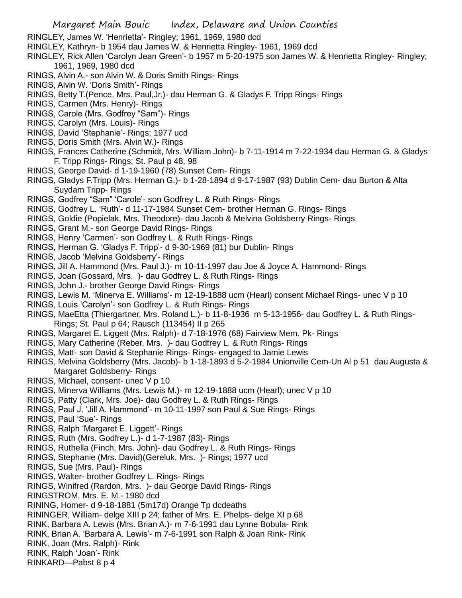- RINGLEY, James W. 'Henrietta'- Ringley; 1961, 1969, 1980 dcd
- RINGLEY, Kathryn- b 1954 dau James W. & Henrietta Ringley- 1961, 1969 dcd
- RINGLEY, Rick Allen 'Carolyn Jean Green'- b 1957 m 5-20-1975 son James W. & Henrietta Ringley- Ringley; 1961, 1969, 1980 dcd
- RINGS, Alvin A.- son Alvin W. & Doris Smith Rings- Rings
- RINGS, Alvin W. 'Doris Smith'- Rings
- RINGS, Betty T.(Pence, Mrs. Paul,Jr.)- dau Herman G. & Gladys F. Tripp Rings- Rings
- RINGS, Carmen (Mrs. Henry)- Rings
- RINGS, Carole (Mrs. Godfrey "Sam")- Rings
- RINGS, Carolyn (Mrs. Louis)- Rings
- RINGS, David 'Stephanie'- Rings; 1977 ucd
- RINGS, Doris Smith (Mrs. Alvin W.)- Rings
- RINGS, Frances Catherine (Schmidt, Mrs. William John)- b 7-11-1914 m 7-22-1934 dau Herman G. & Gladys F. Tripp Rings- Rings; St. Paul p 48, 98
- RINGS, George David- d 1-19-1960 (78) Sunset Cem- Rings
- RINGS, Gladys F.Tripp (Mrs. Herman G.)- b 1-28-1894 d 9-17-1987 (93) Dublin Cem- dau Burton & Alta Suydam Tripp- Rings
- RINGS, Godfrey "Sam" 'Carole'- son Godfrey L. & Ruth Rings- Rings
- RINGS, Godfrey L. 'Ruth'- d 11-17-1984 Sunset Cem- brother Herman G. Rings- Rings
- RINGS, Goldie (Popielak, Mrs. Theodore)- dau Jacob & Melvina Goldsberry Rings- Rings
- RINGS, Grant M.- son George David Rings- Rings
- RINGS, Henry 'Carmen'- son Godfrey L. & Ruth Rings- Rings
- RINGS, Herman G. 'Gladys F. Tripp'- d 9-30-1969 (81) bur Dublin- Rings
- RINGS, Jacob 'Melvina Goldsberry'- Rings
- RINGS, Jill A. Hammond (Mrs. Paul J.)- m 10-11-1997 dau Joe & Joyce A. Hammond- Rings
- RINGS, Joan (Gossard, Mrs. )- dau Godfrey L. & Ruth Rings- Rings
- RINGS, John J.- brother George David Rings- Rings
- RINGS, Lewis M. 'Minerva E. Williams'- m 12-19-1888 ucm (Hearl) consent Michael Rings- unec V p 10
- RINGS, Louis 'Carolyn'- son Godfrey L. & Ruth Rings- Rings
- RINGS, MaeEtta (Thiergartner, Mrs. Roland L.)- b 11-8-1936 m 5-13-1956- dau Godfrey L. & Ruth Rings-Rings; St. Paul p 64; Rausch (113454) II p 265
- RINGS, Margaret E. Liggett (Mrs. Ralph)- d 7-18-1976 (68) Fairview Mem. Pk- Rings
- RINGS, Mary Catherine (Reber, Mrs. )- dau Godfrey L. & Ruth Rings- Rings
- RINGS, Matt- son David & Stephanie Rings- Rings- engaged to Jamie Lewis
- RINGS, Melvina Goldsberry (Mrs. Jacob)- b 1-18-1893 d 5-2-1984 Unionville Cem-Un Al p 51 dau Augusta & Margaret Goldsberry- Rings
- RINGS, Michael, consent- unec V p 10
- RINGS, Minerva Williams (Mrs. Lewis M.)- m 12-19-1888 ucm (Hearl); unec V p 10
- RINGS, Patty (Clark, Mrs. Joe)- dau Godfrey L. & Ruth Rings- Rings
- RINGS, Paul J. 'Jill A. Hammond'- m 10-11-1997 son Paul & Sue Rings- Rings
- RINGS, Paul 'Sue'- Rings
- RINGS, Ralph 'Margaret E. Liggett'- Rings
- RINGS, Ruth (Mrs. Godfrey L.)- d 1-7-1987 (83)- Rings
- RINGS, Ruthella (Finch, Mrs. John)- dau Godfrey L. & Ruth Rings- Rings
- RINGS, Stephanie (Mrs. David)(Gereluk, Mrs. )- Rings; 1977 ucd
- RINGS, Sue (Mrs. Paul)- Rings
- RINGS, Walter- brother Godfrey L. Rings- Rings
- RINGS, Winifred (Rardon, Mrs. )- dau George David Rings- Rings
- RINGSTROM, Mrs. E. M.- 1980 dcd
- RINING, Homer- d 9-18-1881 (5m17d) Orange Tp dcdeaths
- RININGER, William- delge XIII p 24; father of Mrs. E. Phelps- delge XI p 68
- RINK, Barbara A. Lewis (Mrs. Brian A.)- m 7-6-1991 dau Lynne Bobula- Rink
- RINK, Brian A. 'Barbara A. Lewis'- m 7-6-1991 son Ralph & Joan Rink- Rink
- RINK, Joan (Mrs. Ralph)- Rink
- RINK, Ralph 'Joan'- Rink
- RINKARD—Pabst 8 p 4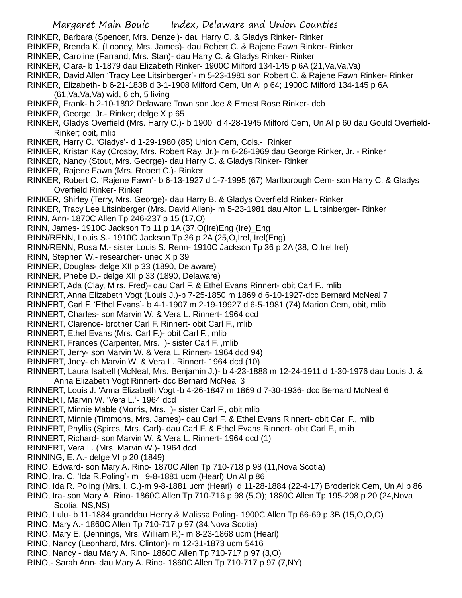- RINKER, Barbara (Spencer, Mrs. Denzel)- dau Harry C. & Gladys Rinker- Rinker
- RINKER, Brenda K. (Looney, Mrs. James)- dau Robert C. & Rajene Fawn Rinker- Rinker
- RINKER, Caroline (Farrand, Mrs. Stan)- dau Harry C. & Gladys Rinker- Rinker
- RINKER, Clara- b 1-1879 dau Elizabeth Rinker- 1900C Milford 134-145 p 6A (21,Va,Va,Va)
- RINKER, David Allen 'Tracy Lee Litsinberger'- m 5-23-1981 son Robert C. & Rajene Fawn Rinker- Rinker
- RINKER, Elizabeth- b 6-21-1838 d 3-1-1908 Milford Cem, Un Al p 64; 1900C Milford 134-145 p 6A
	- (61,Va,Va,Va) wid, 6 ch, 5 living
- RINKER, Frank- b 2-10-1892 Delaware Town son Joe & Ernest Rose Rinker- dcb
- RINKER, George, Jr.- Rinker; delge X p 65
- RINKER, Gladys Overfield (Mrs. Harry C.)- b 1900 d 4-28-1945 Milford Cem, Un Al p 60 dau Gould Overfield-Rinker; obit, mlib
- RINKER, Harry C. 'Gladys'- d 1-29-1980 (85) Union Cem, Cols.- Rinker
- RINKER, Kristan Kay (Crosby, Mrs. Robert Ray, Jr.)- m 6-28-1969 dau George Rinker, Jr. Rinker
- RINKER, Nancy (Stout, Mrs. George)- dau Harry C. & Gladys Rinker- Rinker
- RINKER, Rajene Fawn (Mrs. Robert C.)- Rinker
- RINKER, Robert C. 'Rajene Fawn'- b 6-13-1927 d 1-7-1995 (67) Marlborough Cem- son Harry C. & Gladys Overfield Rinker- Rinker
- RINKER, Shirley (Terry, Mrs. George)- dau Harry B. & Gladys Overfield Rinker- Rinker
- RINKER, Tracy Lee Litsinberger (Mrs. David Allen)- m 5-23-1981 dau Alton L. Litsinberger- Rinker
- RINN, Ann- 1870C Allen Tp 246-237 p 15 (17,O)
- RINN, James- 1910C Jackson Tp 11 p 1A (37,O(Ire)Eng (Ire)\_Eng
- RINN/RENN, Louis S.- 1910C Jackson Tp 36 p 2A (25,O,Irel, Irel(Eng)
- RINN/RENN, Rosa M.- sister Louis S. Renn- 1910C Jackson Tp 36 p 2A (38, O,Irel,Irel)
- RINN, Stephen W.- researcher- unec X p 39
- RINNER, Douglas- delge XII p 33 (1890, Delaware)
- RINNER, Phebe D.- delge XII p 33 (1890, Delaware)
- RINNERT, Ada (Clay, M rs. Fred)- dau Carl F. & Ethel Evans Rinnert- obit Carl F., mlib
- RINNERT, Anna Elizabeth Vogt (Louis J.)-b 7-25-1850 m 1869 d 6-10-1927-dcc Bernard McNeal 7
- RINNERT, Carl F. 'Ethel Evans'- b 4-1-1907 m 2-19-19927 d 6-5-1981 (74) Marion Cem, obit, mlib
- RINNERT, Charles- son Marvin W. & Vera L. Rinnert- 1964 dcd
- RINNERT, Clarence- brother Carl F. Rinnert- obit Carl F., mlib
- RINNERT, Ethel Evans (Mrs. Carl F.)- obit Carl F., mlib
- RINNERT, Frances (Carpenter, Mrs. )- sister Carl F. ,mlib
- RINNERT, Jerry- son Marvin W. & Vera L. Rinnert- 1964 dcd 94)
- RINNERT, Joey- ch Marvin W. & Vera L. Rinnert- 1964 dcd (10)
- RINNERT, Laura Isabell (McNeal, Mrs. Benjamin J.)- b 4-23-1888 m 12-24-1911 d 1-30-1976 dau Louis J. & Anna Elizabeth Vogt Rinnert- dcc Bernard McNeal 3
- RINNERT, Louis J. 'Anna Elizabeth Vogt'-b 4-26-1847 m 1869 d 7-30-1936- dcc Bernard McNeal 6
- RINNERT, Marvin W. 'Vera L.'- 1964 dcd
- RINNERT, Minnie Mable (Morris, Mrs. )- sister Carl F., obit mlib
- RINNERT, Minnie (Timmons, Mrs. James)- dau Carl F. & Ethel Evans Rinnert- obit Carl F., mlib
- RINNERT, Phyllis (Spires, Mrs. Carl)- dau Carl F. & Ethel Evans Rinnert- obit Carl F., mlib
- RINNERT, Richard- son Marvin W. & Vera L. Rinnert- 1964 dcd (1)
- RINNERT, Vera L. (Mrs. Marvin W.)- 1964 dcd
- RINNING, E. A.- delge VI p 20 (1849)
- RINO, Edward- son Mary A. Rino- 1870C Allen Tp 710-718 p 98 (11,Nova Scotia)
- RINO, Ira. C. 'Ida R.Poling'- m 9-8-1881 ucm (Hearl) Un Al p 86
- RINO, Ida R. Poling (Mrs. I. C.)-m 9-8-1881 ucm (Hearl) d 11-28-1884 (22-4-17) Broderick Cem, Un Al p 86
- RINO, Ira- son Mary A. Rino- 1860C Allen Tp 710-716 p 98 (5,O); 1880C Allen Tp 195-208 p 20 (24,Nova Scotia, NS,NS)
- RINO, Lulu- b 11-1884 granddau Henry & Malissa Poling- 1900C Allen Tp 66-69 p 3B (15,O,O,O)
- RINO, Mary A.- 1860C Allen Tp 710-717 p 97 (34,Nova Scotia)
- RINO, Mary E. (Jennings, Mrs. William P.)- m 8-23-1868 ucm (Hearl)
- RINO, Nancy (Leonhard, Mrs. Clinton)- m 12-31-1873 ucm 5416
- RINO, Nancy dau Mary A. Rino- 1860C Allen Tp 710-717 p 97 (3,O)
- RINO,- Sarah Ann- dau Mary A. Rino- 1860C Allen Tp 710-717 p 97 (7,NY)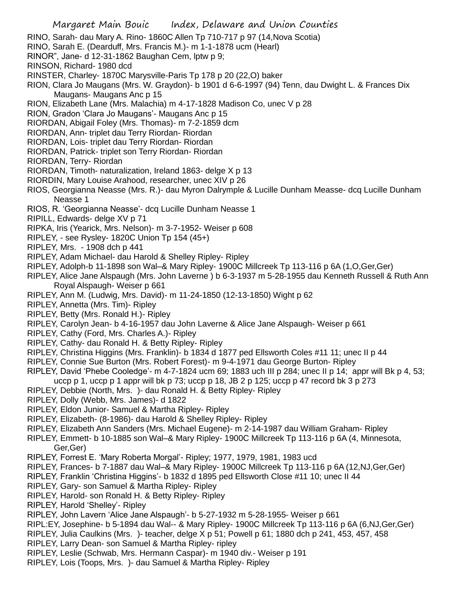- RINO, Sarah- dau Mary A. Rino- 1860C Allen Tp 710-717 p 97 (14,Nova Scotia)
- RINO, Sarah E. (Dearduff, Mrs. Francis M.)- m 1-1-1878 ucm (Hearl)
- RINOR", Jane- d 12-31-1862 Baughan Cem, lptw p 9;
- RINSON, Richard- 1980 dcd
- RINSTER, Charley- 1870C Marysville-Paris Tp 178 p 20 (22,O) baker
- RION, Clara Jo Maugans (Mrs. W. Graydon)- b 1901 d 6-6-1997 (94) Tenn, dau Dwight L. & Frances Dix Maugans- Maugans Anc p 15
- RION, Elizabeth Lane (Mrs. Malachia) m 4-17-1828 Madison Co, unec V p 28
- RION, Gradon 'Clara Jo Maugans'- Maugans Anc p 15
- RIORDAN, Abigail Foley (Mrs. Thomas)- m 7-2-1859 dcm
- RIORDAN, Ann- triplet dau Terry Riordan- Riordan
- RIORDAN, Lois- triplet dau Terry Riordan- Riordan
- RIORDAN, Patrick- triplet son Terry Riordan- Riordan
- RIORDAN, Terry- Riordan
- RIORDAN, Timoth- naturalization, Ireland 1863- delge X p 13
- RIORDIN, Mary Louise Arahood, researcher, unec XIV p 26
- RIOS, Georgianna Neasse (Mrs. R.)- dau Myron Dalrymple & Lucille Dunham Measse- dcq Lucille Dunham Neasse 1
- RIOS, R. 'Georgianna Neasse'- dcq Lucille Dunham Neasse 1
- RIPILL, Edwards- delge XV p 71
- RIPKA, Iris (Yearick, Mrs. Nelson)- m 3-7-1952- Weiser p 608
- RIPLEY, see Rysley- 1820C Union Tp 154 (45+)
- RIPLEY, Mrs. 1908 dch p 441
- RIPLEY, Adam Michael- dau Harold & Shelley Ripley- Ripley
- RIPLEY, Adolph-b 11-1898 son Wal–& Mary Ripley- 1900C Millcreek Tp 113-116 p 6A (1,O,Ger,Ger)
- RIPLEY, Alice Jane Alspaugh (Mrs. John Laverne ) b 6-3-1937 m 5-28-1955 dau Kenneth Russell & Ruth Ann Royal Alspaugh- Weiser p 661
- RIPLEY, Ann M. (Ludwig, Mrs. David)- m 11-24-1850 (12-13-1850) Wight p 62
- RIPLEY, Annetta (Mrs. Tim)- Ripley
- RIPLEY, Betty (Mrs. Ronald H.)- Ripley
- RIPLEY, Carolyn Jean- b 4-16-1957 dau John Laverne & Alice Jane Alspaugh- Weiser p 661
- RIPLEY, Cathy (Ford, Mrs. Charles A.)- Ripley
- RIPLEY, Cathy- dau Ronald H. & Betty Ripley- Ripley
- RIPLEY, Christina Higgins (Mrs. Franklin)- b 1834 d 1877 ped Ellsworth Coles #11 11; unec II p 44
- RIPLEY, Connie Sue Burton (Mrs. Robert Forest)- m 9-4-1971 dau George Burton- Ripley
- RIPLEY, David 'Phebe Cooledge'- m 4-7-1824 ucm 69; 1883 uch III p 284; unec II p 14; appr will Bk p 4, 53;
- uccp p 1, uccp p 1 appr will bk p 73; uccp p 18, JB 2 p 125; uccp p 47 record bk 3 p 273
- RIPLEY, Debbie (North, Mrs. )- dau Ronald H. & Betty Ripley- Ripley
- RIPLEY, Dolly (Webb, Mrs. James)- d 1822
- RIPLEY, Eldon Junior- Samuel & Martha Ripley- Ripley
- RIPLEY, Elizabeth- (8-1986)- dau Harold & Shelley Ripley- Ripley
- RIPLEY, Elizabeth Ann Sanders (Mrs. Michael Eugene)- m 2-14-1987 dau William Graham- Ripley
- RIPLEY, Emmett- b 10-1885 son Wal–& Mary Ripley- 1900C Millcreek Tp 113-116 p 6A (4, Minnesota, Ger,Ger)
- RIPLEY, Forrest E. 'Mary Roberta Morgal'- Ripley; 1977, 1979, 1981, 1983 ucd
- RIPLEY, Frances- b 7-1887 dau Wal–& Mary Ripley- 1900C Millcreek Tp 113-116 p 6A (12,NJ,Ger,Ger)
- RIPLEY, Franklin 'Christina Higgins'- b 1832 d 1895 ped Ellsworth Close #11 10; unec II 44
- RIPLEY, Gary- son Samuel & Martha Ripley- Ripley
- RIPLEY, Harold- son Ronald H. & Betty Ripley- Ripley
- RIPLEY, Harold 'Shelley'- Ripley
- RIPLEY, John Lavern 'Alice Jane Alspaugh'- b 5-27-1932 m 5-28-1955- Weiser p 661
- RIPL:EY, Josephine- b 5-1894 dau Wal-- & Mary Ripley- 1900C Millcreek Tp 113-116 p 6A (6,NJ,Ger,Ger)
- RIPLEY, Julia Caulkins (Mrs. )- teacher, delge X p 51; Powell p 61; 1880 dch p 241, 453, 457, 458
- RIPLEY, Larry Dean- son Samuel & Martha Ripley- ripley
- RIPLEY, Leslie (Schwab, Mrs. Hermann Caspar)- m 1940 div.- Weiser p 191
- RIPLEY, Lois (Toops, Mrs. )- dau Samuel & Martha Ripley- Ripley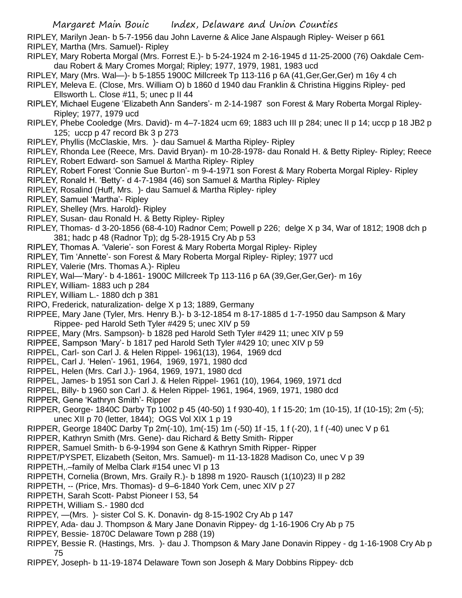RIPLEY, Marilyn Jean- b 5-7-1956 dau John Laverne & Alice Jane Alspaugh Ripley- Weiser p 661 RIPLEY, Martha (Mrs. Samuel)- Ripley

- RIPLEY, Mary Roberta Morgal (Mrs. Forrest E.)- b 5-24-1924 m 2-16-1945 d 11-25-2000 (76) Oakdale Cemdau Robert & Mary Cromes Morgal; Ripley; 1977, 1979, 1981, 1983 ucd
- RIPLEY, Mary (Mrs. Wal—)- b 5-1855 1900C Millcreek Tp 113-116 p 6A (41,Ger,Ger,Ger) m 16y 4 ch
- RIPLEY, Meleva E. (Close, Mrs. William O) b 1860 d 1940 dau Franklin & Christina Higgins Ripley- ped Ellsworth L. Close #11, 5; unec p II 44
- RIPLEY, Michael Eugene 'Elizabeth Ann Sanders'- m 2-14-1987 son Forest & Mary Roberta Morgal Ripley-Ripley; 1977, 1979 ucd
- RIPLEY, Phebe Cooledge (Mrs. David)- m 4–7-1824 ucm 69; 1883 uch III p 284; unec II p 14; uccp p 18 JB2 p 125; uccp p 47 record Bk 3 p 273
- RIPLEY, Phyllis (McClaskie, Mrs. )- dau Samuel & Martha Ripley- Ripley
- RIPLEY, Rhonda Lee (Reece, Mrs. David Bryan)- m 10-28-1978- dau Ronald H. & Betty Ripley- Ripley; Reece
- RIPLEY, Robert Edward- son Samuel & Martha Ripley- Ripley
- RIPLEY, Robert Forest 'Connie Sue Burton'- m 9-4-1971 son Forest & Mary Roberta Morgal Ripley- Ripley
- RIPLEY, Ronald H. 'Betty'- d 4-7-1984 (46) son Samuel & Martha Ripley- Ripley
- RIPLEY, Rosalind (Huff, Mrs. )- dau Samuel & Martha Ripley- ripley
- RIPLEY, Samuel 'Martha'- Ripley
- RIPLEY, Shelley (Mrs. Harold)- Ripley
- RIPLEY, Susan- dau Ronald H. & Betty Ripley- Ripley
- RIPLEY, Thomas- d 3-20-1856 (68-4-10) Radnor Cem; Powell p 226; delge X p 34, War of 1812; 1908 dch p 381; hadc p 48 (Radnor Tp); dg 5-28-1915 Cry Ab p 53
- RIPLEY, Thomas A. 'Valerie'- son Forest & Mary Roberta Morgal Ripley- Ripley
- RIPLEY, Tim 'Annette'- son Forest & Mary Roberta Morgal Ripley- Ripley; 1977 ucd
- RIPLEY, Valerie (Mrs. Thomas A.)- Ripleu
- RIPLEY, Wal—'Mary'- b 4-1861- 1900C Millcreek Tp 113-116 p 6A (39,Ger,Ger,Ger)- m 16y
- RIPLEY, William- 1883 uch p 284
- RIPLEY, William L.- 1880 dch p 381
- RIPO, Frederick, naturalization- delge X p 13; 1889, Germany
- RIPPEE, Mary Jane (Tyler, Mrs. Henry B.)- b 3-12-1854 m 8-17-1885 d 1-7-1950 dau Sampson & Mary Rippee- ped Harold Seth Tyler #429 5; unec XIV p 59
- RIPPEE, Mary (Mrs. Sampson)- b 1828 ped Harold Seth Tyler #429 11; unec XIV p 59
- RIPPEE, Sampson 'Mary'- b 1817 ped Harold Seth Tyler #429 10; unec XIV p 59
- RIPPEL, Carl- son Carl J. & Helen Rippel- 1961(13), 1964, 1969 dcd
- RIPPEL, Carl J. 'Helen'- 1961, 1964, 1969, 1971, 1980 dcd
- RIPPEL, Helen (Mrs. Carl J.)- 1964, 1969, 1971, 1980 dcd
- RIPPEL, James- b 1951 son Carl J. & Helen Rippel- 1961 (10), 1964, 1969, 1971 dcd
- RIPPEL, Billy- b 1960 son Carl J. & Helen Rippel- 1961, 1964, 1969, 1971, 1980 dcd
- RIPPER, Gene 'Kathryn Smith'- Ripper
- RIPPER, George- 1840C Darby Tp 1002 p 45 (40-50) 1 f 930-40), 1 f 15-20; 1m (10-15), 1f (10-15); 2m (-5); unec XII p 70 (letter, 1844); OGS Vol XIX 1 p 19
- RIPPER, George 1840C Darby Tp 2m(-10), 1m(-15) 1m (-50) 1f -15, 1 f (-20), 1 f (-40) unec V p 61
- RIPPER, Kathryn Smith (Mrs. Gene)- dau Richard & Betty Smith- Ripper
- RIPPER, Samuel Smith- b 6-9-1994 son Gene & Kathryn Smith Ripper- Ripper
- RIPPET/PYSPET, Elizabeth (Seiton, Mrs. Samuel)- m 11-13-1828 Madison Co, unec V p 39
- RIPPETH,.–family of Melba Clark #154 unec VI p 13
- RIPPETH, Cornelia (Brown, Mrs. Graily R.)- b 1898 m 1920- Rausch (1(10)23) II p 282
- RIPPETH, -- (Price, Mrs. Thomas)- d 9–6-1840 York Cem, unec XIV p 27
- RIPPETH, Sarah Scott- Pabst Pioneer I 53, 54
- RIPPETH, William S.- 1980 dcd
- RIPPEY, —(Mrs. )- sister Col S. K. Donavin- dg 8-15-1902 Cry Ab p 147
- RIPPEY, Ada- dau J. Thompson & Mary Jane Donavin Rippey- dg 1-16-1906 Cry Ab p 75
- RIPPEY, Bessie- 1870C Delaware Town p 288 (19)
- RIPPEY, Bessie R. (Hastings, Mrs. )- dau J. Thompson & Mary Jane Donavin Rippey dg 1-16-1908 Cry Ab p 75
- RIPPEY, Joseph- b 11-19-1874 Delaware Town son Joseph & Mary Dobbins Rippey- dcb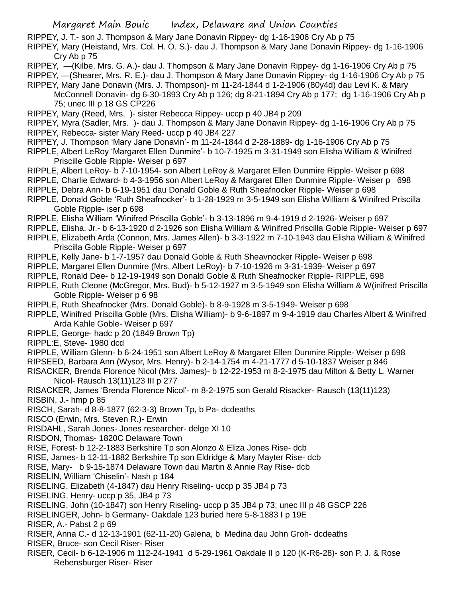RIPPEY, J. T.- son J. Thompson & Mary Jane Donavin Rippey- dg 1-16-1906 Cry Ab p 75

RIPPEY, Mary (Heistand, Mrs. Col. H. O. S.)- dau J. Thompson & Mary Jane Donavin Rippey- dg 1-16-1906 Cry Ab p 75

- RIPPEY, —(Kilbe, Mrs. G. A.)- dau J. Thompson & Mary Jane Donavin Rippey- dg 1-16-1906 Cry Ab p 75
- RIPPEY, —(Shearer, Mrs. R. E.)- dau J. Thompson & Mary Jane Donavin Rippey- dg 1-16-1906 Cry Ab p 75
- RIPPEY, Mary Jane Donavin (Mrs. J. Thompson)- m 11-24-1844 d 1-2-1906 (80y4d) dau Levi K. & Mary
- McConnell Donavin- dg 6-30-1893 Cry Ab p 126; dg 8-21-1894 Cry Ab p 177; dg 1-16-1906 Cry Ab p 75; unec III p 18 GS CP226
- RIPPEY, Mary (Reed, Mrs. )- sister Rebecca Rippey- uccp p 40 JB4 p 209
- RIPPEY, Myra (Sadler, Mrs. )- dau J. Thompson & Mary Jane Donavin Rippey- dg 1-16-1906 Cry Ab p 75
- RIPPEY, Rebecca- sister Mary Reed- uccp p 40 JB4 227
- RIPPEY, J. Thompson 'Mary Jane Donavin'- m 11-24-1844 d 2-28-1889- dg 1-16-1906 Cry Ab p 75
- RIPPLE, Albert LeRoy 'Margaret Ellen Dunmire'- b 10-7-1925 m 3-31-1949 son Elisha William & Winifred Priscille Goble Ripple- Weiser p 697
- RIPPLE, Albert LeRoy- b 7-10-1954- son Albert LeRoy & Margaret Ellen Dunmire Ripple- Weiser p 698
- RIPPLE, Charlie Edward- b 4-3-1956 son Albert LeRoy & Margaret Ellen Dunmire Ripple- Weiser p 698
- RIPPLE, Debra Ann- b 6-19-1951 dau Donald Goble & Ruth Sheafnocker Ripple- Weiser p 698
- RIPPLE, Donald Goble 'Ruth Sheafnocker'- b 1-28-1929 m 3-5-1949 son Elisha William & Winifred Priscilla Goble Ripple- iser p 698
- RIPPLE, Elisha William 'Winifred Priscilla Goble'- b 3-13-1896 m 9-4-1919 d 2-1926- Weiser p 697
- RIPPLE, Elisha, Jr.- b 6-13-1920 d 2-1926 son Elisha William & Winifred Priscilla Goble Ripple- Weiser p 697
- RIPPLE, Elizabeth Arda (Connon, Mrs. James Allen)- b 3-3-1922 m 7-10-1943 dau Elisha William & Winifred Priscilla Goble Ripple- Weiser p 697
- RIPPLE, Kelly Jane- b 1-7-1957 dau Donald Goble & Ruth Sheavnocker Ripple- Weiser p 698
- RIPPLE, Margaret Ellen Dunmire (Mrs. Albert LeRoy)- b 7-10-1926 m 3-31-1939- Weiser p 697
- RIPPLE, Ronald Dee- b 12-19-1949 son Donald Goble & Ruth Sheafnocker Ripple- RIPPLE, 698
- RIPPLE, Ruth Cleone (McGregor, Mrs. Bud)- b 5-12-1927 m 3-5-1949 son Elisha William & W(inifred Priscilla Goble Ripple- Weiser p 6 98
- RIPPLE, Ruth Sheafnocker (Mrs. Donald Goble)- b 8-9-1928 m 3-5-1949- Weiser p 698
- RIPPLE, Winifred Priscilla Goble (Mrs. Elisha William)- b 9-6-1897 m 9-4-1919 dau Charles Albert & Winifred Arda Kahle Goble- Weiser p 697
- RIPPLE, George- hadc p 20 (1849 Brown Tp)
- RIPPL:E, Steve- 1980 dcd
- RIPPLE, William Glenn- b 6-24-1951 son Albert LeRoy & Margaret Ellen Dunmire Ripple- Weiser p 698
- RIPSEED, Barbara Ann (Wysor, Mrs. Henry)- b 2-14-1754 m 4-21-1777 d 5-10-1837 Weiser p 846
- RISACKER, Brenda Florence Nicol (Mrs. James)- b 12-22-1953 m 8-2-1975 dau Milton & Betty L. Warner Nicol- Rausch 13(11)123 III p 277
- RISACKER, James 'Brenda Florence Nicol'- m 8-2-1975 son Gerald Risacker- Rausch (13(11)123) RISBIN, J.- hmp p 85
- RISCH, Sarah- d 8-8-1877 (62-3-3) Brown Tp, b Pa- dcdeaths
- RISCO (Erwin, Mrs. Steven R.)- Erwin
- RISDAHL, Sarah Jones- Jones researcher- delge XI 10
- RISDON, Thomas- 1820C Delaware Town
- RISE, Forest- b 12-2-1883 Berkshire Tp son Alonzo & Eliza Jones Rise- dcb
- RISE, James- b 12-11-1882 Berkshire Tp son Eldridge & Mary Mayter Rise- dcb
- RISE, Mary- b 9-15-1874 Delaware Town dau Martin & Annie Ray Rise- dcb
- RISELIN, William 'Chiselin'- Nash p 184
- RISELING, Elizabeth (4-1847) dau Henry Riseling- uccp p 35 JB4 p 73
- RISELING, Henry- uccp p 35, JB4 p 73
- RISELING, John (10-1847) son Henry Riseling- uccp p 35 JB4 p 73; unec III p 48 GSCP 226
- RISELINGER, John- b Germany- Oakdale 123 buried here 5-8-1883 I p 19E
- RISER, A.- Pabst 2 p 69
- RISER, Anna C.- d 12-13-1901 (62-11-20) Galena, b Medina dau John Groh- dcdeaths
- RISER, Bruce- son Cecil Riser- Riser
- RISER, Cecil- b 6-12-1906 m 112-24-1941 d 5-29-1961 Oakdale II p 120 (K-R6-28)- son P. J. & Rose Rebensburger Riser- Riser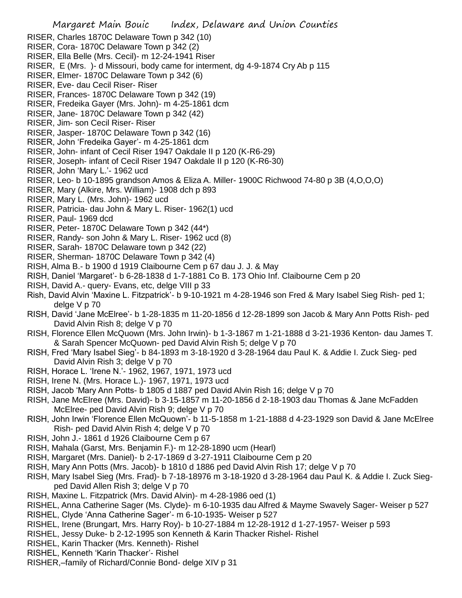- RISER, Charles 1870C Delaware Town p 342 (10)
- RISER, Cora- 1870C Delaware Town p 342 (2)
- RISER, Ella Belle (Mrs. Cecil)- m 12-24-1941 Riser
- RISER, E (Mrs. )- d Missouri, body came for interment, dg 4-9-1874 Cry Ab p 115
- RISER, Elmer- 1870C Delaware Town p 342 (6)
- RISER, Eve- dau Cecil Riser- Riser
- RISER, Frances- 1870C Delaware Town p 342 (19)
- RISER, Fredeika Gayer (Mrs. John)- m 4-25-1861 dcm
- RISER, Jane- 1870C Delaware Town p 342 (42)
- RISER, Jim- son Cecil Riser- Riser
- RISER, Jasper- 1870C Delaware Town p 342 (16)
- RISER, John 'Fredeika Gayer'- m 4-25-1861 dcm
- RISER, John- infant of Cecil Riser 1947 Oakdale II p 120 (K-R6-29)
- RISER, Joseph- infant of Cecil Riser 1947 Oakdale II p 120 (K-R6-30)
- RISER, John 'Mary L.'- 1962 ucd
- RISER, Leo- b 10-1895 grandson Amos & Eliza A. Miller- 1900C Richwood 74-80 p 3B (4,O,O,O)
- RISER, Mary (Alkire, Mrs. William)- 1908 dch p 893
- RISER, Mary L. (Mrs. John)- 1962 ucd
- RISER, Patricia- dau John & Mary L. Riser- 1962(1) ucd
- RISER, Paul- 1969 dcd
- RISER, Peter- 1870C Delaware Town p 342 (44\*)
- RISER, Randy- son John & Mary L. Riser- 1962 ucd (8)
- RISER, Sarah- 1870C Delaware town p 342 (22)
- RISER, Sherman- 1870C Delaware Town p 342 (4)
- RISH, Alma B.- b 1900 d 1919 Claibourne Cem p 67 dau J. J. & May
- RISH, Daniel 'Margaret'- b 6-28-1838 d 1-7-1881 Co B. 173 Ohio Inf. Claibourne Cem p 20
- RISH, David A.- query- Evans, etc, delge VIII p 33
- Rish, David Alvin 'Maxine L. Fitzpatrick'- b 9-10-1921 m 4-28-1946 son Fred & Mary Isabel Sieg Rish- ped 1; delge V p 70
- RISH, David 'Jane McElree'- b 1-28-1835 m 11-20-1856 d 12-28-1899 son Jacob & Mary Ann Potts Rish- ped David Alvin Rish 8; delge V p 70
- RISH, Florence Ellen McQuown (Mrs. John Irwin)- b 1-3-1867 m 1-21-1888 d 3-21-1936 Kenton- dau James T. & Sarah Spencer McQuown- ped David Alvin Rish 5; delge V p 70
- RISH, Fred 'Mary Isabel Sieg'- b 84-1893 m 3-18-1920 d 3-28-1964 dau Paul K. & Addie I. Zuck Sieg- ped David Alvin Rish 3; delge V p 70
- RISH, Horace L. 'Irene N.'- 1962, 1967, 1971, 1973 ucd
- RISH, Irene N. (Mrs. Horace L.)- 1967, 1971, 1973 ucd
- RISH, Jacob 'Mary Ann Potts- b 1805 d 1887 ped David Alvin Rish 16; delge V p 70
- RISH, Jane McElree (Mrs. David)- b 3-15-1857 m 11-20-1856 d 2-18-1903 dau Thomas & Jane McFadden McElree- ped David Alvin Rish 9; delge V p 70
- RISH, John Irwin 'Florence Ellen McQuown'- b 11-5-1858 m 1-21-1888 d 4-23-1929 son David & Jane McElree Rish- ped David Alvin Rish 4; delge V p 70
- RISH, John J.- 1861 d 1926 Claibourne Cem p 67
- RISH, Mahala (Garst, Mrs. Benjamin F.)- m 12-28-1890 ucm (Hearl)
- RISH, Margaret (Mrs. Daniel)- b 2-17-1869 d 3-27-1911 Claibourne Cem p 20
- RISH, Mary Ann Potts (Mrs. Jacob)- b 1810 d 1886 ped David Alvin Rish 17; delge V p 70
- RISH, Mary Isabel Sieg (Mrs. Frad)- b 7-18-18976 m 3-18-1920 d 3-28-1964 dau Paul K. & Addie I. Zuck Siegped David Allen Rish 3; delge V p 70
- RISH, Maxine L. Fitzpatrick (Mrs. David Alvin)- m 4-28-1986 oed (1)
- RISHEL, Anna Catherine Sager (Ms. Clyde)- m 6-10-1935 dau Alfred & Mayme Swavely Sager- Weiser p 527
- RISHEL, Clyde 'Anna Catherine Sager'- m 6-10-1935- Weiser p 527
- RISHEL, Irene (Brungart, Mrs. Harry Roy)- b 10-27-1884 m 12-28-1912 d 1-27-1957- Weiser p 593
- RISHEL, Jessy Duke- b 2-12-1995 son Kenneth & Karin Thacker Rishel- Rishel
- RISHEL, Karin Thacker (Mrs. Kenneth)- Rishel
- RISHEL, Kenneth 'Karin Thacker'- Rishel
- RISHER,–family of Richard/Connie Bond- delge XIV p 31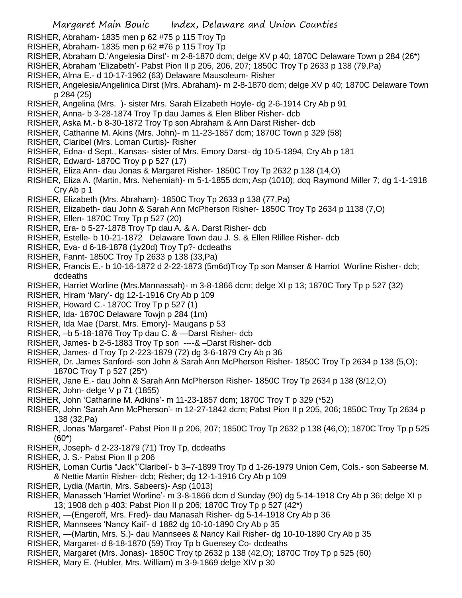- RISHER, Abraham- 1835 men p 62 #75 p 115 Troy Tp
- RISHER, Abraham- 1835 men p 62 #76 p 115 Troy Tp
- RISHER, Abraham D.'Angelesia Dirst'- m 2-8-1870 dcm; delge XV p 40; 1870C Delaware Town p 284 (26\*)
- RISHER, Abraham 'Elizabeth'- Pabst Pion II p 205, 206, 207; 1850C Troy Tp 2633 p 138 (79,Pa)
- RISHER, Alma E.- d 10-17-1962 (63) Delaware Mausoleum- Risher
- RISHER, Angelesia/Angelinica Dirst (Mrs. Abraham)- m 2-8-1870 dcm; delge XV p 40; 1870C Delaware Town p 284 (25)
- RISHER, Angelina (Mrs. )- sister Mrs. Sarah Elizabeth Hoyle- dg 2-6-1914 Cry Ab p 91
- RISHER, Anna- b 3-28-1874 Troy Tp dau James & Elen Bliber Risher- dcb
- RISHER, Aska M.- b 8-30-1872 Troy Tp son Abraham & Ann Darst Risher- dcb
- RISHER, Catharine M. Akins (Mrs. John)- m 11-23-1857 dcm; 1870C Town p 329 (58)
- RISHER, Claribel (Mrs. Loman Curtis)- Risher
- RISHER, Edna- d Sept., Kansas- sister of Mrs. Emory Darst- dg 10-5-1894, Cry Ab p 181
- RISHER, Edward- 1870C Troy p p 527 (17)
- RISHER, Eliza Ann- dau Jonas & Margaret Risher- 1850C Troy Tp 2632 p 138 (14,O)
- RISHER, Eliza A. (Martin, Mrs. Nehemiah)- m 5-1-1855 dcm; Asp (1010); dcq Raymond Miller 7; dg 1-1-1918 Cry Ab p 1
- RISHER, Elizabeth (Mrs. Abraham)- 1850C Troy Tp 2633 p 138 (77,Pa)
- RISHER, Elizabeth- dau John & Sarah Ann McPherson Risher- 1850C Troy Tp 2634 p 1138 (7,O)
- RISHER, Ellen- 1870C Troy Tp p 527 (20)
- RISHER, Era- b 5-27-1878 Troy Tp dau A. & A. Darst Risher- dcb
- RISHER, Estelle- b 10-21-1872 Delaware Town dau J. S. & Ellen Rlillee Risher- dcb
- RISHER, Eva- d 6-18-1878 (1y20d) Troy Tp?- dcdeaths
- RISHER, Fannt- 1850C Troy Tp 2633 p 138 (33,Pa)
- RISHER, Francis E.- b 10-16-1872 d 2-22-1873 (5m6d)Troy Tp son Manser & Harriot Worline Risher- dcb; dcdeaths
- RISHER, Harriet Worline (Mrs.Mannassah)- m 3-8-1866 dcm; delge XI p 13; 1870C Tory Tp p 527 (32)
- RISHER, Hiram 'Mary'- dg 12-1-1916 Cry Ab p 109
- RISHER, Howard C.- 1870C Troy Tp p 527 (1)
- RISHER, Ida- 1870C Delaware Towjn p 284 (1m)
- RISHER, Ida Mae (Darst, Mrs. Emory)- Maugans p 53
- RISHER, –b 5-18-1876 Troy Tp dau C. & —Darst Risher- dcb
- RISHER, James- b 2-5-1883 Troy Tp son ----& –Darst Risher- dcb
- RISHER, James- d Troy Tp 2-223-1879 (72) dg 3-6-1879 Cry Ab p 36
- RISHER, Dr. James Sanford- son John & Sarah Ann McPherson Risher- 1850C Troy Tp 2634 p 138 (5,O); 1870C Troy T p 527 (25\*)
- RISHER, Jane E.- dau John & Sarah Ann McPherson Risher- 1850C Troy Tp 2634 p 138 (8/12,O)
- RISHER, John- delge V p 71 (1855)
- RISHER, John 'Catharine M. Adkins'- m 11-23-1857 dcm; 1870C Troy T p 329 (\*52)
- RISHER, John 'Sarah Ann McPherson'- m 12-27-1842 dcm; Pabst Pion II p 205, 206; 1850C Troy Tp 2634 p 138 (32,Pa)
- RISHER, Jonas 'Margaret'- Pabst Pion II p 206, 207; 1850C Troy Tp 2632 p 138 (46,O); 1870C Troy Tp p 525 (60\*)
- RISHER, Joseph- d 2-23-1879 (71) Troy Tp, dcdeaths
- RISHER, J. S.- Pabst Pion II p 206
- RISHER, Loman Curtis "Jack"'Claribel'- b 3–7-1899 Troy Tp d 1-26-1979 Union Cem, Cols.- son Sabeerse M. & Nettie Martin Risher- dcb; Risher; dg 12-1-1916 Cry Ab p 109
- RISHER, Lydia (Martin, Mrs. Sabeers)- Asp (1013)
- RISHER, Manasseh 'Harriet Worline'- m 3-8-1866 dcm d Sunday (90) dg 5-14-1918 Cry Ab p 36; delge XI p 13; 1908 dch p 403; Pabst Pion II p 206; 1870C Troy Tp p 527 (42\*)
- RISHER, —(Engeroff, Mrs. Fred)- dau Manasah Risher- dg 5-14-1918 Cry Ab p 36
- RISHER, Mannsees 'Nancy Kail'- d 1882 dg 10-10-1890 Cry Ab p 35
- RISHER, —(Martin, Mrs. S.)- dau Mannsees & Nancy Kail Risher- dg 10-10-1890 Cry Ab p 35
- RISHER, Margaret- d 8-18-1870 (59) Troy Tp b Guensey Co- dcdeaths
- RISHER, Margaret (Mrs. Jonas)- 1850C Troy tp 2632 p 138 (42,O); 1870C Troy Tp p 525 (60)
- RISHER, Mary E. (Hubler, Mrs. William) m 3-9-1869 delge XIV p 30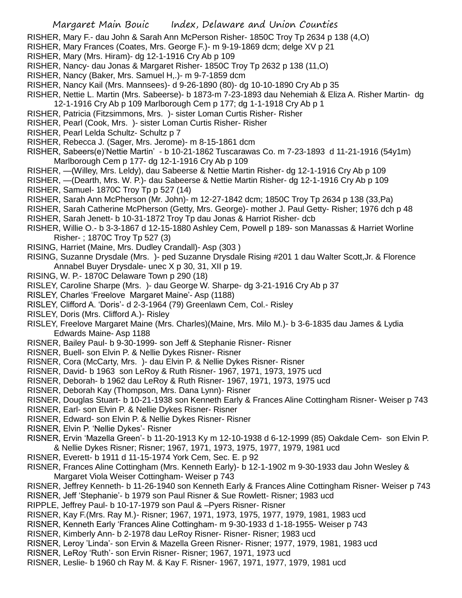- RISHER, Mary F.- dau John & Sarah Ann McPerson Risher- 1850C Troy Tp 2634 p 138 (4,O)
- RISHER, Mary Frances (Coates, Mrs. George F.)- m 9-19-1869 dcm; delge XV p 21
- RISHER, Mary (Mrs. Hiram)- dg 12-1-1916 Cry Ab p 109
- RISHER, Nancy- dau Jonas & Margaret Risher- 1850C Troy Tp 2632 p 138 (11,O)
- RISHER, Nancy (Baker, Mrs. Samuel H,.)- m 9-7-1859 dcm
- RISHER, Nancy Kail (Mrs. Mannsees)- d 9-26-1890 (80)- dg 10-10-1890 Cry Ab p 35
- RISHER, Nettie L. Martin (Mrs. Sabeerse)- b 1873-m 7-23-1893 dau Nehemiah & Eliza A. Risher Martin- dg 12-1-1916 Cry Ab p 109 Marlborough Cem p 177; dg 1-1-1918 Cry Ab p 1
- RISHER, Patricia (Fitzsimmons, Mrs. )- sister Loman Curtis Risher- Risher
- RISHER, Pearl (Cook, Mrs. )- sister Loman Curtis Risher- Risher
- RISHER, Pearl Lelda Schultz- Schultz p 7
- RISHER, Rebecca J. (Sager, Mrs. Jerome)- m 8-15-1861 dcm
- RISHER, Sabeers(e)'Nettie Martin' b 10-21-1862 Tuscarawas Co. m 7-23-1893 d 11-21-1916 (54y1m) Marlborough Cem p 177- dg 12-1-1916 Cry Ab p 109
- RISHER, —(Willey, Mrs. Leldy), dau Sabeerse & Nettie Martin Risher- dg 12-1-1916 Cry Ab p 109
- RISHER, —(Dearth, Mrs. W. P.)- dau Sabeerse & Nettie Martin Risher- dg 12-1-1916 Cry Ab p 109 RISHER, Samuel- 1870C Troy Tp p 527 (14)
- RISHER, Sarah Ann McPherson (Mr. John)- m 12-27-1842 dcm; 1850C Troy Tp 2634 p 138 (33,Pa)
- RISHER, Sarah Catherine McPherson (Getty, Mrs. George)- mother J. Paul Getty- Risher; 1976 dch p 48
- 
- RISHER, Sarah Jenett- b 10-31-1872 Troy Tp dau Jonas & Harriot Risher- dcb
- RISHER, Willie O.- b 3-3-1867 d 12-15-1880 Ashley Cem, Powell p 189- son Manassas & Harriet Worline Risher- ; 1870C Troy Tp 527 (3)
- RISING, Harriet (Maine, Mrs. Dudley Crandall)- Asp (303 )
- RISING, Suzanne Drysdale (Mrs. )- ped Suzanne Drysdale Rising #201 1 dau Walter Scott,Jr. & Florence Annabel Buyer Drysdale- unec X p 30, 31, XII p 19.
- RISING, W. P.- 1870C Delaware Town p 290 (18)
- RISLEY, Caroline Sharpe (Mrs. )- dau George W. Sharpe- dg 3-21-1916 Cry Ab p 37
- RISLEY, Charles 'Freelove Margaret Maine'- Asp (1188)
- RISLEY, Clifford A. 'Doris'- d 2-3-1964 (79) Greenlawn Cem, Col.- Risley
- RISLEY, Doris (Mrs. Clifford A.)- Risley
- RISLEY, Freelove Margaret Maine (Mrs. Charles)(Maine, Mrs. Milo M.)- b 3-6-1835 dau James & Lydia Edwards Maine- Asp 1188
- RISNER, Bailey Paul- b 9-30-1999- son Jeff & Stephanie Risner- Risner
- RISNER, Buell- son Elvin P. & Nellie Dykes Risner- Risner
- RISNER, Cora (McCarty, Mrs. )- dau Elvin P. & Nellie Dykes Risner- Risner
- RISNER, David- b 1963 son LeRoy & Ruth Risner- 1967, 1971, 1973, 1975 ucd
- RISNER, Deborah- b 1962 dau LeRoy & Ruth Risner- 1967, 1971, 1973, 1975 ucd
- RISNER, Deborah Kay (Thompson, Mrs. Dana Lynn)- Risner
- RISNER, Douglas Stuart- b 10-21-1938 son Kenneth Early & Frances Aline Cottingham Risner- Weiser p 743
- RISNER, Earl- son Elvin P. & Nellie Dykes Risner- Risner
- RISNER, Edward- son Elvin P. & Nellie Dykes Risner- Risner
- RISNER, Elvin P. 'Nellie Dykes'- Risner
- RISNER, Ervin 'Mazella Green'- b 11-20-1913 Ky m 12-10-1938 d 6-12-1999 (85) Oakdale Cem- son Elvin P. & Nellie Dykes Risner; Risner; 1967, 1971, 1973, 1975, 1977, 1979, 1981 ucd
- RISNER, Everett- b 1911 d 11-15-1974 York Cem, Sec. E. p 92
- RISNER, Frances Aline Cottingham (Mrs. Kenneth Early)- b 12-1-1902 m 9-30-1933 dau John Wesley & Margaret Viola Weiser Cottingham- Weiser p 743
- RISNER, Jeffrey Kenneth- b 11-26-1940 son Kenneth Early & Frances Aline Cottingham Risner- Weiser p 743
- RISNER, Jeff 'Stephanie'- b 1979 son Paul Risner & Sue Rowlett- Risner; 1983 ucd
- RIPPLE, Jeffrey Paul- b 10-17-1979 son Paul & –Pyers Risner- Risner
- RISNER, Kay F.(Mrs. Ray M.)- Risner; 1967, 1971, 1973, 1975, 1977, 1979, 1981, 1983 ucd
- RISNER, Kenneth Early 'Frances Aline Cottingham- m 9-30-1933 d 1-18-1955- Weiser p 743
- RISNER, Kimberly Ann- b 2-1978 dau LeRoy Risner- Risner- Risner; 1983 ucd
- RISNER, Leroy 'Linda'- son Ervin & Mazella Green Risner- Risner; 1977, 1979, 1981, 1983 ucd
- RISNER, LeRoy 'Ruth'- son Ervin Risner- Risner; 1967, 1971, 1973 ucd
- RISNER, Leslie- b 1960 ch Ray M. & Kay F. Risner- 1967, 1971, 1977, 1979, 1981 ucd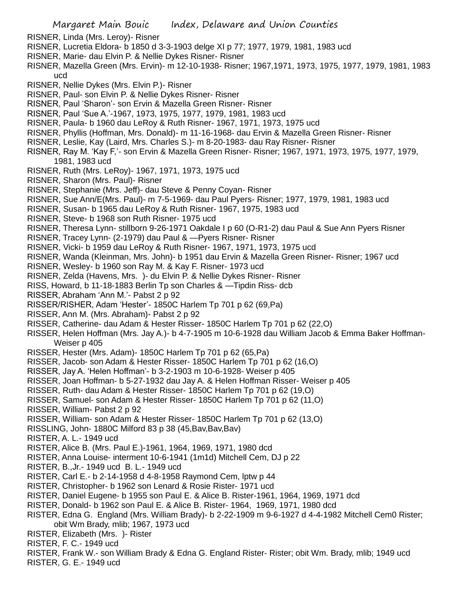- RISNER, Linda (Mrs. Leroy)- Risner
- RISNER, Lucretia Eldora- b 1850 d 3-3-1903 delge XI p 77; 1977, 1979, 1981, 1983 ucd
- RISNER, Marie- dau Elvin P. & Nellie Dykes Risner- Risner
- RISNER, Mazella Green (Mrs. Ervin)- m 12-10-1938- Risner; 1967,1971, 1973, 1975, 1977, 1979, 1981, 1983 ucd
- RISNER, Nellie Dykes (Mrs. Elvin P.)- Risner
- RISNER, Paul- son Elvin P. & Nellie Dykes Risner- Risner
- RISNER, Paul 'Sharon'- son Ervin & Mazella Green Risner- Risner
- RISNER, Paul 'Sue A.'-1967, 1973, 1975, 1977, 1979, 1981, 1983 ucd
- RISNER, Paula- b 1960 dau LeRoy & Ruth Risner- 1967, 1971, 1973, 1975 ucd
- RISNER, Phyllis (Hoffman, Mrs. Donald)- m 11-16-1968- dau Ervin & Mazella Green Risner- Risner
- RISNER, Leslie, Kay (Laird, Mrs. Charles S.)- m 8-20-1983- dau Ray Risner- Risner
- RISNER, Ray M. 'Kay F,'- son Ervin & Mazella Green Risner- Risner; 1967, 1971, 1973, 1975, 1977, 1979, 1981, 1983 ucd
- RISNER, Ruth (Mrs. LeRoy)- 1967, 1971, 1973, 1975 ucd
- RISNER, Sharon (Mrs. Paul)- Risner
- RISNER, Stephanie (Mrs. Jeff)- dau Steve & Penny Coyan- Risner
- RISNER, Sue Ann/E(Mrs. Paul)- m 7-5-1969- dau Paul Pyers- Risner; 1977, 1979, 1981, 1983 ucd
- RISNER, Susan- b 1965 dau LeRoy & Ruth Risner- 1967, 1975, 1983 ucd
- RISNER, Steve- b 1968 son Ruth Risner- 1975 ucd
- RISNER, Theresa Lynn- stillborn 9-26-1971 Oakdale I p 60 (O-R1-2) dau Paul & Sue Ann Pyers Risner
- RISNER, Tracey Lynn- (2-1979) dau Paul & —Pyers Risner- Risner
- RISNER, Vicki- b 1959 dau LeRoy & Ruth Risner- 1967, 1971, 1973, 1975 ucd
- RISNER, Wanda (Kleinman, Mrs. John)- b 1951 dau Ervin & Mazella Green Risner- Risner; 1967 ucd
- RISNER, Wesley- b 1960 son Ray M. & Kay F. Risner- 1973 ucd
- RISNER, Zelda (Havens, Mrs. )- du Elvin P. & Nellie Dykes Risner- Risner
- RISS, Howard, b 11-18-1883 Berlin Tp son Charles & —Tipdin Riss- dcb
- RISSER, Abraham 'Ann M.'- Pabst 2 p 92
- RISSER/RISHER, Adam 'Hester'- 1850C Harlem Tp 701 p 62 (69,Pa)
- RISSER, Ann M. (Mrs. Abraham)- Pabst 2 p 92
- RISSER, Catherine- dau Adam & Hester Risser- 1850C Harlem Tp 701 p 62 (22,O)
- RISSER, Helen Hoffman (Mrs. Jay A.)- b 4-7-1905 m 10-6-1928 dau William Jacob & Emma Baker Hoffman-Weiser p 405
- RISSER, Hester (Mrs. Adam)- 1850C Harlem Tp 701 p 62 (65,Pa)
- RISSER, Jacob- son Adam & Hester Risser- 1850C Harlem Tp 701 p 62 (16,O)
- RISSER, Jay A. 'Helen Hoffman'- b 3-2-1903 m 10-6-1928- Weiser p 405
- RISSER, Joan Hoffman- b 5-27-1932 dau Jay A. & Helen Hoffman Risser- Weiser p 405
- RISSER, Ruth- dau Adam & Hester Risser- 1850C Harlem Tp 701 p 62 (19,O)
- RISSER, Samuel- son Adam & Hester Risser- 1850C Harlem Tp 701 p 62 (11,O)
- RISSER, William- Pabst 2 p 92
- RISSER, William- son Adam & Hester Risser- 1850C Harlem Tp 701 p 62 (13,O)
- RISSLING, John- 1880C Milford 83 p 38 (45, Bav, Bav, Bav)
- RISTER, A. L.- 1949 ucd
- RISTER, Alice B. (Mrs. Paul E.)-1961, 1964, 1969, 1971, 1980 dcd
- RISTER, Anna Louise- interment 10-6-1941 (1m1d) Mitchell Cem, DJ p 22
- RISTER, B.,Jr.- 1949 ucd B. L.- 1949 ucd
- RISTER, Carl E.- b 2-14-1958 d 4-8-1958 Raymond Cem, lptw p 44
- RISTER, Christopher- b 1962 son Lenard & Rosie Rister- 1971 ucd
- RISTER, Daniel Eugene- b 1955 son Paul E. & Alice B. Rister-1961, 1964, 1969, 1971 dcd
- RISTER, Donald- b 1962 son Paul E. & Alice B. Rister- 1964, 1969, 1971, 1980 dcd
- RISTER, Edna G. England (Mrs. William Brady)- b 2-22-1909 m 9-6-1927 d 4-4-1982 Mitchell Cem0 Rister; obit Wm Brady, mlib; 1967, 1973 ucd
- RISTER, Elizabeth (Mrs. )- Rister
- RISTER, F. C.- 1949 ucd
- RISTER, Frank W.- son William Brady & Edna G. England Rister- Rister; obit Wm. Brady, mlib; 1949 ucd RISTER, G. E.- 1949 ucd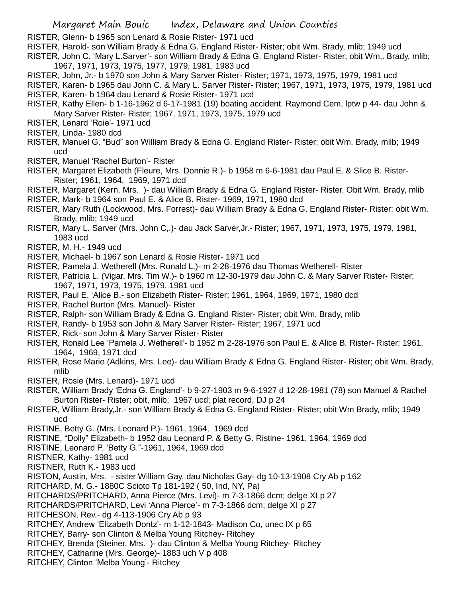RISTER, Glenn- b 1965 son Lenard & Rosie Rister- 1971 ucd

- RISTER, Harold- son William Brady & Edna G. England Rister- Rister; obit Wm. Brady, mlib; 1949 ucd
- RISTER, John C. 'Mary L.Sarver'- son William Brady & Edna G. England Rister- Rister; obit Wm,. Brady, mlib; 1967, 1971, 1973, 1975, 1977, 1979, 1981, 1983 ucd
- RISTER, John, Jr.- b 1970 son John & Mary Sarver Rister- Rister; 1971, 1973, 1975, 1979, 1981 ucd
- RISTER, Karen- b 1965 dau John C. & Mary L. Sarver Rister- Rister; 1967, 1971, 1973, 1975, 1979, 1981 ucd RISTER, Karen- b 1964 dau Lenard & Rosie Rister- 1971 ucd
- RISTER, Kathy Ellen- b 1-16-1962 d 6-17-1981 (19) boating accident. Raymond Cem, lptw p 44- dau John & Mary Sarver Rister- Rister; 1967, 1971, 1973, 1975, 1979 ucd
- RISTER, Lenard 'Roie'- 1971 ucd
- RISTER, Linda- 1980 dcd
- RISTER, Manuel G. "Bud" son William Brady & Edna G. England Rister- Rister; obit Wm. Brady, mlib; 1949 ucd
- RISTER, Manuel 'Rachel Burton'- Rister
- RISTER, Margaret Elizabeth (Fleure, Mrs. Donnie R.)- b 1958 m 6-6-1981 dau Paul E. & Slice B. Rister-Rister; 1961, 1964, 1969, 1971 dcd
- RISTER, Margaret (Kern, Mrs. )- dau William Brady & Edna G. England Rister- Rister. Obit Wm. Brady, mlib
- RISTER, Mark- b 1964 son Paul E. & Alice B. Rister- 1969, 1971, 1980 dcd
- RISTER, Mary Ruth (Lockwood, Mrs. Forrest)- dau William Brady & Edna G. England Rister- Rister; obit Wm. Brady, mlib; 1949 ucd
- RISTER, Mary L. Sarver (Mrs. John C,.)- dau Jack Sarver,Jr.- Rister; 1967, 1971, 1973, 1975, 1979, 1981, 1983 ucd
- RISTER, M. H.- 1949 ucd
- RISTER, Michael- b 1967 son Lenard & Rosie Rister- 1971 ucd
- RISTER, Pamela J. Wetherell (Mrs. Ronald L.)- m 2-28-1976 dau Thomas Wetherell- Rister
- RISTER, Patricia L. (Vigar, Mrs. Tim W.)- b 1960 m 12-30-1979 dau John C. & Mary Sarver Rister- Rister; 1967, 1971, 1973, 1975, 1979, 1981 ucd
- RISTER, Paul E. 'Alice B.- son Elizabeth Rister- Rister; 1961, 1964, 1969, 1971, 1980 dcd
- RISTER, Rachel Burton (Mrs. Manuel)- Rister
- RISTER, Ralph- son William Brady & Edna G. England Rister- Rister; obit Wm. Brady, mlib
- RISTER, Randy- b 1953 son John & Mary Sarver Rister- Rister; 1967, 1971 ucd
- RISTER, Rick- son John & Mary Sarver Rister- Rister
- RISTER, Ronald Lee 'Pamela J. Wetherell'- b 1952 m 2-28-1976 son Paul E. & Alice B. Rister- Rister; 1961, 1964, 1969, 1971 dcd
- RISTER, Rose Marie (Adkins, Mrs. Lee)- dau William Brady & Edna G. England Rister- Rister; obit Wm. Brady, mlib
- RISTER, Rosie (Mrs. Lenard)- 1971 ucd
- RISTER, William Brady 'Edna G. England'- b 9-27-1903 m 9-6-1927 d 12-28-1981 (78) son Manuel & Rachel Burton Rister- Rister; obit, mlib; 1967 ucd; plat record, DJ p 24
- RISTER, William Brady,Jr.- son William Brady & Edna G. England Rister- Rister; obit Wm Brady, mlib; 1949 ucd
- RISTINE, Betty G. (Mrs. Leonard P.)- 1961, 1964, 1969 dcd
- RISTINE, "Dolly" Elizabeth- b 1952 dau Leonard P. & Betty G. Ristine- 1961, 1964, 1969 dcd
- RISTINE, Leonard P. 'Betty G."-1961, 1964, 1969 dcd
- RISTNER, Kathy- 1981 ucd
- RISTNER, Ruth K.- 1983 ucd
- RISTON, Austin, Mrs. sister William Gay, dau Nicholas Gay- dg 10-13-1908 Cry Ab p 162
- RITCHARD, M. G.- 1880C Scioto Tp 181-192 ( 50, Ind, NY, Pa)
- RITCHARDS/PRITCHARD, Anna Pierce (Mrs. Levi)- m 7-3-1866 dcm; delge XI p 27
- RITCHARDS/PRITCHARD, Levi 'Anna Pierce'- m 7-3-1866 dcm; delge XI p 27
- RITCHESON, Rev.- dg 4-113-1906 Cry Ab p 93
- RITCHEY, Andrew 'Elizabeth Dontz'- m 1-12-1843- Madison Co, unec IX p 65
- RITCHEY, Barry- son Clinton & Melba Young Ritchey- Ritchey
- RITCHEY, Brenda (Steiner, Mrs. )- dau Clinton & Melba Young Ritchey- Ritchey
- RITCHEY, Catharine (Mrs. George)- 1883 uch V p 408
- RITCHEY, Clinton 'Melba Young'- Ritchey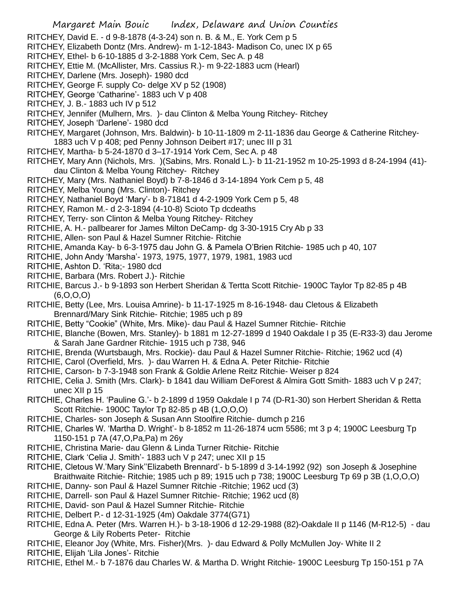- RITCHEY, David E. d 9-8-1878 (4-3-24) son n. B. & M., E. York Cem p 5
- RITCHEY, Elizabeth Dontz (Mrs. Andrew)- m 1-12-1843- Madison Co, unec IX p 65
- RITCHEY, Ethel- b 6-10-1885 d 3-2-1888 York Cem, Sec A. p 48
- RITCHEY, Ettie M. (McAllister, Mrs. Cassius R.)- m 9-22-1883 ucm (Hearl)
- RITCHEY, Darlene (Mrs. Joseph)- 1980 dcd
- RITCHEY, George F. supply Co- delge XV p 52 (1908)
- RITCHEY, George 'Catharine'- 1883 uch V p 408
- RITCHEY, J. B.- 1883 uch IV p 512
- RITCHEY, Jennifer (Mulhern, Mrs. )- dau Clinton & Melba Young Ritchey- Ritchey
- RITCHEY, Joseph 'Darlene'- 1980 dcd
- RITCHEY, Margaret (Johnson, Mrs. Baldwin)- b 10-11-1809 m 2-11-1836 dau George & Catherine Ritchey-1883 uch V p 408; ped Penny Johnson Deibert #17; unec III p 31
- RITCHEY, Martha- b 5-24-1870 d 3–17-1914 York Cem, Sec A. p 48
- RITCHEY, Mary Ann (Nichols, Mrs. )(Sabins, Mrs. Ronald L.)- b 11-21-1952 m 10-25-1993 d 8-24-1994 (41) dau Clinton & Melba Young Ritchey- Ritchey
- RITCHEY, Mary (Mrs. Nathaniel Boyd) b 7-8-1846 d 3-14-1894 York Cem p 5, 48
- RITCHEY, Melba Young (Mrs. Clinton)- Ritchey
- RITCHEY, Nathaniel Boyd 'Mary'- b 8-71841 d 4-2-1909 York Cem p 5, 48
- RITCHEY, Ramon M.- d 2-3-1894 (4-10-8) Scioto Tp dcdeaths
- RITCHEY, Terry- son Clinton & Melba Young Ritchey- Ritchey
- RITCHIE, A. H.- pallbearer for James Milton DeCamp- dg 3-30-1915 Cry Ab p 33
- RITCHIE, Allen- son Paul & Hazel Sumner Ritchie- Ritchie
- RITCHIE, Amanda Kay- b 6-3-1975 dau John G. & Pamela O'Brien Ritchie- 1985 uch p 40, 107
- RITCHIE, John Andy 'Marsha'- 1973, 1975, 1977, 1979, 1981, 1983 ucd
- RITCHIE, Ashton D. 'Rita;- 1980 dcd
- RITCHIE, Barbara (Mrs. Robert J.)- Ritchie
- RITCHIE, Barcus J.- b 9-1893 son Herbert Sheridan & Tertta Scott Ritchie- 1900C Taylor Tp 82-85 p 4B (6,O,O,O)
- RITCHIE, Betty (Lee, Mrs. Louisa Amrine)- b 11-17-1925 m 8-16-1948- dau Cletous & Elizabeth Brennard/Mary Sink Ritchie- Ritchie; 1985 uch p 89
- RITCHIE, Betty "Cookie" (White, Mrs. Mike)- dau Paul & Hazel Sumner Ritchie- Ritchie
- RITCHIE, Blanche (Bowen, Mrs. Stanley)- b 1881 m 12-27-1899 d 1940 Oakdale I p 35 (E-R33-3) dau Jerome & Sarah Jane Gardner Ritchie- 1915 uch p 738, 946
- RITCHIE, Brenda (Wurtsbaugh, Mrs. Rockie)- dau Paul & Hazel Sumner Ritchie- Ritchie; 1962 ucd (4)
- RITCHIE, Carol (Overfield, Mrs. )- dau Warren H. & Edna A. Peter Ritchie- Ritchie
- RITCHIE, Carson- b 7-3-1948 son Frank & Goldie Arlene Reitz Ritchie- Weiser p 824
- RITCHIE, Celia J. Smith (Mrs. Clark)- b 1841 dau William DeForest & Almira Gott Smith- 1883 uch V p 247; unec XII p 15
- RITCHIE, Charles H. 'Pauline G.'- b 2-1899 d 1959 Oakdale I p 74 (D-R1-30) son Herbert Sheridan & Retta Scott Ritchie- 1900C Taylor Tp 82-85 p 4B (1,O,O,O)
- RITCHIE, Charles- son Joseph & Susan Ann Stoolfire Ritchie- dumch p 216
- RITCHIE, Charles W. 'Martha D. Wright'- b 8-1852 m 11-26-1874 ucm 5586; mt 3 p 4; 1900C Leesburg Tp 1150-151 p 7A (47,O,Pa,Pa) m 26y
- RITCHIE, Christina Marie- dau Glenn & Linda Turner Ritchie- Ritchie
- RITCHIE, Clark 'Celia J. Smith'- 1883 uch V p 247; unec XII p 15
- RITCHIE, Cletous W.'Mary Sink''Elizabeth Brennard'- b 5-1899 d 3-14-1992 (92) son Joseph & Josephine Braithwaite Ritchie- Ritchie; 1985 uch p 89; 1915 uch p 738; 1900C Leesburg Tp 69 p 3B (1,O,O,O)
- RITCHIE, Danny- son Paul & Hazel Sumner Ritchie -Ritchie; 1962 ucd (3)
- RITCHIE, Darrell- son Paul & Hazel Sumner Ritchie- Ritchie; 1962 ucd (8)
- RITCHIE, David- son Paul & Hazel Sumner Ritchie- Ritchie
- RITCHIE, Delbert P.- d 12-31-1925 (4m) Oakdale 3774(G71)
- RITCHIE, Edna A. Peter (Mrs. Warren H.)- b 3-18-1906 d 12-29-1988 (82)-Oakdale II p 1146 (M-R12-5) dau George & Lily Roberts Peter- Ritchie
- RITCHIE, Eleanor Joy (White, Mrs. Fisher)(Mrs. )- dau Edward & Polly McMullen Joy- White II 2
- RITCHIE, Elijah 'Lila Jones'- Ritchie
- RITCHIE, Ethel M.- b 7-1876 dau Charles W. & Martha D. Wright Ritchie- 1900C Leesburg Tp 150-151 p 7A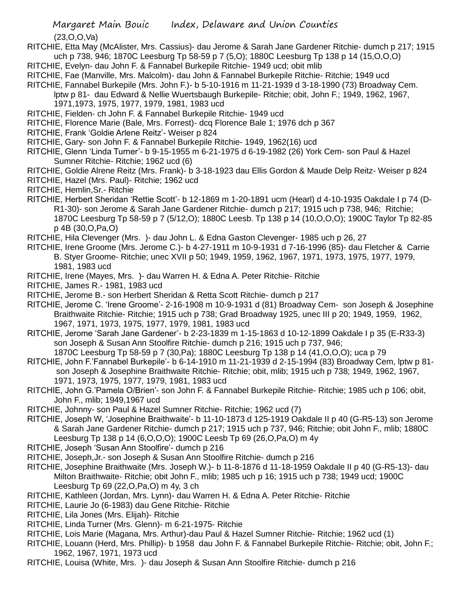(23,O,O,Va)

- RITCHIE, Etta May (McAlister, Mrs. Cassius)- dau Jerome & Sarah Jane Gardener Ritchie- dumch p 217; 1915 uch p 738, 946; 1870C Leesburg Tp 58-59 p 7 (5,O); 1880C Leesburg Tp 138 p 14 (15,O,O,O)
- RITCHIE, Evelyn- dau John F. & Fannabel Burkepile Ritchie- 1949 ucd; obit mlib
- RITCHIE, Fae (Manville, Mrs. Malcolm)- dau John & Fannabel Burkepile Ritchie- Ritchie; 1949 ucd
- RITCHIE, Fannabel Burkepile (Mrs. John F.)- b 5-10-1916 m 11-21-1939 d 3-18-1990 (73) Broadway Cem.
	- lptw p 81- dau Edward & Nellie Wuertsbaugh Burkepile- Ritchie; obit, John F.; 1949, 1962, 1967,
	- 1971,1973, 1975, 1977, 1979, 1981, 1983 ucd
- RITCHIE, Fielden- ch John F. & Fannabel Burkepile Ritchie- 1949 ucd
- RITCHIE, Florence Marie (Bale, Mrs. Forrest)- dcq Florence Bale 1; 1976 dch p 367
- RITCHIE, Frank 'Goldie Arlene Reitz'- Weiser p 824
- RITCHIE, Gary- son John F. & Fannabel Burkepile Ritchie- 1949, 1962(16) ucd
- RITCHIE, Glenn 'Linda Turner'- b 9-15-1955 m 6-21-1975 d 6-19-1982 (26) York Cem- son Paul & Hazel Sumner Ritchie- Ritchie; 1962 ucd (6)
- RITCHIE, Goldie Alrene Reitz (Mrs. Frank)- b 3-18-1923 dau Ellis Gordon & Maude Delp Reitz- Weiser p 824
- RITCHIE, Hazel (Mrs. Paul)- Ritchie; 1962 ucd
- RITCHIE, Hemlin,Sr.- Ritchie
- RITCHIE, Herbert Sheridan 'Rettie Scott'- b 12-1869 m 1-20-1891 ucm (Hearl) d 4-10-1935 Oakdale I p 74 (D-R1-30)- son Jerome & Sarah Jane Gardener Ritchie- dumch p 217; 1915 uch p 738, 946; Ritchie; 1870C Leesburg Tp 58-59 p 7 (5/12,O); 1880C Leesb. Tp 138 p 14 (10,O,O,O); 1900C Taylor Tp 82-85 p 4B (30,O,Pa,O)
- RITCHIE, Hila Clevenger (Mrs. )- dau John L. & Edna Gaston Clevenger- 1985 uch p 26, 27
- RITCHIE, Irene Groome (Mrs. Jerome C.)- b 4-27-1911 m 10-9-1931 d 7-16-1996 (85)- dau Fletcher & Carrie B. Styer Groome- Ritchie; unec XVII p 50; 1949, 1959, 1962, 1967, 1971, 1973, 1975, 1977, 1979, 1981, 1983 ucd
- RITCHIE, Irene (Mayes, Mrs. )- dau Warren H. & Edna A. Peter Ritchie- Ritchie
- RITCHIE, James R.- 1981, 1983 ucd
- RITCHIE, Jerome B.- son Herbert Sheridan & Retta Scott Ritchie- dumch p 217
- RITCHIE, Jerome C. 'Irene Groome'- 2-16-1908 m 10-9-1931 d (81) Broadway Cem- son Joseph & Josephine Braithwaite Ritchie- Ritchie; 1915 uch p 738; Grad Broadway 1925, unec III p 20; 1949, 1959, 1962, 1967, 1971, 1973, 1975, 1977, 1979, 1981, 1983 ucd
- RITCHIE, Jerome 'Sarah Jane Gardener'- b 2-23-1839 m 1-15-1863 d 10-12-1899 Oakdale I p 35 (E-R33-3) son Joseph & Susan Ann Stoolfire Ritchie- dumch p 216; 1915 uch p 737, 946;
- 1870C Leesburg Tp 58-59 p 7 (30,Pa); 1880C Leesburg Tp 138 p 14 (41,O,O,O); uca p 79 RITCHIE, John F.'Fannabel Burkepile'- b 6-14-1910 m 11-21-1939 d 2-15-1994 (83) Broadway Cem, lptw p 81 son Joseph & Josephine Braithwaite Ritchie- Ritchie; obit, mlib; 1915 uch p 738; 1949, 1962, 1967, 1971, 1973, 1975, 1977, 1979, 1981, 1983 ucd
- RITCHIE, John G.'Pamela O/Brien'- son John F. & Fannabel Burkepile Ritchie- Ritchie; 1985 uch p 106; obit, John F., mlib; 1949,1967 ucd
- RITCHIE, Johnny- son Paul & Hazel Sumner Ritchie- Ritchie; 1962 ucd (7)
- RITCHIE, Joseph W, 'Josephine Braithwaite'- b 11-10-1873 d 125-1919 Oakdale II p 40 (G-R5-13) son Jerome & Sarah Jane Gardener Ritchie- dumch p 217; 1915 uch p 737, 946; Ritchie; obit John F., mlib; 1880C Leesburg Tp 138 p 14 (6,O,O,O); 1900C Leesb Tp 69 (26,O,Pa,O) m 4y
- RITCHIE, Joseph 'Susan Ann Stoolfire'- dumch p 216
- RITCHIE, Joseph,Jr.- son Joseph & Susan Ann Stoolfire Ritchie- dumch p 216
- RITCHIE, Josephine Braithwaite (Mrs. Joseph W.)- b 11-8-1876 d 11-18-1959 Oakdale II p 40 (G-R5-13)- dau Milton Braithwaite- Ritchie; obit John F., mlib; 1985 uch p 16; 1915 uch p 738; 1949 ucd; 1900C Leesburg Tp 69 (22,O,Pa,O) m 4y, 3 ch
- RITCHIE, Kathleen (Jordan, Mrs. Lynn)- dau Warren H. & Edna A. Peter Ritchie- Ritchie
- RITCHIE, Laurie Jo (6-1983) dau Gene Ritchie- Ritchie
- RITCHIE, Lila Jones (Mrs. Elijah)- Ritchie
- RITCHIE, Linda Turner (Mrs. Glenn)- m 6-21-1975- Ritchie
- RITCHIE, Lois Marie (Magana, Mrs. Arthur)-dau Paul & Hazel Sumner Ritchie- Ritchie; 1962 ucd (1)
- RITCHIE, Louann (Herd, Mrs. Phillip)- b 1958 dau John F. & Fannabel Burkepile Ritchie- Ritchie; obit, John F.; 1962, 1967, 1971, 1973 ucd
- RITCHIE, Louisa (White, Mrs. )- dau Joseph & Susan Ann Stoolfire Ritchie- dumch p 216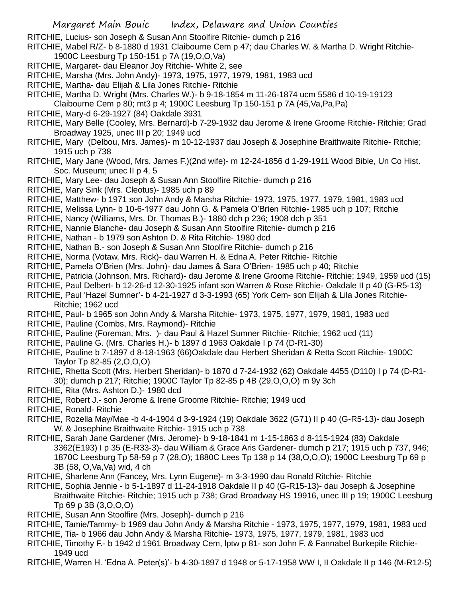- RITCHIE, Lucius- son Joseph & Susan Ann Stoolfire Ritchie- dumch p 216
- RITCHIE, Mabel R/Z- b 8-1880 d 1931 Claibourne Cem p 47; dau Charles W. & Martha D. Wright Ritchie-1900C Leesburg Tp 150-151 p 7A (19,O,O,Va)
- RITCHIE, Margaret- dau Eleanor Joy Ritchie- White 2, see
- RITCHIE, Marsha (Mrs. John Andy)- 1973, 1975, 1977, 1979, 1981, 1983 ucd
- RITCHIE, Martha- dau Elijah & Lila Jones Ritchie- Ritchie
- RITCHIE, Martha D. Wright (Mrs. Charles W.)- b 9-18-1854 m 11-26-1874 ucm 5586 d 10-19-19123
- Claibourne Cem p 80; mt3 p 4; 1900C Leesburg Tp 150-151 p 7A (45,Va,Pa,Pa)
- RITCHIE, Mary-d 6-29-1927 (84) Oakdale 3931
- RITCHIE, Mary Belle (Cooley, Mrs. Bernard)-b 7-29-1932 dau Jerome & Irene Groome Ritchie- Ritchie; Grad Broadway 1925, unec III p 20; 1949 ucd
- RITCHIE, Mary (Delbou, Mrs. James)- m 10-12-1937 dau Joseph & Josephine Braithwaite Ritchie- Ritchie; 1915 uch p 738
- RITCHIE, Mary Jane (Wood, Mrs. James F.)(2nd wife)- m 12-24-1856 d 1-29-1911 Wood Bible, Un Co Hist. Soc. Museum; unec II p 4, 5
- RITCHIE, Mary Lee- dau Joseph & Susan Ann Stoolfire Ritchie- dumch p 216
- RITCHIE, Mary Sink (Mrs. Cleotus)- 1985 uch p 89
- RITCHIE, Matthew- b 1971 son John Andy & Marsha Ritchie- 1973, 1975, 1977, 1979, 1981, 1983 ucd
- RITCHIE, Melissa Lynn- b 10-6-1977 dau John G. & Pamela O'Brien Ritchie- 1985 uch p 107; Ritchie
- RITCHIE, Nancy (Williams, Mrs. Dr. Thomas B.)- 1880 dch p 236; 1908 dch p 351
- RITCHIE, Nannie Blanche- dau Joseph & Susan Ann Stoolfire Ritchie- dumch p 216
- RITCHIE, Nathan b 1979 son Ashton D. & Rita Ritchie- 1980 dcd
- RITCHIE, Nathan B.- son Joseph & Susan Ann Stoolfire Ritchie- dumch p 216
- RITCHIE, Norma (Votaw, Mrs. Rick)- dau Warren H. & Edna A. Peter Ritchie- Ritchie
- RITCHIE, Pamela O'Brien (Mrs. John)- dau James & Sara O'Brien- 1985 uch p 40; Ritchie
- RITCHIE, Patricia (Johnson, Mrs. Richard)- dau Jerome & Irene Groome Ritchie- Ritchie; 1949, 1959 ucd (15)
- RITCHIE, Paul Delbert- b 12-26-d 12-30-1925 infant son Warren & Rose Ritchie- Oakdale II p 40 (G-R5-13)
- RITCHIE, Paul 'Hazel Sumner'- b 4-21-1927 d 3-3-1993 (65) York Cem- son Elijah & Lila Jones Ritchie-Ritchie; 1962 ucd
- RITCHIE, Paul- b 1965 son John Andy & Marsha Ritchie- 1973, 1975, 1977, 1979, 1981, 1983 ucd
- RITCHIE, Pauline (Combs, Mrs. Raymond)- Ritchie
- RITCHIE, Pauline (Foreman, Mrs. )- dau Paul & Hazel Sumner Ritchie- Ritchie; 1962 ucd (11)
- RITCHIE, Pauline G. (Mrs. Charles H.)- b 1897 d 1963 Oakdale I p 74 (D-R1-30)
- RITCHIE, Pauline b 7-1897 d 8-18-1963 (66)Oakdale dau Herbert Sheridan & Retta Scott Ritchie- 1900C Taylor Tp 82-85 (2,O,O,O)
- RITCHIE, Rhetta Scott (Mrs. Herbert Sheridan)- b 1870 d 7-24-1932 (62) Oakdale 4455 (D110) I p 74 (D-R1- 30); dumch p 217; Ritchie; 1900C Taylor Tp 82-85 p 4B (29,O,O,O) m 9y 3ch
- RITCHIE, Rita (Mrs. Ashton D.)- 1980 dcd
- RITCHIE, Robert J.- son Jerome & Irene Groome Ritchie- Ritchie; 1949 ucd
- RITCHIE, Ronald- Ritchie
- RITCHIE, Rozella May/Mae -b 4-4-1904 d 3-9-1924 (19) Oakdale 3622 (G71) II p 40 (G-R5-13)- dau Joseph W. & Josephine Braithwaite Ritchie- 1915 uch p 738
- RITCHIE, Sarah Jane Gardener (Mrs. Jerome)- b 9-18-1841 m 1-15-1863 d 8-115-1924 (83) Oakdale 3362(E193) I p 35 (E-R33-3)- dau William & Grace Aris Gardener- dumch p 217; 1915 uch p 737, 946; 1870C Leesburg Tp 58-59 p 7 (28,O); 1880C Lees Tp 138 p 14 (38,O,O,O); 1900C Leesburg Tp 69 p 3B (58, O,Va,Va) wid, 4 ch
- RITCHIE, Sharlene Ann (Fancey, Mrs. Lynn Eugene)- m 3-3-1990 dau Ronald Ritchie- Ritchie
- RITCHIE, Sophia Jennie b 5-1-1897 d 11-24-1918 Oakdale II p 40 (G-R15-13)- dau Joseph & Josephine Braithwaite Ritchie- Ritchie; 1915 uch p 738; Grad Broadway HS 19916, unec III p 19; 1900C Leesburg Tp 69 p 3B (3,O,O,O)
- RITCHIE, Susan Ann Stoolfire (Mrs. Joseph)- dumch p 216
- RITCHIE, Tamie/Tammy- b 1969 dau John Andy & Marsha Ritchie 1973, 1975, 1977, 1979, 1981, 1983 ucd
- RITCHIE, Tia- b 1966 dau John Andy & Marsha Ritchie- 1973, 1975, 1977, 1979, 1981, 1983 ucd
- RITCHIE, Timothy F.- b 1942 d 1961 Broadway Cem, lptw p 81- son John F. & Fannabel Burkepile Ritchie-1949 ucd
- RITCHIE, Warren H. 'Edna A. Peter(s)'- b 4-30-1897 d 1948 or 5-17-1958 WW I, II Oakdale II p 146 (M-R12-5)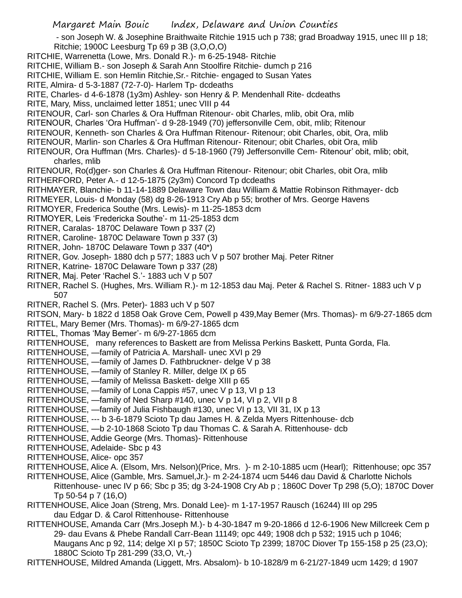- son Joseph W. & Josephine Braithwaite Ritchie 1915 uch p 738; grad Broadway 1915, unec III p 18; Ritchie; 1900C Leesburg Tp 69 p 3B (3,O,O,O)

- RITCHIE, Warrenetta (Lowe, Mrs. Donald R.)- m 6-25-1948- Ritchie
- RITCHIE, William B.- son Joseph & Sarah Ann Stoolfire Ritchie- dumch p 216
- RITCHIE, William E. son Hemlin Ritchie,Sr.- Ritchie- engaged to Susan Yates
- RITE, Almira- d 5-3-1887 (72-7-0)- Harlem Tp- dcdeaths
- RITE, Charles- d 4-6-1878 (1y3m) Ashley- son Henry & P. Mendenhall Rite- dcdeaths
- RITE, Mary, Miss, unclaimed letter 1851; unec VIII p 44
- RITENOUR, Carl- son Charles & Ora Huffman Ritenour- obit Charles, mlib, obit Ora, mlib
- RITENOUR, Charles 'Ora Huffman'- d 9-28-1949 (70) jeffersonville Cem, obit, mlib; Ritenour
- RITENOUR, Kenneth- son Charles & Ora Huffman Ritenour- Ritenour; obit Charles, obit, Ora, mlib
- RITENOUR, Marlin- son Charles & Ora Huffman Ritenour- Ritenour; obit Charles, obit Ora, mlib
- RITENOUR, Ora Huffman (Mrs. Charles)- d 5-18-1960 (79) Jeffersonville Cem- Ritenour' obit, mlib; obit, charles, mlib
- RITENOUR, Ro(d)ger- son Charles & Ora Huffman Ritenour- Ritenour; obit Charles, obit Ora, mlib RITHERFORD, Peter A.- d 12-5-1875 (2y3m) Concord Tp dcdeaths
- RITHMAYER, Blanchie- b 11-14-1889 Delaware Town dau William & Mattie Robinson Rithmayer- dcb
- RITMEYER, Louis- d Monday (58) dg 8-26-1913 Cry Ab p 55; brother of Mrs. George Havens
- RITMOYER, Frederica Southe (Mrs. Lewis)- m 11-25-1853 dcm
- RITMOYER, Leis 'Fredericka Southe'- m 11-25-1853 dcm
- RITNER, Caralas- 1870C Delaware Town p 337 (2)
- RITNER, Caroline- 1870C Delaware Town p 337 (3)
- RITNER, John- 1870C Delaware Town p 337 (40\*)
- RITNER, Gov. Joseph- 1880 dch p 577; 1883 uch V p 507 brother Maj. Peter Ritner
- RITNER, Katrine- 1870C Delaware Town p 337 (28)
- RITNER, Maj. Peter 'Rachel S.'- 1883 uch V p 507
- RITNER, Rachel S. (Hughes, Mrs. William R.)- m 12-1853 dau Maj. Peter & Rachel S. Ritner- 1883 uch V p 507
- RITNER, Rachel S. (Mrs. Peter)- 1883 uch V p 507

RITSON, Mary- b 1822 d 1858 Oak Grove Cem, Powell p 439,May Bemer (Mrs. Thomas)- m 6/9-27-1865 dcm

RITTEL, Mary Bemer (Mrs. Thomas)- m 6/9-27-1865 dcm

- RITTEL, Thomas 'May Bemer'- m 6/9-27-1865 dcm
- RITTENHOUSE, many references to Baskett are from Melissa Perkins Baskett, Punta Gorda, Fla.
- RITTENHOUSE, —family of Patricia A. Marshall- unec XVI p 29
- RITTENHOUSE, —family of James D. Fathbruckner- delge V p 38
- RITTENHOUSE, —family of Stanley R. Miller, delge IX p 65
- RITTENHOUSE, —family of Melissa Baskett- delge XIII p 65
- RITTENHOUSE, —family of Lona Cappis #57, unec V p 13, VI p 13
- RITTENHOUSE, —family of Ned Sharp #140, unec V p 14, VI p 2, VII p 8
- RITTENHOUSE, —family of Julia Fishbaugh #130, unec VI p 13, VII 31, IX p 13
- RITTENHOUSE, --- b 3-6-1879 Scioto Tp dau James H. & Zelda Myers Rittenhouse- dcb
- RITTENHOUSE, —b 2-10-1868 Scioto Tp dau Thomas C. & Sarah A. Rittenhouse- dcb
- RITTENHOUSE, Addie George (Mrs. Thomas)- Rittenhouse
- RITTENHOUSE, Adelaide- Sbc p 43
- RITTENHOUSE, Alice- opc 357
- RITTENHOUSE, Alice A. (Elsom, Mrs. Nelson)(Price, Mrs. )- m 2-10-1885 ucm (Hearl); Rittenhouse; opc 357
- RITTENHOUSE, Alice (Gamble, Mrs. Samuel,Jr.)- m 2-24-1874 ucm 5446 dau David & Charlotte Nichols Rittenhouse- unec IV p 66; Sbc p 35; dg 3-24-1908 Cry Ab p ; 1860C Dover Tp 298 (5,O); 1870C Dover Tp 50-54 p 7 (16,O)
- RITTENHOUSE, Alice Joan (Streng, Mrs. Donald Lee)- m 1-17-1957 Rausch (16244) III op 295 dau Edgar D. & Carol Rittenhouse- Rittenhouse
- RITTENHOUSE, Amanda Carr (Mrs.Joseph M.)- b 4-30-1847 m 9-20-1866 d 12-6-1906 New Millcreek Cem p 29- dau Evans & Phebe Randall Carr-Bean 11149; opc 449; 1908 dch p 532; 1915 uch p 1046; Maugans Anc p 92, 114; delge XI p 57; 1850C Scioto Tp 2399; 1870C Diover Tp 155-158 p 25 (23,O); 1880C Scioto Tp 281-299 (33,O, Vt,-)

RITTENHOUSE, Mildred Amanda (Liggett, Mrs. Absalom)- b 10-1828/9 m 6-21/27-1849 ucm 1429; d 1907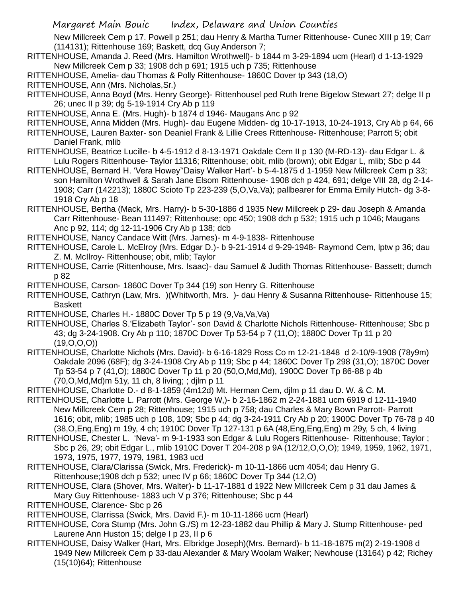New Millcreek Cem p 17. Powell p 251; dau Henry & Martha Turner Rittenhouse- Cunec XIII p 19; Carr (114131); Rittenhouse 169; Baskett, dcq Guy Anderson 7;

RITTENHOUSE, Amanda J. Reed (Mrs. Hamilton Wrothwell)- b 1844 m 3-29-1894 ucm (Hearl) d 1-13-1929 New Millcreek Cem p 33; 1908 dch p 691; 1915 uch p 735; Rittenhouse

RITTENHOUSE, Amelia- dau Thomas & Polly Rittenhouse- 1860C Dover tp 343 (18,O)

RITTENHOUSE, Ann (Mrs. Nicholas,Sr.)

RITTENHOUSE, Anna Boyd (Mrs. Henry George)- Rittenhousel ped Ruth Irene Bigelow Stewart 27; delge II p 26; unec II p 39; dg 5-19-1914 Cry Ab p 119

RITTENHOUSE, Anna E. (Mrs. Hugh)- b 1874 d 1946- Maugans Anc p 92

- RITTENHOUSE, Anna Midden (Mrs. Hugh)- dau Eugene Midden- dg 10-17-1913, 10-24-1913, Cry Ab p 64, 66
- RITTENHOUSE, Lauren Baxter- son Deaniel Frank & Lillie Crees Rittenhouse- Rittenhouse; Parrott 5; obit Daniel Frank, mlib
- RITTENHOUSE, Beatrice Lucille- b 4-5-1912 d 8-13-1971 Oakdale Cem II p 130 (M-RD-13)- dau Edgar L. & Lulu Rogers Rittenhouse- Taylor 11316; Rittenhouse; obit, mlib (brown); obit Edgar L, mlib; Sbc p 44
- RITTENHOUSE, Bernard H. 'Vera Howey''Daisy Walker Hart'- b 5-4-1875 d 1-1959 New Millcreek Cem p 33; son Hamilton Wrothwell & Sarah Jane Elsom Rittenhouse- 1908 dch p 424, 691; delge VIII 28, dg 2-14- 1908; Carr (142213); 1880C Scioto Tp 223-239 (5,O,Va,Va); pallbearer for Emma Emily Hutch- dg 3-8- 1918 Cry Ab p 18
- RITTENHOUSE, Bertha (Mack, Mrs. Harry)- b 5-30-1886 d 1935 New Millcreek p 29- dau Joseph & Amanda Carr Rittenhouse- Bean 111497; Rittenhouse; opc 450; 1908 dch p 532; 1915 uch p 1046; Maugans Anc p 92, 114; dg 12-11-1906 Cry Ab p 138; dcb
- RITTENHOUSE, Nancy Candace Witt (Mrs. James)- m 4-9-1838- Rittenhouse
- RITTENHOUSE, Carole L. McElroy (Mrs. Edgar D.)- b 9-21-1914 d 9-29-1948- Raymond Cem, lptw p 36; dau Z. M. McIlroy- Rittenhouse; obit, mlib; Taylor
- RITTENHOUSE, Carrie (Rittenhouse, Mrs. Isaac)- dau Samuel & Judith Thomas Rittenhouse- Bassett; dumch p 82
- RITTENHOUSE, Carson- 1860C Dover Tp 344 (19) son Henry G. Rittenhouse
- RITTENHOUSE, Cathryn (Law, Mrs. )(Whitworth, Mrs. )- dau Henry & Susanna Rittenhouse- Rittenhouse 15; Baskett
- RITTENHOUSE, Charles H.- 1880C Dover Tp 5 p 19 (9,Va,Va,Va)
- RITTENHOUSE, Charles S.'Elizabeth Taylor'- son David & Charlotte Nichols Rittenhouse- Rittenhouse; Sbc p 43; dg 3-24-1908. Cry Ab p 110; 1870C Dover Tp 53-54 p 7 (11,O); 1880C Dover Tp 11 p 20  $(19,0,0,0)$
- RITTENHOUSE, Charlotte Nichols (Mrs. David)- b 6-16-1829 Ross Co m 12-21-1848 d 2-10/9-1908 (78y9m) Oakdale 2096 (68F); dg 3-24-1908 Cry Ab p 119; Sbc p 44; 1860C Dover Tp 298 (31,O); 1870C Dover Tp 53-54 p 7 (41,O); 1880C Dover Tp 11 p 20 (50,O,Md,Md), 1900C Dover Tp 86-88 p 4b (70,O,Md,Md)m 51y, 11 ch, 8 living; ; djlm p 11
- RITTENHOUSE, Charlotte D.- d 8-1-1859 (4m12d) Mt. Herman Cem, djlm p 11 dau D. W. & C. M.
- RITTENHOUSE, Charlotte L. Parrott (Mrs. George W,)- b 2-16-1862 m 2-24-1881 ucm 6919 d 12-11-1940 New Millcreek Cem p 28; Rittenhouse; 1915 uch p 758; dau Charles & Mary Bown Parrott- Parrott 1616; obit, mlib; 1985 uch p 108, 109; Sbc p 44; dg 3-24-1911 Cry Ab p 20; 1900C Dover Tp 76-78 p 40 (38,O,Eng,Eng) m 19y, 4 ch; 1910C Dover Tp 127-131 p 6A (48,Eng,Eng,Eng) m 29y, 5 ch, 4 living
- RITTENHOUSE, Chester L. 'Neva'- m 9-1-1933 son Edgar & Lulu Rogers Rittenhouse- Rittenhouse; Taylor ; Sbc p 26, 29; obit Edgar L., mlib 1910C Dover T 204-208 p 9A (12/12,O,O,O); 1949, 1959, 1962, 1971, 1973, 1975, 1977, 1979, 1981, 1983 ucd
- RITTENHOUSE, Clara/Clarissa (Swick, Mrs. Frederick)- m 10-11-1866 ucm 4054; dau Henry G. Rittenhouse;1908 dch p 532; unec IV p 66; 1860C Dover Tp 344 (12,O)
- RITTENHOUSE, Clara (Shover, Mrs. Walter)- b 11-17-1881 d 1922 New Millcreek Cem p 31 dau James & Mary Guy Rittenhouse- 1883 uch V p 376; Rittenhouse; Sbc p 44
- RITTENHOUSE, Clarence- Sbc p 26
- RITTENHOUSE, Clarrissa (Swick, Mrs. David F.)- m 10-11-1866 ucm (Hearl)
- RITTENHOUSE, Cora Stump (Mrs. John G./S) m 12-23-1882 dau Phillip & Mary J. Stump Rittenhouse- ped Laurene Ann Huston 15; delge I p 23, Il p 6
- RITTENHOUSE, Daisy Walker (Hart, Mrs. Elbridge Joseph)(Mrs. Bernard)- b 11-18-1875 m(2) 2-19-1908 d 1949 New Millcreek Cem p 33-dau Alexander & Mary Woolam Walker; Newhouse (13164) p 42; Richey (15(10)64); Rittenhouse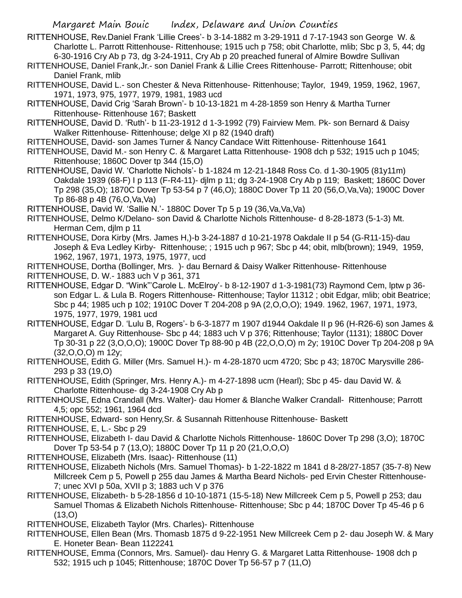- RITTENHOUSE, Rev.Daniel Frank 'Lillie Crees'- b 3-14-1882 m 3-29-1911 d 7-17-1943 son George W. & Charlotte L. Parrott Rittenhouse- Rittenhouse; 1915 uch p 758; obit Charlotte, mlib; Sbc p 3, 5, 44; dg 6-30-1916 Cry Ab p 73, dg 3-24-1911, Cry Ab p 20 preached funeral of Almire Bowdre Sullivan
- RITTENHOUSE, Daniel Frank,Jr.- son Daniel Frank & Lillie Crees Rittenhouse- Parrott; Rittenhouse; obit Daniel Frank, mlib
- RITTENHOUSE, David L.- son Chester & Neva Rittenhouse- Rittenhouse; Taylor, 1949, 1959, 1962, 1967, 1971, 1973, 975, 1977, 1979, 1981, 1983 ucd
- RITTENHOUSE, David Crig 'Sarah Brown'- b 10-13-1821 m 4-28-1859 son Henry & Martha Turner Rittenhouse- Rittenhouse 167; Baskett
- RITTENHOUSE, David D. 'Ruth'- b 11-23-1912 d 1-3-1992 (79) Fairview Mem. Pk- son Bernard & Daisy Walker Rittenhouse- Rittenhouse; delge XI p 82 (1940 draft)
- RITTENHOUSE, David- son James Turner & Nancy Candace Witt Rittenhouse- Rittenhouse 1641
- RITTENHOUSE, David M.- son Henry C. & Margaret Latta Rittenhouse- 1908 dch p 532; 1915 uch p 1045; Rittenhouse; 1860C Dover tp 344 (15,O)
- RITTENHOUSE, David W. 'Charlotte Nichols'- b 1-1824 m 12-21-1848 Ross Co. d 1-30-1905 (81y11m) Oakdale 1939 (68-F) I p 113 (F-R4-11)- djlm p 11; dg 3-24-1908 Cry Ab p 119; Baskett; 1860C Dover Tp 298 (35,O); 1870C Dover Tp 53-54 p 7 (46,O); 1880C Dover Tp 11 20 (56,O,Va,Va); 1900C Dover Tp 86-88 p 4B (76,O,Va,Va)
- RITTENHOUSE, David W. 'Sallie N.'- 1880C Dover Tp 5 p 19 (36,Va,Va,Va)
- RITTENHOUSE, Delmo K/Delano- son David & Charlotte Nichols Rittenhouse- d 8-28-1873 (5-1-3) Mt. Herman Cem, djlm p 11
- RITTENHOUSE, Dora Kirby (Mrs. James H,)-b 3-24-1887 d 10-21-1978 Oakdale II p 54 (G-R11-15)-dau Joseph & Eva Ledley Kirby- Rittenhouse; ; 1915 uch p 967; Sbc p 44; obit, mlb(brown); 1949, 1959, 1962, 1967, 1971, 1973, 1975, 1977, ucd
- RITTENHOUSE, Dortha (Bollinger, Mrs. )- dau Bernard & Daisy Walker Rittenhouse- Rittenhouse
- RITTENHOUSE, D. W.- 1883 uch V p 361, 371
- RITTENHOUSE, Edgar D. "Wink"'Carole L. McElroy'- b 8-12-1907 d 1-3-1981(73) Raymond Cem, lptw p 36 son Edgar L. & Lula B. Rogers Rittenhouse- Rittenhouse; Taylor 11312 ; obit Edgar, mlib; obit Beatrice; Sbc p 44; 1985 uch p 102; 1910C Dover T 204-208 p 9A (2,O,O,O); 1949. 1962, 1967, 1971, 1973, 1975, 1977, 1979, 1981 ucd
- RITTENHOUSE, Edgar D. 'Lulu B, Rogers'- b 6-3-1877 m 1907 d1944 Oakdale II p 96 (H-R26-6) son James & Margaret A. Guy Rittenhouse- Sbc p 44; 1883 uch V p 376; Rittenhouse; Taylor (1131); 1880C Dover Tp 30-31 p 22 (3,O,O,O); 1900C Dover Tp 88-90 p 4B (22,O,O,O) m 2y; 1910C Dover Tp 204-208 p 9A (32,O,O,O) m 12y;
- RITTENHOUSE, Edith G. Miller (Mrs. Samuel H.)- m 4-28-1870 ucm 4720; Sbc p 43; 1870C Marysville 286- 293 p 33 (19,O)
- RITTENHOUSE, Edith (Springer, Mrs. Henry A.)- m 4-27-1898 ucm (Hearl); Sbc p 45- dau David W. & Charlotte Rittenhouse- dg 3-24-1908 Cry Ab p
- RITTENHOUSE, Edna Crandall (Mrs. Walter)- dau Homer & Blanche Walker Crandall- Rittenhouse; Parrott 4,5; opc 552; 1961, 1964 dcd
- RITTENHOUSE, Edward- son Henry,Sr. & Susannah Rittenhouse Rittenhouse- Baskett
- RITTENHOUSE, E, L.- Sbc p 29
- RITTENHOUSE, Elizabeth I- dau David & Charlotte Nichols Rittenhouse- 1860C Dover Tp 298 (3,O); 1870C Dover Tp 53-54 p 7 (13,O); 1880C Dover Tp 11 p 20 (21,O,O,O)
- RITTENHOUSE, Elizabeth (Mrs. Isaac)- Rittenhouse (11)
- RITTENHOUSE, Elizabeth Nichols (Mrs. Samuel Thomas)- b 1-22-1822 m 1841 d 8-28/27-1857 (35-7-8) New Millcreek Cem p 5, Powell p 255 dau James & Martha Beard Nichols- ped Ervin Chester Rittenhouse-7; unec XVI p 50a, XVII p 3; 1883 uch V p 376
- RITTENHOUSE, Elizabeth- b 5-28-1856 d 10-10-1871 (15-5-18) New Millcreek Cem p 5, Powell p 253; dau Samuel Thomas & Elizabeth Nichols Rittenhouse- Rittenhouse; Sbc p 44; 1870C Dover Tp 45-46 p 6  $(13,0)$
- RITTENHOUSE, Elizabeth Taylor (Mrs. Charles)- Rittenhouse
- RITTENHOUSE, Ellen Bean (Mrs. Thomasb 1875 d 9-22-1951 New Millcreek Cem p 2- dau Joseph W. & Mary E. Honeter Bean- Bean 1122241
- RITTENHOUSE, Emma (Connors, Mrs. Samuel)- dau Henry G. & Margaret Latta Rittenhouse- 1908 dch p 532; 1915 uch p 1045; Rittenhouse; 1870C Dover Tp 56-57 p 7 (11,O)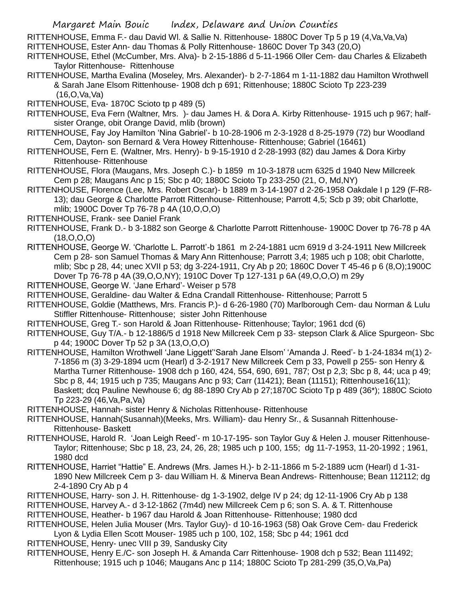RITTENHOUSE, Emma F.- dau David Wl. & Sallie N. Rittenhouse- 1880C Dover Tp 5 p 19 (4,Va,Va,Va)

- RITTENHOUSE, Ester Ann- dau Thomas & Polly Rittenhouse- 1860C Dover Tp 343 (20,O)
- RITTENHOUSE, Ethel (McCumber, Mrs. Alva)- b 2-15-1886 d 5-11-1966 Oller Cem- dau Charles & Elizabeth Taylor Rittenhouse- Rittenhouse
- RITTENHOUSE, Martha Evalina (Moseley, Mrs. Alexander)- b 2-7-1864 m 1-11-1882 dau Hamilton Wrothwell & Sarah Jane Elsom Rittenhouse- 1908 dch p 691; Rittenhouse; 1880C Scioto Tp 223-239 (16,O,Va,Va)
- RITTENHOUSE, Eva- 1870C Scioto tp p 489 (5)
- RITTENHOUSE, Eva Fern (Waltner, Mrs. )- dau James H. & Dora A. Kirby Rittenhouse- 1915 uch p 967; halfsister Orange, obit Orange David, mlib (brown)
- RITTENHOUSE, Fay Joy Hamilton 'Nina Gabriel'- b 10-28-1906 m 2-3-1928 d 8-25-1979 (72) bur Woodland Cem, Dayton- son Bernard & Vera Howey Rittenhouse- Rittenhouse; Gabriel (16461)
- RITTENHOUSE, Fern E. (Waltner, Mrs. Henry)- b 9-15-1910 d 2-28-1993 (82) dau James & Dora Kirby Rittenhouse- Rittenhouse
- RITTENHOUSE, Flora (Maugans, Mrs. Joseph C.)- b 1859 m 10-3-1878 ucm 6325 d 1940 New Millcreek Cem p 28; Maugans Anc p 15; Sbc p 40; 1880C Scioto Tp 233-250 (21, O, Md,NY)
- RITTENHOUSE, Florence (Lee, Mrs. Robert Oscar)- b 1889 m 3-14-1907 d 2-26-1958 Oakdale I p 129 (F-R8- 13); dau George & Charlotte Parrott Rittenhouse- Rittenhouse; Parrott 4,5; Scb p 39; obit Charlotte, mlib; 1900C Dover Tp 76-78 p 4A (10,O,O,O)
- RITTENHOUSE, Frank- see Daniel Frank
- RITTENHOUSE, Frank D.- b 3-1882 son George & Charlotte Parrott Rittenhouse- 1900C Dover tp 76-78 p 4A (18,O,O,O)
- RITTENHOUSE, George W. 'Charlotte L. Parrott'-b 1861 m 2-24-1881 ucm 6919 d 3-24-1911 New Millcreek Cem p 28- son Samuel Thomas & Mary Ann Rittenhouse; Parrott 3,4; 1985 uch p 108; obit Charlotte, mlib; Sbc p 28, 44; unec XVII p 53; dg 3-224-1911, Cry Ab p 20; 1860C Dover T 45-46 p 6 (8,O);1900C Dover Tp 76-78 p 4A (39,O,O,NY); 1910C Dover Tp 127-131 p 6A (49,O,O,O) m 29y
- RITTENHOUSE, George W. 'Jane Erhard'- Weiser p 578
- RITTENHOUSE, Geraldine- dau Walter & Edna Crandall Rittenhouse- Rittenhouse; Parrott 5
- RITTENHOUSE, Goldie (Matthews, Mrs. Francis P.)- d 6-26-1980 (70) Marlborough Cem- dau Norman & Lulu Stiffler Rittenhouse- Rittenhouse; sister John Rittenhouse
- RITTENHOUSE, Greg T.- son Harold & Joan Rittenhouse- Rittenhouse; Taylor; 1961 dcd (6)
- RITTENHOUSE, Guy T/A.- b 12-1886/5 d 1918 New Millcreek Cem p 33- stepson Clark & Alice Spurgeon- Sbc p 44; 1900C Dover Tp 52 p 3A (13,O,O,O)
- RITTENHOUSE, Hamilton Wrothwell 'Jane Liggett''Sarah Jane Elsom' 'Amanda J. Reed'- b 1-24-1834 m(1) 2- 7-1856 m (3) 3-29-1894 ucm (Hearl) d 3-2-1917 New Millcreek Cem p 33, Powell p 255- son Henry & Martha Turner Rittenhouse- 1908 dch p 160, 424, 554, 690, 691, 787; Ost p 2,3; Sbc p 8, 44; uca p 49; Sbc p 8, 44; 1915 uch p 735; Maugans Anc p 93; Carr (11421); Bean (11151); Rittenhouse16(11); Baskett; dcq Pauline Newhouse 6; dg 88-1890 Cry Ab p 27;1870C Scioto Tp p 489 (36\*); 1880C Scioto Tp 223-29 (46,Va,Pa,Va)
- RITTENHOUSE, Hannah- sister Henry & Nicholas Rittenhouse- Rittenhouse
- RITTENHOUSE, Hannah(Susannah)(Meeks, Mrs. William)- dau Henry Sr., & Susannah Rittenhouse-Rittenhouse- Baskett
- RITTENHOUSE, Harold R. 'Joan Leigh Reed'- m 10-17-195- son Taylor Guy & Helen J. mouser Rittenhouse-Taylor; Rittenhouse; Sbc p 18, 23, 24, 26, 28; 1985 uch p 100, 155; dg 11-7-1953, 11-20-1992 ; 1961, 1980 dcd
- RITTENHOUSE, Harriet "Hattie" E. Andrews (Mrs. James H.)- b 2-11-1866 m 5-2-1889 ucm (Hearl) d 1-31- 1890 New Millcreek Cem p 3- dau William H. & Minerva Bean Andrews- Rittenhouse; Bean 112112; dg 2-4-1890 Cry Ab p 4
- RITTENHOUSE, Harry- son J. H. Rittenhouse- dg 1-3-1902, delge IV p 24; dg 12-11-1906 Cry Ab p 138
- RITTENHOUSE, Harvey A.- d 3-12-1862 (7m4d) new Millcreek Cem p 6; son S. A. & T. Rittenhouse
- RITTENHOUSE, Heather- b 1967 dau Harold & Joan Rittenhouse- Rittenhouse; 1980 dcd
- RITTENHOUSE, Helen Julia Mouser (Mrs. Taylor Guy)- d 10-16-1963 (58) Oak Grove Cem- dau Frederick Lyon & Lydia Ellen Scott Mouser- 1985 uch p 100, 102, 158; Sbc p 44; 1961 dcd
- RITTENHOUSE, Henry- unec VIII p 39, Sandusky City
- RITTENHOUSE, Henry E./C- son Joseph H. & Amanda Carr Rittenhouse- 1908 dch p 532; Bean 111492; Rittenhouse; 1915 uch p 1046; Maugans Anc p 114; 1880C Scioto Tp 281-299 (35,O,Va,Pa)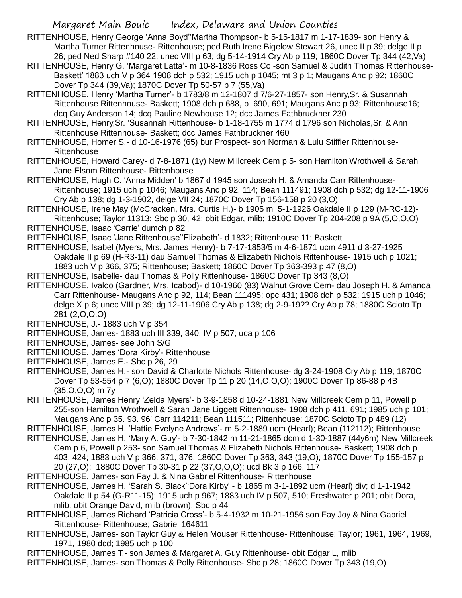- RITTENHOUSE, Henry George 'Anna Boyd''Martha Thompson- b 5-15-1817 m 1-17-1839- son Henry & Martha Turner Rittenhouse- Rittenhouse; ped Ruth Irene Bigelow Stewart 26, unec II p 39; delge II p 26; ped Ned Sharp #140 22; unec VIII p 63; dg 5-14-1914 Cry Ab p 119; 1860C Dover Tp 344 (42,Va)
- RITTENHOUSE, Henry G. 'Margaret Latta'- m 10-8-1836 Ross Co -son Samuel & Judith Thomas Rittenhouse-Baskett' 1883 uch V p 364 1908 dch p 532; 1915 uch p 1045; mt 3 p 1; Maugans Anc p 92; 1860C Dover Tp 344 (39,Va); 1870C Dover Tp 50-57 p 7 (55,Va)
- RITTENHOUSE, Henry 'Martha Turner'- b 1783/8 m 12-1807 d 7/6-27-1857- son Henry,Sr. & Susannah Rittenhouse Rittenhouse- Baskett; 1908 dch p 688, p 690, 691; Maugans Anc p 93; Rittenhouse16; dcq Guy Anderson 14; dcq Pauline Newhouse 12; dcc James Fathbruckner 230
- RITTENHOUSE, Henry,Sr. 'Susannah Rittenhouse- b 1-18-1755 m 1774 d 1796 son Nicholas,Sr. & Ann Rittenhouse Rittenhouse- Baskett; dcc James Fathbruckner 460
- RITTENHOUSE, Homer S.- d 10-16-1976 (65) bur Prospect- son Norman & Lulu Stiffler Rittenhouse-**Rittenhouse**
- RITTENHOUSE, Howard Carey- d 7-8-1871 (1y) New Millcreek Cem p 5- son Hamilton Wrothwell & Sarah Jane Elsom Rittenhouse- Rittenhouse
- RITTENHOUSE, Hugh C. 'Anna Midden' b 1867 d 1945 son Joseph H. & Amanda Carr Rittenhouse-Rittenhouse; 1915 uch p 1046; Maugans Anc p 92, 114; Bean 111491; 1908 dch p 532; dg 12-11-1906 Cry Ab p 138; dg 1-3-1902, delge VII 24; 1870C Dover Tp 156-158 p 20 (3,O)
- RITTENHOUSE, Irene May (McCracken, Mrs. Curtis H.)- b 1905 m 5-1-1926 Oakdale II p 129 (M-RC-12)-
- Rittenhouse; Taylor 11313; Sbc p 30, 42; obit Edgar, mlib; 1910C Dover Tp 204-208 p 9A (5,O,O,O) RITTENHOUSE, Isaac 'Carrie' dumch p 82
- RITTENHOUSE, Isaac 'Jane Rittenhouse''Elizabeth'- d 1832; Rittenhouse 11; Baskett
- RITTENHOUSE, Isabel (Myers, Mrs. James Henry)- b 7-17-1853/5 m 4-6-1871 ucm 4911 d 3-27-1925 Oakdale II p 69 (H-R3-11) dau Samuel Thomas & Elizabeth Nichols Rittenhouse- 1915 uch p 1021; 1883 uch V p 366, 375; Rittenhouse; Baskett; 1860C Dover Tp 363-393 p 47 (8,O)
- RITTENHOUSE, Isabelle- dau Thomas & Polly Rittenhouse- 1860C Dover Tp 343 (8,O)
- RITTENHOUSE, Ivaloo (Gardner, Mrs. Icabod)- d 10-1960 (83) Walnut Grove Cem- dau Joseph H. & Amanda Carr Rittenhouse- Maugans Anc p 92, 114; Bean 111495; opc 431; 1908 dch p 532; 1915 uch p 1046; delge X p 6; unec VIII p 39; dg 12-11-1906 Cry Ab p 138; dg 2-9-19?? Cry Ab p 78; 1880C Scioto Tp 281 (2,O,O,O)
- RITTENHOUSE, J.- 1883 uch V p 354
- RITTENHOUSE, James- 1883 uch III 339, 340, IV p 507; uca p 106
- RITTENHOUSE, James- see John S/G
- RITTENHOUSE, James 'Dora Kirby'- Rittenhouse
- RITTENHOUSE, James E.- Sbc p 26, 29
- RITTENHOUSE, James H.- son David & Charlotte Nichols Rittenhouse- dg 3-24-1908 Cry Ab p 119; 1870C Dover Tp 53-554 p 7 (6,O); 1880C Dover Tp 11 p 20 (14,O,O,O); 1900C Dover Tp 86-88 p 4B (35,O,O,O) m 7y
- RITTENHOUSE, James Henry 'Zelda Myers'- b 3-9-1858 d 10-24-1881 New Millcreek Cem p 11, Powell p 255-son Hamilton Wrothwell & Sarah Jane Liggett Rittenhouse- 1908 dch p 411, 691; 1985 uch p 101; Maugans Anc p 35. 93. 96' Carr 114211; Bean 111511; Rittenhouse; 1870C Scioto Tp p 489 (12)
- RITTENHOUSE, James H. 'Hattie Evelyne Andrews'- m 5-2-1889 ucm (Hearl); Bean (112112); Rittenhouse
- RITTENHOUSE, James H. 'Mary A. Guy'- b 7-30-1842 m 11-21-1865 dcm d 1-30-1887 (44y6m) New Millcreek Cem p 6, Powell p 253- son Samuel Thomas & Elizabeth Nichols Rittenhouse- Baskett; 1908 dch p 403, 424; 1883 uch V p 366, 371, 376; 1860C Dover Tp 363, 343 (19,O); 1870C Dover Tp 155-157 p 20 (27,O); 1880C Dover Tp 30-31 p 22 (37,O,O,O); ucd Bk 3 p 166, 117
- RITTENHOUSE, James- son Fay J. & Nina Gabriel Rittenhouse- Rittenhouse
- RITTENHOUSE, James H. 'Sarah S. Black''Dora Kirby' b 1865 m 3-1-1892 ucm (Hearl) div; d 1-1-1942 Oakdale II p 54 (G-R11-15); 1915 uch p 967; 1883 uch IV p 507, 510; Freshwater p 201; obit Dora, mlib, obit Orange David, mlib (brown); Sbc p 44
- RITTENHOUSE, James Richard 'Patricia Cross'- b 5-4-1932 m 10-21-1956 son Fay Joy & Nina Gabriel Rittenhouse- Rittenhouse; Gabriel 164611
- RITTENHOUSE, James- son Taylor Guy & Helen Mouser Rittenhouse- Rittenhouse; Taylor; 1961, 1964, 1969, 1971, 1980 dcd; 1985 uch p 100
- RITTENHOUSE, James T.- son James & Margaret A. Guy Rittenhouse- obit Edgar L, mlib
- RITTENHOUSE, James- son Thomas & Polly Rittenhouse- Sbc p 28; 1860C Dover Tp 343 (19,O)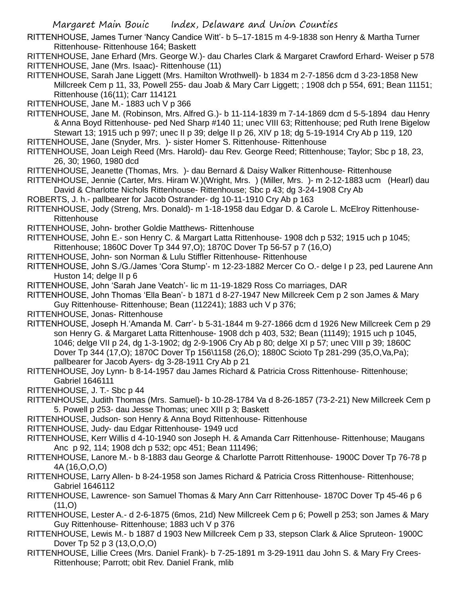- RITTENHOUSE, James Turner 'Nancy Candice Witt'- b 5–17-1815 m 4-9-1838 son Henry & Martha Turner Rittenhouse- Rittenhouse 164; Baskett
- RITTENHOUSE, Jane Erhard (Mrs. George W.)- dau Charles Clark & Margaret Crawford Erhard- Weiser p 578 RITTENHOUSE, Jane (Mrs. Isaac)- Rittenhouse (11)
- RITTENHOUSE, Sarah Jane Liggett (Mrs. Hamilton Wrothwell)- b 1834 m 2-7-1856 dcm d 3-23-1858 New Millcreek Cem p 11, 33, Powell 255- dau Joab & Mary Carr Liggett; ; 1908 dch p 554, 691; Bean 11151; Rittenhouse (16(11); Carr 114121

RITTENHOUSE, Jane M.- 1883 uch V p 366

- RITTENHOUSE, Jane M. (Robinson, Mrs. Alfred G.)- b 11-114-1839 m 7-14-1869 dcm d 5-5-1894 dau Henry & Anna Boyd Rittenhouse- ped Ned Sharp #140 11; unec VIII 63; Rittenhouse; ped Ruth Irene Bigelow Stewart 13; 1915 uch p 997; unec II p 39; delge II p 26, XIV p 18; dg 5-19-1914 Cry Ab p 119, 120
- RITTENHOUSE, Jane (Snyder, Mrs. )- sister Homer S. Rittenhouse- Rittenhouse
- RITTENHOUSE, Joan Leigh Reed (Mrs. Harold)- dau Rev. George Reed; Rittenhouse; Taylor; Sbc p 18, 23, 26, 30; 1960, 1980 dcd
- RITTENHOUSE, Jeanette (Thomas, Mrs. )- dau Bernard & Daisy Walker Rittenhouse- Rittenhouse
- RITTENHOUSE, Jennie (Carter, Mrs. Hiram W.)(Wright, Mrs. ) (Miller, Mrs. )- m 2-12-1883 ucm (Hearl) dau David & Charlotte Nichols Rittenhouse- Rittenhouse; Sbc p 43; dg 3-24-1908 Cry Ab
- ROBERTS, J. h.- pallbearer for Jacob Ostrander- dg 10-11-1910 Cry Ab p 163
- RITTENHOUSE, Jody (Streng, Mrs. Donald)- m 1-18-1958 dau Edgar D. & Carole L. McElroy Rittenhouse-**Rittenhouse**
- RITTENHOUSE, John- brother Goldie Matthews- Rittenhouse
- RITTENHOUSE, John E.- son Henry C. & Margart Latta Rittenhouse- 1908 dch p 532; 1915 uch p 1045; Rittenhouse; 1860C Dover Tp 344 97,O); 1870C Dover Tp 56-57 p 7 (16,O)
- RITTENHOUSE, John- son Norman & Lulu Stiffler Rittenhouse- Rittenhouse
- RITTENHOUSE, John S./G./James 'Cora Stump'- m 12-23-1882 Mercer Co O.- delge I p 23, ped Laurene Ann Huston 14; delge II p 6
- RITTENHOUSE, John 'Sarah Jane Veatch'- lic m 11-19-1829 Ross Co marriages, DAR
- RITTENHOUSE, John Thomas 'Ella Bean'- b 1871 d 8-27-1947 New Millcreek Cem p 2 son James & Mary Guy Rittenhouse- Rittenhouse; Bean (112241); 1883 uch V p 376;
- RITTENHOUSE, Jonas- Rittenhouse
- RITTENHOUSE, Joseph H.'Amanda M. Carr'- b 5-31-1844 m 9-27-1866 dcm d 1926 New Millcreek Cem p 29 son Henry G. & Margaret Latta Rittenhouse- 1908 dch p 403, 532; Bean (11149); 1915 uch p 1045, 1046; delge VII p 24, dg 1-3-1902; dg 2-9-1906 Cry Ab p 80; delge XI p 57; unec VIII p 39; 1860C Dover Tp 344 (17,O); 1870C Dover Tp 156\1158 (26,O); 1880C Scioto Tp 281-299 (35,O,Va,Pa); pallbearer for Jacob Ayers- dg 3-28-1911 Cry Ab p 21
- RITTENHOUSE, Joy Lynn- b 8-14-1957 dau James Richard & Patricia Cross Rittenhouse- Rittenhouse; Gabriel 1646111
- RITTENHOUSE, J. T.- Sbc p 44
- RITTENHOUSE, Judith Thomas (Mrs. Samuel)- b 10-28-1784 Va d 8-26-1857 (73-2-21) New Millcreek Cem p 5. Powell p 253- dau Jesse Thomas; unec XIII p 3; Baskett
- RITTENHOUSE, Judson- son Henry & Anna Boyd Rittenhouse- Rittenhouse
- RITTENHOUSE, Judy- dau Edgar Rittenhouse- 1949 ucd
- RITTENHOUSE, Kerr Willis d 4-10-1940 son Joseph H. & Amanda Carr Rittenhouse- Rittenhouse; Maugans Anc p 92, 114; 1908 dch p 532; opc 451; Bean 111496;
- RITTENHOUSE, Lanore M.- b 8-1883 dau George & Charlotte Parrott Rittenhouse- 1900C Dover Tp 76-78 p 4A (16,O,O,O)
- RITTENHOUSE, Larry Allen- b 8-24-1958 son James Richard & Patricia Cross Rittenhouse- Rittenhouse; Gabriel 1646112
- RITTENHOUSE, Lawrence- son Samuel Thomas & Mary Ann Carr Rittenhouse- 1870C Dover Tp 45-46 p 6  $(11, 0)$
- RITTENHOUSE, Lester A.- d 2-6-1875 (6mos, 21d) New Millcreek Cem p 6; Powell p 253; son James & Mary Guy Rittenhouse- Rittenhouse; 1883 uch V p 376
- RITTENHOUSE, Lewis M.- b 1887 d 1903 New Millcreek Cem p 33, stepson Clark & Alice Spruteon- 1900C Dover Tp 52 p 3 (13,O,O,O)
- RITTENHOUSE, Lillie Crees (Mrs. Daniel Frank)- b 7-25-1891 m 3-29-1911 dau John S. & Mary Fry Crees-Rittenhouse; Parrott; obit Rev. Daniel Frank, mlib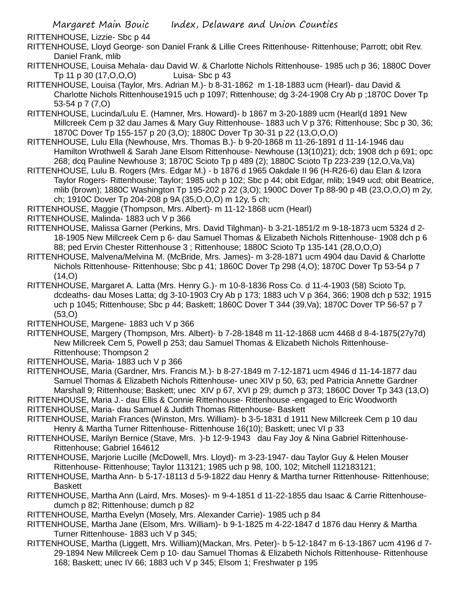RITTENHOUSE, Lizzie- Sbc p 44

- RITTENHOUSE, Lloyd George- son Daniel Frank & Lillie Crees Rittenhouse- Rittenhouse; Parrott; obit Rev. Daniel Frank, mlib
- RITTENHOUSE, Louisa Mehala- dau David W. & Charlotte Nichols Rittenhouse- 1985 uch p 36; 1880C Dover Tp 11 p 30 (17,O,O,O) Luisa- Sbc p 43
- RITTENHOUSE, Louisa (Taylor, Mrs. Adrian M.)- b 8-31-1862 m 1-18-1883 ucm (Hearl)- dau David & Charlotte Nichols Rittenhouse1915 uch p 1097; Rittenhouse; dg 3-24-1908 Cry Ab p ;1870C Dover Tp 53-54 p 7 (7,O)
- RITTENHOUSE, Lucinda/Lulu E. (Hamner, Mrs. Howard)- b 1867 m 3-20-1889 ucm (Hearl(d 1891 New Millcreek Cem p 32 dau James & Mary Guy Rittenhouse- 1883 uch V p 376; Rittenhouse; Sbc p 30, 36; 1870C Dover Tp 155-157 p 20 (3,O); 1880C Dover Tp 30-31 p 22 (13,O,O,O)
- RITTENHOUSE, Lulu Ella (Newhouse, Mrs. Thomas B.)- b 9-20-1868 m 11-26-1891 d 11-14-1946 dau Hamilton Wrothwell & Sarah Jane Elsom Rittenhouse- Newhouse (13(10)21); dcb; 1908 dch p 691; opc 268; dcq Pauline Newhouse 3; 1870C Scioto Tp p 489 (2); 1880C Scioto Tp 223-239 (12,O,Va,Va)
- RITTENHOUSE, Lulu B. Rogers (Mrs. Edgar M.) b 1876 d 1965 Oakdale II 96 (H-R26-6) dau Elan & Izora Taylor Rogers- Rittenhouse; Taylor; 1985 uch p 102; Sbc p 44; obit Edgar, mlib; 1949 ucd; obit Beatrice, mlib (brown); 1880C Washington Tp 195-202 p 22 (3,O); 1900C Dover Tp 88-90 p 4B (23,O,O,O) m 2y, ch; 1910C Dover Tp 204-208 p 9A (35,O,O,O) m 12y, 5 ch;
- RITTENHOUSE, Maggie (Thompson, Mrs. Albert)- m 11-12-1868 ucm (Hearl)

RITTENHOUSE, Malinda- 1883 uch V p 366

- RITTENHOUSE, Malissa Garner (Perkins, Mrs. David Tilghman)- b 3-21-1851/2 m 9-18-1873 ucm 5324 d 2- 18-1905 New Millcreek Cem p 6- dau Samuel Thomas & Elizabeth Nichols Rittenhouse- 1908 dch p 6 88; ped Ervin Chester Rittenhouse 3 ; Rittenhouse; 1880C Scioto Tp 135-141 (28,O,O,O)
- RITTENHOUSE, Malvena/Melvina M. (McBride, Mrs. James)- m 3-28-1871 ucm 4904 dau David & Charlotte Nichols Rittenhouse- Rittenhouse; Sbc p 41; 1860C Dover Tp 298 (4,O); 1870C Dover Tp 53-54 p 7  $(14, 0)$
- RITTENHOUSE, Margaret A. Latta (Mrs. Henry G.)- m 10-8-1836 Ross Co. d 11-4-1903 (58) Scioto Tp, dcdeaths- dau Moses Latta; dg 3-10-1903 Cry Ab p 173; 1883 uch V p 364, 366; 1908 dch p 532; 1915 uch p 1045; Rittenhouse; Sbc p 44; Baskett; 1860C Dover T 344 (39,Va); 1870C Dover TP 56-57 p 7 (53,O)
- RITTENHOUSE, Margene- 1883 uch V p 366
- RITTENHOUSE, Margery (Thompson, Mrs. Albert)- b 7-28-1848 m 11-12-1868 ucm 4468 d 8-4-1875(27y7d) New Millcreek Cem 5, Powell p 253; dau Samuel Thomas & Elizabeth Nichols Rittenhouse-Rittenhouse; Thompson 2
- RITTENHOUSE, Maria- 1883 uch V p 366
- RITTENHOUSE, Maria (Gardner, Mrs. Francis M.)- b 8-27-1849 m 7-12-1871 ucm 4946 d 11-14-1877 dau Samuel Thomas & Elizabeth Nichols Rittenhouse- unec XIV p 50, 63; ped Patricia Annette Gardner Marshall 9; Rittenhouse; Baskett; unec XIV p 67, XVI p 29; dumch p 373; 1860C Dover Tp 343 (13,O)
- RITTENHOUSE, Maria J.- dau Ellis & Connie Rittenhouse- Rittenhouse -engaged to Eric Woodworth
- RITTENHOUSE, Maria- dau Samuel & Judith Thomas Rittenhouse- Baskett
- RITTENHOUSE, Mariah Frances (Winston, Mrs. William)- b 3-5-1831 d 1911 New Millcreek Cem p 10 dau Henry & Martha Turner Rittenhouse- Rittenhouse 16(10); Baskett; unec VI p 33
- RITTENHOUSE, Marilyn Bernice (Stave, Mrs. )-b 12-9-1943 dau Fay Joy & Nina Gabriel Rittenhouse-Rittenhouse; Gabriel 164612
- RITTENHOUSE, Marjorie Lucille (McDowell, Mrs. Lloyd)- m 3-23-1947- dau Taylor Guy & Helen Mouser Rittenhouse- Rittenhouse; Taylor 113121; 1985 uch p 98, 100, 102; Mitchell 112183121;
- RITTENHOUSE, Martha Ann- b 5-17-18113 d 5-9-1822 dau Henry & Martha turner Rittenhouse- Rittenhouse; **Baskett**
- RITTENHOUSE, Martha Ann (Laird, Mrs. Moses)- m 9-4-1851 d 11-22-1855 dau Isaac & Carrie Rittenhousedumch p 82; Rittenhouse; dumch p 82
- RITTENHOUSE, Martha Evelyn (Mosely, Mrs. Alexander Carrie)- 1985 uch p 84
- RITTENHOUSE, Martha Jane (Elsom, Mrs. William)- b 9-1-1825 m 4-22-1847 d 1876 dau Henry & Martha Turner Rittenhouse- 1883 uch V p 345;
- RITTENHOUSE, Martha (Liggett, Mrs. William)(Mackan, Mrs. Peter)- b 5-12-1847 m 6-13-1867 ucm 4196 d 7- 29-1894 New Millcreek Cem p 10- dau Samuel Thomas & Elizabeth Nichols Rittenhouse- Rittenhouse 168; Baskett; unec IV 66; 1883 uch V p 345; Elsom 1; Freshwater p 195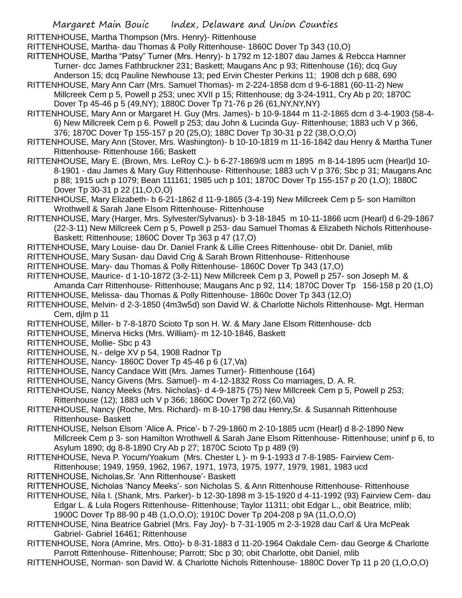RITTENHOUSE, Martha Thompson (Mrs. Henry)- Rittenhouse

RITTENHOUSE, Martha- dau Thomas & Polly Rittenhouse- 1860C Dover Tp 343 (10,O)

- RITTENHOUSE, Martha "Patsy" Turner (Mrs. Henry)- b 1792 m 12-1807 dau James & Rebcca Hamner Turner- dcc James Fathbruckner 231; Baskett; Maugans Anc p 93; Rittenhouse (16); dcq Guy
- Anderson 15; dcq Pauline Newhouse 13; ped Ervin Chester Perkins 11; 1908 dch p 688, 690 RITTENHOUSE, Mary Ann Carr (Mrs. Samuel Thomas)- m 2-224-1858 dcm d 9-6-1881 (60-11-2) New
- Millcreek Cem p 5, Powell p 253; unec XVII p 15; Rittenhouse; dg 3-24-1911, Cry Ab p 20; 1870C Dover Tp 45-46 p 5 (49,NY); 1880C Dover Tp 71-76 p 26 (61,NY,NY,NY)
- RITTENHOUSE, Mary Ann or Margaret H. Guy (Mrs. James)- b 10-9-1844 m 11-2-1865 dcm d 3-4-1903 (58-4- 6) New Millcreek Cem p 6. Powell p 253; dau John & Lucinda Guy- Rittenhouse; 1883 uch V p 366, 376; 1870C Dover Tp 155-157 p 20 (25,O); 188C Dover Tp 30-31 p 22 (38,O,O,O)
- RITTENHOUSE, Mary Ann (Stover, Mrs. Washington)- b 10-10-1819 m 11-16-1842 dau Henry & Martha Tuner Rittenhouse- Rittenhouse 166; Baskett
- RITTENHOUSE, Mary E. (Brown, Mrs. LeRoy C.)- b 6-27-1869/8 ucm m 1895 m 8-14-1895 ucm (Hearl)d 10- 8-1901 - dau James & Mary Guy Rittenhouse- Rittenhouse; 1883 uch V p 376; Sbc p 31; Maugans Anc p 88; 1915 uch p 1079; Bean 111161; 1985 uch p 101; 1870C Dover Tp 155-157 p 20 (1,O); 1880C Dover Tp 30-31 p 22 (11,O,O,O)
- RITTENHOUSE, Mary Elizabeth- b 6-21-1862 d 11-9-1865 (3-4-19) New Millcreek Cem p 5- son Hamilton Wrothwell & Sarah Jane Elsom Rittenhouse- Rittenhouse
- RITTENHOUSE, Mary (Harger, Mrs. Sylvester/Sylvanus)- b 3-18-1845 m 10-11-1866 ucm (Hearl) d 6-29-1867 (22-3-11) New Millcreek Cem p 5, Powell p 253- dau Samuel Thomas & Elizabeth Nichols Rittenhouse-Baskett; Rittenhouse; 1860C Dover Tp 363 p 47 (17,O)
- RITTENHOUSE, Mary Louise- dau Dr. Daniel Frank & Lillie Crees Rittenhouse- obit Dr. Daniel, mlib
- RITTENHOUSE, Mary Susan- dau David Crig & Sarah Brown Rittenhouse- Rittenhouse
- RITTENHOUSE. Mary- dau Thomas & Polly Rittenhouse- 1860C Dover Tp 343 (17,O)
- RITTENHOUSE, Maurice- d 1-10-1872 (3-2-11) New Millcreek Cem p 3, Powell p 257- son Joseph M. & Amanda Carr Rittenhouse- Rittenhouse; Maugans Anc p 92, 114; 1870C Dover Tp 156-158 p 20 (1,O)
- RITTENHOUSE, Melissa- dau Thomas & Polly Rittenhouse- 1860c Dover Tp 343 (12,O)
- RITTENHOUSE, Melvin- d 2-3-1850 (4m3w5d) son David W. & Charlotte Nichols Rittenhouse- Mgt. Herman Cem, djlm p 11
- RITTENHOUSE, Miller- b 7-8-1870 Scioto Tp son H. W. & Mary Jane Elsom Rittenhouse- dcb
- RITTENHOUSE, Minerva Hicks (Mrs. William)- m 12-10-1846, Baskett
- RITTENHOUSE, Mollie- Sbc p 43
- RITTENHOUSE, N.- delge XV p 54, 1908 Radnor Tp
- RITTENHOUSE, Nancy- 1860C Dover Tp 45-46 p 6 (17,Va)
- RITTENHOUSE, Nancy Candace Witt (Mrs. James Turner)- Rittenhouse (164)
- RITTENHOUSE, Nancy Givens (Mrs. Samuel)- m 4-12-1832 Ross Co marriages, D. A. R.
- RITTENHOUSE, Nancy Meeks (Mrs. Nicholas)- d 4-9-1875 (75) New Millcreek Cem p 5, Powell p 253; Rittenhouse (12); 1883 uch V p 366; 1860C Dover Tp 272 (60,Va)
- RITTENHOUSE, Nancy (Roche, Mrs. Richard)- m 8-10-1798 dau Henry,Sr. & Susannah Rittenhouse Rittenhouse- Baskett
- RITTENHOUSE, Nelson Elsom 'Alice A. Price'- b 7-29-1860 m 2-10-1885 ucm (Hearl) d 8-2-1890 New Millcreek Cem p 3- son Hamilton Wrothwell & Sarah Jane Elsom Rittenhouse- Rittenhouse; uninf p 6, to Asylum 1890; dg 8-8-1890 Cry Ab p 27; 1870C Scioto Tp p 489 (9)
- RITTENHOUSE, Neva P. Yocum/Yoakum (Mrs. Chester L )- m 9-1-1933 d 7-8-1985- Fairview Cem-
- Rittenhouse; 1949, 1959, 1962, 1967, 1971, 1973, 1975, 1977, 1979, 1981, 1983 ucd RITTENHOUSE, Nicholas,Sr. 'Ann Rittenhouse'- Baskett
- RITTENHOUSE, Nicholas 'Nancy Meeks'- son Nicholas S. & Ann Rittenhouse Rittenhouse- Rittenhouse
- RITTENHOUSE, Nila I. (Shank, Mrs. Parker)- b 12-30-1898 m 3-15-1920 d 4-11-1992 (93) Fairview Cem- dau Edgar L. & Lula Rogers Rittenhouse- Rittenhouse; Taylor 11311; obit Edgar L., obit Beatrice, mlib; 1900C Dover Tp 88-90 p 4B (1,O,O,O); 1910C Dover Tp 204-208 p 9A (11,O,O,O)
- RITTENHOUSE, Nina Beatrice Gabriel (Mrs. Fay Joy)- b 7-31-1905 m 2-3-1928 dau Carl & Ura McPeak Gabriel- Gabriel 16461; Rittenhouse
- RITTENHOUSE, Nora (Amrine, Mrs. Otto)- b 8-31-1883 d 11-20-1964 Oakdale Cem- dau George & Charlotte Parrott Rittenhouse- Rittenhouse; Parrott; Sbc p 30; obit Charlotte, obit Daniel, mlib
- RITTENHOUSE, Norman- son David W. & Charlotte Nichols Rittenhouse- 1880C Dover Tp 11 p 20 (1,O,O,O)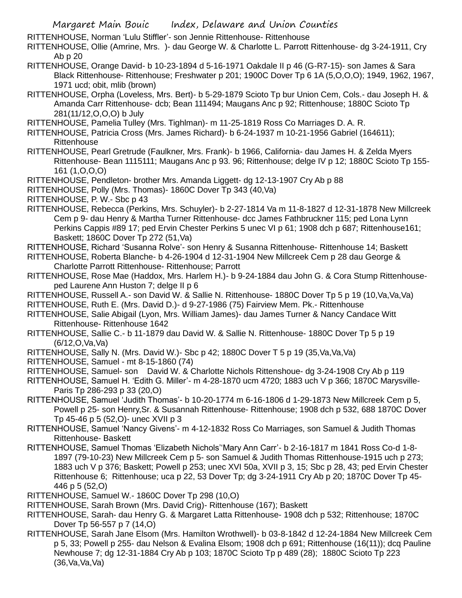RITTENHOUSE, Norman 'Lulu Stiffler'- son Jennie Rittenhouse- Rittenhouse

RITTENHOUSE, Ollie (Amrine, Mrs. )- dau George W. & Charlotte L. Parrott Rittenhouse- dg 3-24-1911, Cry Ab p 20

- RITTENHOUSE, Orange David- b 10-23-1894 d 5-16-1971 Oakdale II p 46 (G-R7-15)- son James & Sara Black Rittenhouse- Rittenhouse; Freshwater p 201; 1900C Dover Tp 6 1A (5,O,O,O); 1949, 1962, 1967, 1971 ucd; obit, mlib (brown)
- RITTENHOUSE, Orpha (Loveless, Mrs. Bert)- b 5-29-1879 Scioto Tp bur Union Cem, Cols.- dau Joseph H. & Amanda Carr Rittenhouse- dcb; Bean 111494; Maugans Anc p 92; Rittenhouse; 1880C Scioto Tp 281(11/12,O,O,O) b July
- RITTENHOUSE, Pamelia Tulley (Mrs. Tighlman)- m 11-25-1819 Ross Co Marriages D. A. R.
- RITTENHOUSE, Patricia Cross (Mrs. James Richard)- b 6-24-1937 m 10-21-1956 Gabriel (164611); **Rittenhouse**
- RITTENHOUSE, Pearl Gretrude (Faulkner, Mrs. Frank)- b 1966, California- dau James H. & Zelda Myers Rittenhouse- Bean 1115111; Maugans Anc p 93. 96; Rittenhouse; delge IV p 12; 1880C Scioto Tp 155- 161 (1,O,O,O)

RITTENHOUSE, Pendleton- brother Mrs. Amanda Liggett- dg 12-13-1907 Cry Ab p 88

- RITTENHOUSE, Polly (Mrs. Thomas)- 1860C Dover Tp 343 (40,Va)
- RITTENHOUSE, P. W.- Sbc p 43
- RITTENHOUSE, Rebecca (Perkins, Mrs. Schuyler)- b 2-27-1814 Va m 11-8-1827 d 12-31-1878 New Millcreek Cem p 9- dau Henry & Martha Turner Rittenhouse- dcc James Fathbruckner 115; ped Lona Lynn Perkins Cappis #89 17; ped Ervin Chester Perkins 5 unec VI p 61; 1908 dch p 687; Rittenhouse161; Baskett: 1860C Dover Tp 272 (51.Va)
- RITTENHOUSE, Richard 'Susanna Rolve'- son Henry & Susanna Rittenhouse- Rittenhouse 14; Baskett
- RITTENHOUSE, Roberta Blanche- b 4-26-1904 d 12-31-1904 New Millcreek Cem p 28 dau George & Charlotte Parrott Rittenhouse- Rittenhouse; Parrott
- RITTENHOUSE, Rose Mae (Haddox, Mrs. Harlem H.)- b 9-24-1884 dau John G. & Cora Stump Rittenhouseped Laurene Ann Huston 7; delge II p 6
- RITTENHOUSE, Russell A.- son David W. & Sallie N. Rittenhouse- 1880C Dover Tp 5 p 19 (10,Va,Va,Va)
- RITTENHOUSE, Ruth E. (Mrs. David D.)- d 9-27-1986 (75) Fairview Mem. Pk.- Rittenhouse
- RITTENHOUSE, Salie Abigail (Lyon, Mrs. William James)- dau James Turner & Nancy Candace Witt Rittenhouse- Rittenhouse 1642
- RITTENHOUSE, Sallie C.- b 11-1879 dau David W. & Sallie N. Rittenhouse- 1880C Dover Tp 5 p 19 (6/12,O,Va,Va)
- RITTENHOUSE, Sally N. (Mrs. David W.)- Sbc p 42; 1880C Dover T 5 p 19 (35,Va,Va,Va)
- RITTENHOUSE, Samuel mt 8-15-1860 (74)
- RITTENHOUSE, Samuel- son David W. & Charlotte Nichols Rittenshoue- dg 3-24-1908 Cry Ab p 119
- RITTENHOUSE, Samuel H. 'Edith G. Miller'- m 4-28-1870 ucm 4720; 1883 uch V p 366; 1870C Marysville-Paris Tp 286-293 p 33 (20,O)
- RITTENHOUSE, Samuel 'Judith Thomas'- b 10-20-1774 m 6-16-1806 d 1-29-1873 New Millcreek Cem p 5, Powell p 25- son Henry,Sr. & Susannah Rittenhouse- Rittenhouse; 1908 dch p 532, 688 1870C Dover Tp 45-46 p 5 (52,O)- unec XVII p 3
- RITTENHOUSE, Samuel 'Nancy Givens'- m 4-12-1832 Ross Co Marriages, son Samuel & Judith Thomas Rittenhouse- Baskett
- RITTENHOUSE, Samuel Thomas 'Elizabeth Nichols''Mary Ann Carr'- b 2-16-1817 m 1841 Ross Co-d 1-8- 1897 (79-10-23) New Millcreek Cem p 5- son Samuel & Judith Thomas Rittenhouse-1915 uch p 273; 1883 uch V p 376; Baskett; Powell p 253; unec XVI 50a, XVII p 3, 15; Sbc p 28, 43; ped Ervin Chester Rittenhouse 6; Rittenhouse; uca p 22, 53 Dover Tp; dg 3-24-1911 Cry Ab p 20; 1870C Dover Tp 45- 446 p 5 (52,O)
- RITTENHOUSE, Samuel W.- 1860C Dover Tp 298 (10,O)
- RITTENHOUSE, Sarah Brown (Mrs. David Crig)- Rittenhouse (167); Baskett
- RITTENHOUSE, Sarah- dau Henry G. & Margaret Latta Rittenhouse- 1908 dch p 532; Rittenhouse; 1870C Dover Tp 56-557 p 7 (14,O)
- RITTENHOUSE, Sarah Jane Elsom (Mrs. Hamilton Wrothwell)- b 03-8-1842 d 12-24-1884 New Millcreek Cem p 5, 33; Powell p 255- dau Nelson & Evalina Elsom; 1908 dch p 691; Rittenhouse (16(11)); dcq Pauline Newhouse 7; dg 12-31-1884 Cry Ab p 103; 1870C Scioto Tp p 489 (28); 1880C Scioto Tp 223  $(36$ , Va, Va, Va $)$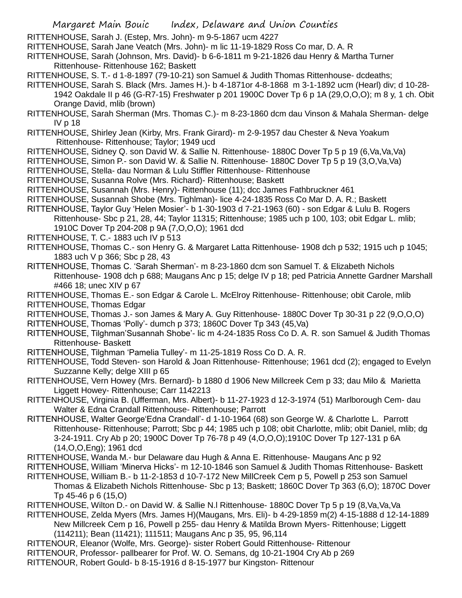RITTENHOUSE, Sarah J. (Estep, Mrs. John)- m 9-5-1867 ucm 4227

- RITTENHOUSE, Sarah Jane Veatch (Mrs. John)- m lic 11-19-1829 Ross Co mar, D. A. R
- RITTENHOUSE, Sarah (Johnson, Mrs. David)- b 6-6-1811 m 9-21-1826 dau Henry & Martha Turner Rittenhouse- Rittenhouse 162; Baskett
- RITTENHOUSE, S. T.- d 1-8-1897 (79-10-21) son Samuel & Judith Thomas Rittenhouse- dcdeaths;
- RITTENHOUSE, Sarah S. Black (Mrs. James H.)- b 4-1871or 4-8-1868 m 3-1-1892 ucm (Hearl) div; d 10-28- 1942 Oakdale II p 46 (G-R7-15) Freshwater p 201 1900C Dover Tp 6 p 1A (29,O,O,O); m 8 y, 1 ch. Obit Orange David, mlib (brown)
- RITTENHOUSE, Sarah Sherman (Mrs. Thomas C.)- m 8-23-1860 dcm dau Vinson & Mahala Sherman- delge IV p 18
- RITTENHOUSE, Shirley Jean (Kirby, Mrs. Frank Girard)- m 2-9-1957 dau Chester & Neva Yoakum Rittenhouse- Rittenhouse; Taylor; 1949 ucd
- RITTENHOUSE, Sidney Q. son David W. & Sallie N. Rittenhouse- 1880C Dover Tp 5 p 19 (6,Va,Va,Va)
- RITTENHOUSE, Simon P.- son David W. & Sallie N. Rittenhouse- 1880C Dover Tp 5 p 19 (3,O,Va,Va)
- RITTENHOUSE, Stella- dau Norman & Lulu Stiffler Rittenhouse- Rittenhouse
- RITTENHOUSE, Susanna Rolve (Mrs. Richard)- Rittenhouse; Baskett
- RITTENHOUSE, Susannah (Mrs. Henry)- Rittenhouse (11); dcc James Fathbruckner 461
- RITTENHOUSE, Susannah Shobe (Mrs. Tighlman)- lice 4-24-1835 Ross Co Mar D. A. R.; Baskett
- RITTENHOUSE, Taylor Guy 'Helen Mosier'- b 1-30-1903 d 7-21-1963 (60) son Edgar & Lulu B. Rogers Rittenhouse- Sbc p 21, 28, 44; Taylor 11315; Rittenhouse; 1985 uch p 100, 103; obit Edgar L. mlib; 1910C Dover Tp 204-208 p 9A (7,O,O,O); 1961 dcd
- RITTENHOUSE, T. C.- 1883 uch IV p 513
- RITTENHOUSE, Thomas C.- son Henry G. & Margaret Latta Rittenhouse- 1908 dch p 532; 1915 uch p 1045; 1883 uch V p 366; Sbc p 28, 43
- RITTENHOUSE, Thomas C. 'Sarah Sherman'- m 8-23-1860 dcm son Samuel T. & Elizabeth Nichols Rittenhouse- 1908 dch p 688; Maugans Anc p 15; delge IV p 18; ped Patricia Annette Gardner Marshall #466 18; unec XIV p 67
- RITTENHOUSE, Thomas E.- son Edgar & Carole L. McElroy Rittenhouse- Rittenhouse; obit Carole, mlib RITTENHOUSE, Thomas Edgar
- RITTENHOUSE, Thomas J.- son James & Mary A. Guy Rittenhouse- 1880C Dover Tp 30-31 p 22 (9,O,O,O)
- RITTENHOUSE, Thomas 'Polly'- dumch p 373; 1860C Dover Tp 343 (45,Va)
- RITTENHOUSE, Tilghman'Susannah Shobe'- lic m 4-24-1835 Ross Co D. A. R. son Samuel & Judith Thomas Rittenhouse- Baskett
- RITTENHOUSE, Tilghman 'Pamelia Tulley'- m 11-25-1819 Ross Co D. A. R.
- RITTENHOUSE, Todd Steven- son Harold & Joan Rittenhouse- Rittenhouse; 1961 dcd (2); engaged to Evelyn Suzzanne Kelly; delge XIII p 65
- RITTENHOUSE, Vern Howey (Mrs. Bernard)- b 1880 d 1906 New Millcreek Cem p 33; dau Milo & Marietta Liggett Howey- Rittenhouse; Carr 1142213
- RITTENHOUSE, Virginia B. (Ufferman, Mrs. Albert)- b 11-27-1923 d 12-3-1974 (51) Marlborough Cem- dau Walter & Edna Crandall Rittenhouse- Rittenhouse; Parrott
- RITTENHOUSE, Walter George'Edna Crandall'- d 1-10-1964 (68) son George W. & Charlotte L. Parrott Rittenhouse- Rittenhouse; Parrott; Sbc p 44; 1985 uch p 108; obit Charlotte, mlib; obit Daniel, mlib; dg 3-24-1911. Cry Ab p 20; 1900C Dover Tp 76-78 p 49 (4,O,O,O);1910C Dover Tp 127-131 p 6A (14,O,O,Eng); 1961 dcd
- RITTENHOUSE, Wanda M.- bur Delaware dau Hugh & Anna E. Rittenhouse- Maugans Anc p 92
- RITTENHOUSE, William 'Minerva Hicks'- m 12-10-1846 son Samuel & Judith Thomas Rittenhouse- Baskett
- RITTENHOUSE, William B.- b 11-2-1853 d 10-7-172 New MillCreek Cem p 5, Powell p 253 son Samuel Thomas & Elizabeth Nichols Rittenhouse- Sbc p 13; Baskett; 1860C Dover Tp 363 (6,O); 1870C Dover Tp 45-46 p 6 (15,O)
- RITTENHOUSE, Wilton D.- on David W. & Sallie N.l Rittenhouse- 1880C Dover Tp 5 p 19 (8,Va,Va,Va
- RITTENHOUSE, Zelda Myers (Mrs. James H)(Maugans, Mrs. Eli)- b 4-29-1859 m(2) 4-15-1888 d 12-14-1889 New Millcreek Cem p 16, Powell p 255- dau Henry & Matilda Brown Myers- Rittenhouse; Liggett (114211); Bean (11421); 111511; Maugans Anc p 35, 95, 96,114
- RITTENOUR, Eleanor (Wolfe, Mrs. George)- sister Robert Gould Rittenhouse- Rittenour
- RITTENOUR, Professor- pallbearer for Prof. W. O. Semans, dg 10-21-1904 Cry Ab p 269
- RITTENOUR, Robert Gould- b 8-15-1916 d 8-15-1977 bur Kingston- Rittenour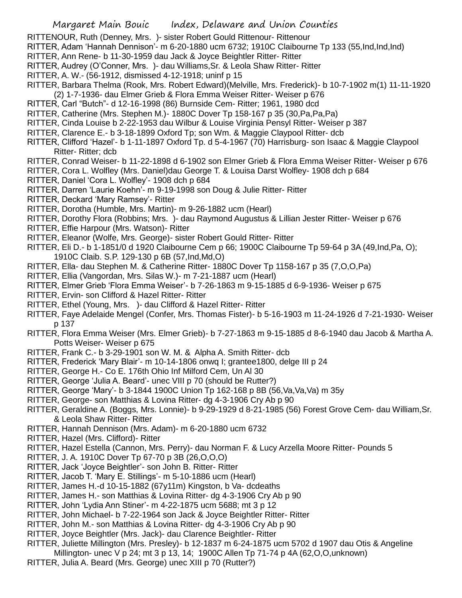- RITTENOUR, Ruth (Denney, Mrs. )- sister Robert Gould Rittenour- Rittenour
- RITTER, Adam 'Hannah Dennison'- m 6-20-1880 ucm 6732; 1910C Claibourne Tp 133 (55,Ind,Ind,Ind)
- RITTER, Ann Rene- b 11-30-1959 dau Jack & Joyce Beightler Ritter- Ritter
- RITTER, Audrey (O'Conner, Mrs. )- dau Williams,Sr. & Leola Shaw Ritter- Ritter
- RITTER, A. W.- (56-1912, dismissed 4-12-1918; uninf p 15
- RITTER, Barbara Thelma (Rook, Mrs. Robert Edward)(Melville, Mrs. Frederick)- b 10-7-1902 m(1) 11-11-1920 (2) 1-7-1936- dau Elmer Grieb & Flora Emma Weiser Ritter- Weiser p 676
- RITTER, Carl "Butch"- d 12-16-1998 (86) Burnside Cem- Ritter; 1961, 1980 dcd
- RITTER, Catherine (Mrs. Stephen M.)- 1880C Dover Tp 158-167 p 35 (30,Pa,Pa,Pa)
- RITTER, Cinda Louise b 2-22-1953 dau Wilbur & Louise Virginia Pensyl Ritter- Weiser p 387
- RITTER, Clarence E.- b 3-18-1899 Oxford Tp; son Wm. & Maggie Claypool Ritter- dcb
- RITTER, Clifford 'Hazel'- b 1-11-1897 Oxford Tp. d 5-4-1967 (70) Harrisburg- son Isaac & Maggie Claypool Ritter- Ritter; dcb
- RITTER, Conrad Weiser- b 11-22-1898 d 6-1902 son Elmer Grieb & Flora Emma Weiser Ritter- Weiser p 676
- RITTER, Cora L. Wolfley (Mrs. Daniel)dau George T. & Louisa Darst Wolfley- 1908 dch p 684
- RITTER, Daniel 'Cora L. Wolfley'- 1908 dch p 684
- RITTER, Darren 'Laurie Koehn'- m 9-19-1998 son Doug & Julie Ritter- Ritter
- RITTER, Deckard 'Mary Ramsey'- Ritter
- RITTER, Dorotha (Humble, Mrs. Martin)- m 9-26-1882 ucm (Hearl)
- RITTER, Dorothy Flora (Robbins; Mrs. )- dau Raymond Augustus & Lillian Jester Ritter- Weiser p 676
- RITTER, Effie Harpour (Mrs. Watson)- Ritter
- RITTER, Eleanor (Wolfe, Mrs. George)- sister Robert Gould Ritter- Ritter
- RITTER, Eli D.- b 1-1851/0 d 1920 Claibourne Cem p 66; 1900C Claibourne Tp 59-64 p 3A (49,Ind,Pa, O); 1910C Claib. S.P. 129-130 p 6B (57,Ind,Md,O)
- RITTER, Ella- dau Stephen M. & Catherine Ritter- 1880C Dover Tp 1158-167 p 35 (7,O,O,Pa)
- RITTER, Ellia (Vangordan, Mrs. Silas W.)- m 7-21-1887 ucm (Hearl)
- RITTER, Elmer Grieb 'Flora Emma Weiser'- b 7-26-1863 m 9-15-1885 d 6-9-1936- Weiser p 675
- RITTER, Ervin- son Clifford & Hazel Ritter- Ritter
- RITTER, Ethel (Young, Mrs. )- dau Clifford & Hazel Ritter- Ritter
- RITTER, Faye Adelaide Mengel (Confer, Mrs. Thomas Fister)- b 5-16-1903 m 11-24-1926 d 7-21-1930- Weiser p 137
- RITTER, Flora Emma Weiser (Mrs. Elmer Grieb)- b 7-27-1863 m 9-15-1885 d 8-6-1940 dau Jacob & Martha A. Potts Weiser- Weiser p 675
- RITTER, Frank C.- b 3-29-1901 son W. M. & Alpha A. Smith Ritter- dcb
- RITTER, Frederick 'Mary Blair'- m 10-14-1806 onwq I; grantee1800, delge III p 24
- RITTER, George H.- Co E. 176th Ohio Inf Milford Cem, Un Al 30
- RITTER, George 'Julia A. Beard'- unec VIII p 70 (should be Rutter?)
- RITTER, George 'Mary'- b 3-1844 1900C Union Tp 162-168 p 8B (56,Va,Va,Va) m 35y
- RITTER, George- son Matthias & Lovina Ritter- dg 4-3-1906 Cry Ab p 90
- RITTER, Geraldine A. (Boggs, Mrs. Lonnie)- b 9-29-1929 d 8-21-1985 (56) Forest Grove Cem- dau William,Sr. & Leola Shaw Ritter- Ritter
- RITTER, Hannah Dennison (Mrs. Adam)- m 6-20-1880 ucm 6732
- RITTER, Hazel (Mrs. Clifford)- Ritter
- RITTER, Hazel Estella (Cannon, Mrs. Perry)- dau Norman F. & Lucy Arzella Moore Ritter- Pounds 5
- RITTER, J. A. 1910C Dover Tp 67-70 p 3B (26,O,O,O)
- RITTER, Jack 'Joyce Beightler'- son John B. Ritter- Ritter
- RITTER, Jacob T. 'Mary E. Stillings'- m 5-10-1886 ucm (Hearl)
- RITTER, James H.-d 10-15-1882 (67y11m) Kingston, b Va- dcdeaths
- RITTER, James H.- son Matthias & Lovina Ritter- dg 4-3-1906 Cry Ab p 90
- RITTER, John 'Lydia Ann Stiner'- m 4-22-1875 ucm 5688; mt 3 p 12
- RITTER, John Michael- b 7-22-1964 son Jack & Joyce Beightler Ritter- Ritter
- RITTER, John M.- son Matthias & Lovina Ritter- dg 4-3-1906 Cry Ab p 90
- RITTER, Joyce Beightler (Mrs. Jack)- dau Clarence Beightler- Ritter
- RITTER, Juliette Millington (Mrs. Presley)- b 12-1837 m 6-24-1875 ucm 5702 d 1907 dau Otis & Angeline Millington- unec V p 24; mt 3 p 13, 14; 1900C Allen Tp 71-74 p 4A (62,O,O,unknown)
- RITTER, Julia A. Beard (Mrs. George) unec XIII p 70 (Rutter?)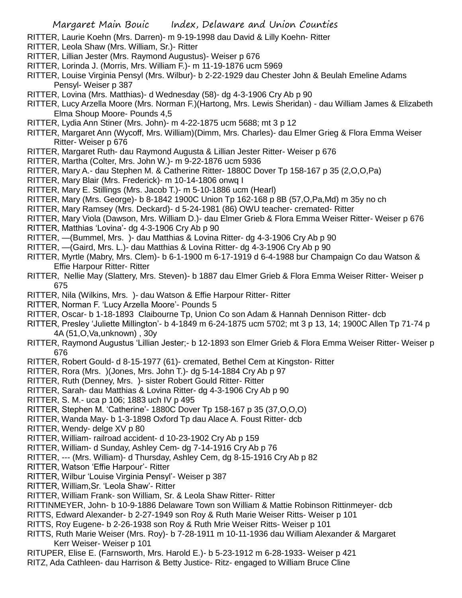- RITTER, Laurie Koehn (Mrs. Darren)- m 9-19-1998 dau David & Lilly Koehn- Ritter
- RITTER, Leola Shaw (Mrs. William, Sr.)- Ritter
- RITTER, Lillian Jester (Mrs. Raymond Augustus)- Weiser p 676
- RITTER, Lorinda J. (Morris, Mrs. William F.)- m 11-19-1876 ucm 5969
- RITTER, Louise Virginia Pensyl (Mrs. Wilbur)- b 2-22-1929 dau Chester John & Beulah Emeline Adams Pensyl- Weiser p 387
- RITTER, Lovina (Mrs. Matthias)- d Wednesday (58)- dg 4-3-1906 Cry Ab p 90
- RITTER, Lucy Arzella Moore (Mrs. Norman F.)(Hartong, Mrs. Lewis Sheridan) dau William James & Elizabeth Elma Shoup Moore- Pounds 4,5
- RITTER, Lydia Ann Stiner (Mrs. John)- m 4-22-1875 ucm 5688; mt 3 p 12
- RITTER, Margaret Ann (Wycoff, Mrs. William)(Dimm, Mrs. Charles)- dau Elmer Grieg & Flora Emma Weiser Ritter- Weiser p 676
- RITTER, Margaret Ruth- dau Raymond Augusta & Lillian Jester Ritter- Weiser p 676
- RITTER, Martha (Colter, Mrs. John W.)- m 9-22-1876 ucm 5936
- RITTER, Mary A.- dau Stephen M. & Catherine Ritter- 1880C Dover Tp 158-167 p 35 (2,O,O,Pa)
- RITTER, Mary Blair (Mrs. Frederick)- m 10-14-1806 onwq I
- RITTER, Mary E. Stillings (Mrs. Jacob T.)- m 5-10-1886 ucm (Hearl)
- RITTER, Mary (Mrs. George)- b 8-1842 1900C Union Tp 162-168 p 8B (57,O,Pa,Md) m 35y no ch
- RITTER, Mary Ramsey (Mrs. Deckard)- d 5-24-1981 (86) OWU teacher- cremated- Ritter
- RITTER, Mary Viola (Dawson, Mrs. William D.)- dau Elmer Grieb & Flora Emma Weiser Ritter- Weiser p 676
- RITTER, Matthias 'Lovina'- dg 4-3-1906 Cry Ab p 90
- RITTER, —(Bummel, Mrs. )- dau Matthias & Lovina Ritter- dg 4-3-1906 Cry Ab p 90
- RITTER, —(Gaird, Mrs. L.)- dau Matthias & Lovina Ritter- dg 4-3-1906 Cry Ab p 90
- RITTER, Myrtle (Mabry, Mrs. Clem)- b 6-1-1900 m 6-17-1919 d 6-4-1988 bur Champaign Co dau Watson & Effie Harpour Ritter- Ritter
- RITTER, Nellie May (Slattery, Mrs. Steven)- b 1887 dau Elmer Grieb & Flora Emma Weiser Ritter- Weiser p 675
- RITTER, Nila (Wilkins, Mrs. )- dau Watson & Effie Harpour Ritter- Ritter
- RITTER, Norman F. 'Lucy Arzella Moore'- Pounds 5
- RITTER, Oscar- b 1-18-1893 Claibourne Tp, Union Co son Adam & Hannah Dennison Ritter- dcb
- RITTER, Presley 'Juliette Millington'- b 4-1849 m 6-24-1875 ucm 5702; mt 3 p 13, 14; 1900C Allen Tp 71-74 p 4A (51,O,Va,unknown) , 30y
- RITTER, Raymond Augustus 'Lillian Jester;- b 12-1893 son Elmer Grieb & Flora Emma Weiser Ritter- Weiser p 676
- RITTER, Robert Gould- d 8-15-1977 (61)- cremated, Bethel Cem at Kingston- Ritter
- RITTER, Rora (Mrs. )(Jones, Mrs. John T.)- dg 5-14-1884 Cry Ab p 97
- RITTER, Ruth (Denney, Mrs. )- sister Robert Gould Ritter- Ritter
- RITTER, Sarah- dau Matthias & Lovina Ritter- dg 4-3-1906 Cry Ab p 90
- RITTER, S. M.- uca p 106; 1883 uch IV p 495
- RITTER, Stephen M. 'Catherine'- 1880C Dover Tp 158-167 p 35 (37,O,O,O)
- RITTER, Wanda May- b 1-3-1898 Oxford Tp dau Alace A. Foust Ritter- dcb
- RITTER, Wendy- delge XV p 80
- RITTER, William- railroad accident- d 10-23-1902 Cry Ab p 159
- RITTER, William- d Sunday, Ashley Cem- dg 7-14-1916 Cry Ab p 76
- RITTER, --- (Mrs. William)- d Thursday, Ashley Cem, dg 8-15-1916 Cry Ab p 82
- RITTER, Watson 'Effie Harpour'- Ritter
- RITTER, Wilbur 'Louise Virginia Pensyl'- Weiser p 387
- RITTER, William,Sr. 'Leola Shaw'- Ritter
- RITTER, William Frank- son William, Sr. & Leola Shaw Ritter- Ritter
- RITTINMEYER, John- b 10-9-1886 Delaware Town son William & Mattie Robinson Rittinmeyer- dcb
- RITTS, Edward Alexander- b 2-27-1949 son Roy & Ruth Marie Weiser Ritts- Weiser p 101
- RITTS, Roy Eugene- b 2-26-1938 son Roy & Ruth Mrie Weiser Ritts- Weiser p 101
- RITTS, Ruth Marie Weiser (Mrs. Roy)- b 7-28-1911 m 10-11-1936 dau William Alexander & Margaret Kerr Weiser- Weiser p 101
- RITUPER, Elise E. (Farnsworth, Mrs. Harold E.)- b 5-23-1912 m 6-28-1933- Weiser p 421
- RITZ, Ada Cathleen- dau Harrison & Betty Justice- Ritz- engaged to William Bruce Cline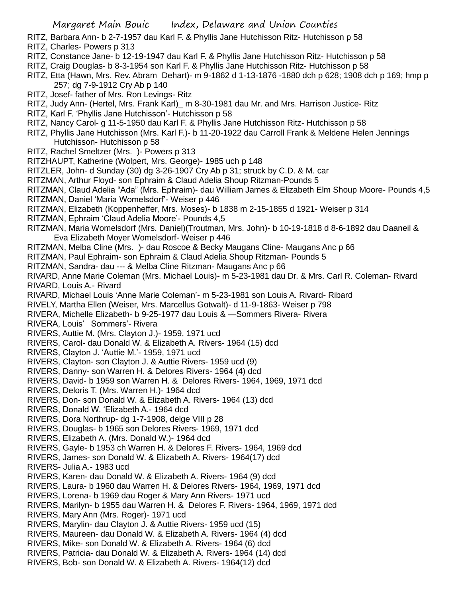- RITZ, Barbara Ann- b 2-7-1957 dau Karl F. & Phyllis Jane Hutchisson Ritz- Hutchisson p 58
- RITZ, Charles- Powers p 313
- RITZ, Constance Jane- b 12-19-1947 dau Karl F. & Phyllis Jane Hutchisson Ritz- Hutchisson p 58
- RITZ, Craig Douglas- b 8-3-1954 son Karl F. & Phyllis Jane Hutchisson Ritz- Hutchisson p 58
- RITZ, Etta (Hawn, Mrs. Rev. Abram Dehart)- m 9-1862 d 1-13-1876 -1880 dch p 628; 1908 dch p 169; hmp p 257; dg 7-9-1912 Cry Ab p 140
- RITZ, Josef- father of Mrs. Ron Levings- Ritz
- RITZ, Judy Ann- (Hertel, Mrs. Frank Karl)\_ m 8-30-1981 dau Mr. and Mrs. Harrison Justice- Ritz
- RITZ, Karl F. 'Phyllis Jane Hutchisson'- Hutchisson p 58
- RITZ, Nancy Carol- g 11-5-1950 dau Karl F. & Phyllis Jane Hutchisson Ritz- Hutchisson p 58
- RITZ, Phyllis Jane Hutchisson (Mrs. Karl F.)- b 11-20-1922 dau Carroll Frank & Meldene Helen Jennings Hutchisson- Hutchisson p 58
- RITZ, Rachel Smeltzer (Mrs. )- Powers p 313
- RITZHAUPT, Katherine (Wolpert, Mrs. George)- 1985 uch p 148
- RITZLER, John- d Sunday (30) dg 3-26-1907 Cry Ab p 31; struck by C.D. & M. car
- RITZMAN, Arthur Floyd- son Ephraim & Claud Adelia Shoup Ritzman-Pounds 5
- RITZMAN, Claud Adelia "Ada" (Mrs. Ephraim)- dau William James & Elizabeth Elm Shoup Moore- Pounds 4,5
- RITZMAN, Daniel 'Maria Womelsdorf'- Weiser p 446
- RITZMAN, Elizabeth (Koppenheffer, Mrs. Moses)- b 1838 m 2-15-1855 d 1921- Weiser p 314
- RITZMAN, Ephraim 'Claud Adelia Moore'- Pounds 4,5
- RITZMAN, Maria Womelsdorf (Mrs. Daniel)(Troutman, Mrs. John)- b 10-19-1818 d 8-6-1892 dau Daaneil & Eva Elizabeth Moyer Womelsdorf- Weiser p 446
- RITZMAN, Melba Cline (Mrs. )- dau Roscoe & Becky Maugans Cline- Maugans Anc p 66
- RITZMAN, Paul Ephraim- son Ephraim & Claud Adelia Shoup Ritzman- Pounds 5
- RITZMAN, Sandra- dau --- & Melba Cline Ritzman- Maugans Anc p 66
- RIVARD, Anne Marie Coleman (Mrs. Michael Louis)- m 5-23-1981 dau Dr. & Mrs. Carl R. Coleman- Rivard RIVARD, Louis A.- Rivard
- RIVARD, Michael Louis 'Anne Marie Coleman'- m 5-23-1981 son Louis A. Rivard- Ribard
- RIVELY, Martha Ellen (Weiser, Mrs. Marcellus Gotwalt)- d 11-9-1863- Weiser p 798
- RIVERA, Michelle Elizabeth- b 9-25-1977 dau Louis & —Sommers Rivera- Rivera
- RIVERA, Louis' Sommers'- Rivera
- RIVERS, Auttie M. (Mrs. Clayton J.)- 1959, 1971 ucd
- RIVERS, Carol- dau Donald W. & Elizabeth A. Rivers- 1964 (15) dcd
- RIVERS, Clayton J. 'Auttie M.'- 1959, 1971 ucd
- RIVERS, Clayton- son Clayton J. & Auttie Rivers- 1959 ucd (9)
- RIVERS, Danny- son Warren H. & Delores Rivers- 1964 (4) dcd
- RIVERS, David- b 1959 son Warren H. & Delores Rivers- 1964, 1969, 1971 dcd
- RIVERS, Deloris T. (Mrs. Warren H.)- 1964 dcd
- RIVERS, Don- son Donald W. & Elizabeth A. Rivers- 1964 (13) dcd
- RIVERS, Donald W. 'Elizabeth A.- 1964 dcd
- RIVERS, Dora Northrup- dg 1-7-1908, delge VIII p 28
- RIVERS, Douglas- b 1965 son Delores Rivers- 1969, 1971 dcd
- RIVERS, Elizabeth A. (Mrs. Donald W.)- 1964 dcd
- RIVERS, Gayle- b 1953 ch Warren H. & Delores F. Rivers- 1964, 1969 dcd
- RIVERS, James- son Donald W. & Elizabeth A. Rivers- 1964(17) dcd
- RIVERS- Julia A.- 1983 ucd
- RIVERS, Karen- dau Donald W. & Elizabeth A. Rivers- 1964 (9) dcd
- RIVERS, Laura- b 1960 dau Warren H. & Delores Rivers- 1964, 1969, 1971 dcd
- RIVERS, Lorena- b 1969 dau Roger & Mary Ann Rivers- 1971 ucd
- RIVERS, Marilyn- b 1955 dau Warren H. & Delores F. Rivers- 1964, 1969, 1971 dcd
- RIVERS, Mary Ann (Mrs. Roger)- 1971 ucd
- RIVERS, Marylin- dau Clayton J. & Auttie Rivers- 1959 ucd (15)
- RIVERS, Maureen- dau Donald W. & Elizabeth A. Rivers- 1964 (4) dcd
- RIVERS, Mike- son Donald W. & Elizabeth A. Rivers- 1964 (6) dcd
- RIVERS, Patricia- dau Donald W. & Elizabeth A. Rivers- 1964 (14) dcd
- RIVERS, Bob- son Donald W. & Elizabeth A. Rivers- 1964(12) dcd